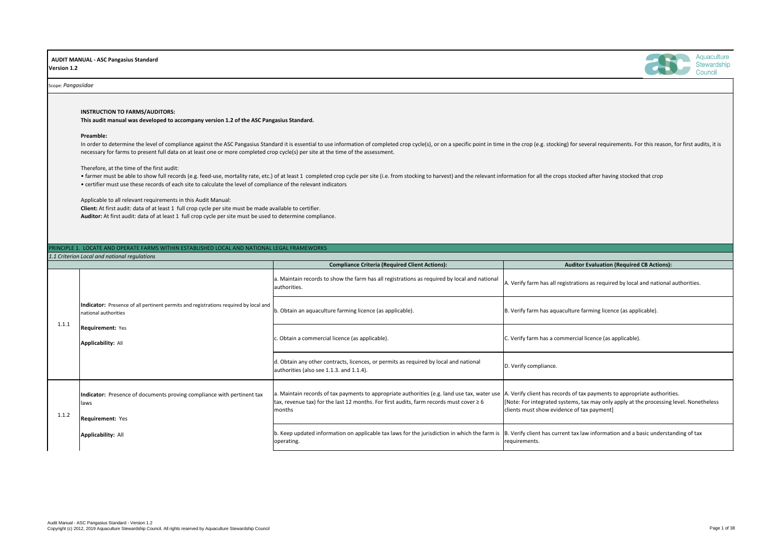

### **Auditor Evaluation (Required CB Actions):**

 $A$ . Verify farm has all registrations as required by local and national authorities.

B. Verify farm has aquaculture farming licence (as applicable).

C. Verify farm has a commercial licence (as applicable).

D. Verify compliance.

|       |                                                                                                              | <b>Compliance Criteria (Required Client Actions):</b>                                                                                                                                                  |
|-------|--------------------------------------------------------------------------------------------------------------|--------------------------------------------------------------------------------------------------------------------------------------------------------------------------------------------------------|
|       |                                                                                                              | a. Maintain records to show the farm has all registrations as required by local and national<br>authorities.                                                                                           |
| 1.1.1 | Indicator: Presence of all pertinent permits and registrations required by local and<br>national authorities | b. Obtain an aquaculture farming licence (as applicable).                                                                                                                                              |
|       | <b>Requirement: Yes</b><br><b>Applicability: All</b>                                                         | c. Obtain a commercial licence (as applicable).                                                                                                                                                        |
|       |                                                                                                              | d. Obtain any other contracts, licences, or permits as required by local and national<br>authorities (also see 1.1.3. and 1.1.4).                                                                      |
| 1.1.2 | Indicator: Presence of documents proving compliance with pertinent tax<br>llaws<br><b>Requirement: Yes</b>   | a. Maintain records of tax payments to appropriate authorities (e.g. land use tax, water use<br>tax, revenue tax) for the last 12 months. For first audits, farm records must cover $\geq 6$<br>months |
|       | <b>Applicability: All</b>                                                                                    | b. Keep updated information on applicable tax laws for the jurisdiction in which the farm is<br>operating.                                                                                             |

A. Verify client has records of tax payments to appropriate authorities. [Note: For integrated systems, tax may only apply at the processing level. Nonetheless clients must show evidence of tax payment]

In order to determine the level of compliance against the ASC Pangasius Standard it is essential to use information of completed crop cycle(s), or on a specific point in time in the crop (e.g. stocking) for several require necessary for farms to present full data on at least one or more completed crop cycle(s) per site at the time of the assessment.

> B. Verify client has current tax law information and a basic understanding of tax requirements.

• farmer must be able to show full records (e.g. feed-use, mortality rate, etc.) of at least 1 completed crop cycle per site (i.e. from stocking to harvest) and the relevant information for all the crops stocked after havi • certifier must use these records of each site to calculate the level of compliance of the relevant indicators

 **AUDIT MANUAL - ASC Pangasius Standard Version 1.2**

#### Scope: *Pangasiidae*

## PRINCIPLE 1. LOCATE AND OPERATE FARMS WITHIN ESTABLISHED LOCAL AND NATIONAL LEGAL FRAMEWORKS

*1.1 Criterion Local and national regulations*

**INSTRUCTION TO FARMS/AUDITORS:** 

**This audit manual was developed to accompany version 1.2 of the ASC Pangasius Standard.**

#### **Preamble:**

Therefore, at the time of the first audit:

Applicable to all relevant requirements in this Audit Manual:

**Client:** At first audit: data of at least 1 full crop cycle per site must be made available to certifier. **Auditor:** At first audit: data of at least 1 full crop cycle per site must be used to determine compliance.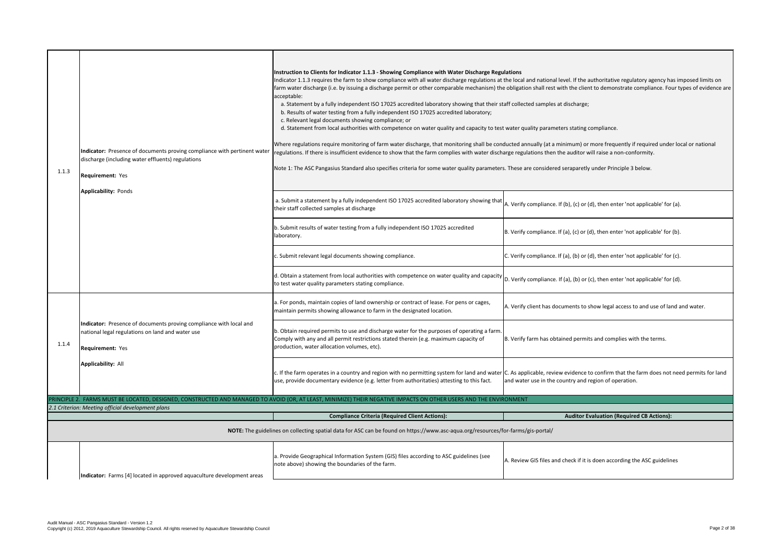the local and national level. If the authoritative regulatory agency has imposed limits on e obligation shall rest with the client to demonstrate compliance. Four types of evidence are

taff collected samples at discharge;

t water quality parameters stating compliance.

ducted annually (at a minimum) or more frequently if required under local or national arge regulations then the auditor will raise a non-conformity.

. These are considered seraparetly under Principle 3 below.

A. Verify compliance. If (b), (c) or (d), then enter 'not applicable' for (a).

B. Verify compliance. If (a), (c) or (d), then enter 'not applicable' for (b).

C. Verify compliance. If (a), (b) or (d), then enter 'not applicable' for (c).

 $\vert$ D. Verify compliance. If (a), (b) or (c), then enter 'not applicable' for (d).

A. Verify client has documents to show legal access to and use of land and water.

| 1.1.3 | Indicator: Presence of documents proving compliance with pertinent water<br>discharge (including water effluents) regulations<br><b>Requirement: Yes</b> | Instruction to Clients for Indicator 1.1.3 - Showing Compliance with Water Discharge Regulations<br>Indicator 1.1.3 requires the farm to show compliance with all water discharge regulations at the local a<br>farm water discharge (i.e. by issuing a discharge permit or other comparable mechanism) the obligation<br>acceptable:<br>a. Statement by a fully independent ISO 17025 accredited laboratory showing that their staff collect<br>b. Results of water testing from a fully independent ISO 17025 accredited laboratory;<br>c. Relevant legal documents showing compliance; or<br>d. Statement from local authorities with competence on water quality and capacity to test water qu<br>Where regulations require monitoring of farm water discharge, that monitoring shall be conducted an<br>regulations. If there is insufficient evidence to show that the farm complies with water discharge regul<br>Note 1: The ASC Pangasius Standard also specifies criteria for some water quality parameters. These a |           |
|-------|----------------------------------------------------------------------------------------------------------------------------------------------------------|--------------------------------------------------------------------------------------------------------------------------------------------------------------------------------------------------------------------------------------------------------------------------------------------------------------------------------------------------------------------------------------------------------------------------------------------------------------------------------------------------------------------------------------------------------------------------------------------------------------------------------------------------------------------------------------------------------------------------------------------------------------------------------------------------------------------------------------------------------------------------------------------------------------------------------------------------------------------------------------------------------------------------------|-----------|
|       | <b>Applicability: Ponds</b>                                                                                                                              | a. Submit a statement by a fully independent ISO 17025 accredited laboratory showing that $\vert$ A. Verify<br>their staff collected samples at discharge                                                                                                                                                                                                                                                                                                                                                                                                                                                                                                                                                                                                                                                                                                                                                                                                                                                                      |           |
|       |                                                                                                                                                          | b. Submit results of water testing from a fully independent ISO 17025 accredited<br>laboratory.                                                                                                                                                                                                                                                                                                                                                                                                                                                                                                                                                                                                                                                                                                                                                                                                                                                                                                                                | B. Verify |
|       |                                                                                                                                                          | c. Submit relevant legal documents showing compliance.                                                                                                                                                                                                                                                                                                                                                                                                                                                                                                                                                                                                                                                                                                                                                                                                                                                                                                                                                                         | C. Verify |
|       |                                                                                                                                                          | d. Obtain a statement from local authorities with competence on water quality and capacity $ D$ . Verify<br>to test water quality parameters stating compliance.                                                                                                                                                                                                                                                                                                                                                                                                                                                                                                                                                                                                                                                                                                                                                                                                                                                               |           |
|       |                                                                                                                                                          | a. For ponds, maintain copies of land ownership or contract of lease. For pens or cages,<br>maintain permits showing allowance to farm in the designated location.                                                                                                                                                                                                                                                                                                                                                                                                                                                                                                                                                                                                                                                                                                                                                                                                                                                             | A. Verify |
| 1.1.4 | Indicator: Presence of documents proving compliance with local and<br>national legal regulations on land and water use<br><b>Requirement: Yes</b>        | b. Obtain required permits to use and discharge water for the purposes of operating a farm.<br>Comply with any and all permit restrictions stated therein (e.g. maximum capacity of<br>production, water allocation volumes, etc).                                                                                                                                                                                                                                                                                                                                                                                                                                                                                                                                                                                                                                                                                                                                                                                             | B. Verify |
|       | <b>Applicability: All</b>                                                                                                                                | c. If the farm operates in a country and region with no permitting system for land and water C. As app<br>use, provide documentary evidence (e.g. letter from authoritaties) attesting to this fact.                                                                                                                                                                                                                                                                                                                                                                                                                                                                                                                                                                                                                                                                                                                                                                                                                           | and wate  |
|       |                                                                                                                                                          | PRINCIPLE 2. FARMS MUST BE LOCATED, DESIGNED, CONSTRUCTED AND MANAGED TO AVOID (OR, AT LEAST, MINIMIZE) THEIR NEGATIVE IMPACTS ON OTHER USERS AND THE ENVIRONMENT                                                                                                                                                                                                                                                                                                                                                                                                                                                                                                                                                                                                                                                                                                                                                                                                                                                              |           |
|       | 2.1 Criterion: Meeting official development plans                                                                                                        | <b>Compliance Criteria (Required Client Actions):</b>                                                                                                                                                                                                                                                                                                                                                                                                                                                                                                                                                                                                                                                                                                                                                                                                                                                                                                                                                                          |           |
|       |                                                                                                                                                          | NOTE: The guidelines on collecting spatial data for ASC can be found on https://www.asc-aqua.org/resources/for-farms/                                                                                                                                                                                                                                                                                                                                                                                                                                                                                                                                                                                                                                                                                                                                                                                                                                                                                                          |           |
|       | Indicator: Farms [4] located in approved aquaculture development areas                                                                                   | a. Provide Geographical Information System (GIS) files according to ASC guidelines (see<br>note above) showing the boundaries of the farm.                                                                                                                                                                                                                                                                                                                                                                                                                                                                                                                                                                                                                                                                                                                                                                                                                                                                                     | A. Review |

B. Verify farm has obtained permits and complies with the terms.

C. As applicable, review evidence to confirm that the farm does not need permits for land and water use in the country and region of operation.

**Auditor Evaluation (Required CB Actions):** 

 $\delta$ : The form and  $\delta$  are must gis-portal  $\delta$ 

A. Review GIS files and check if it is doen according the ASC guidelines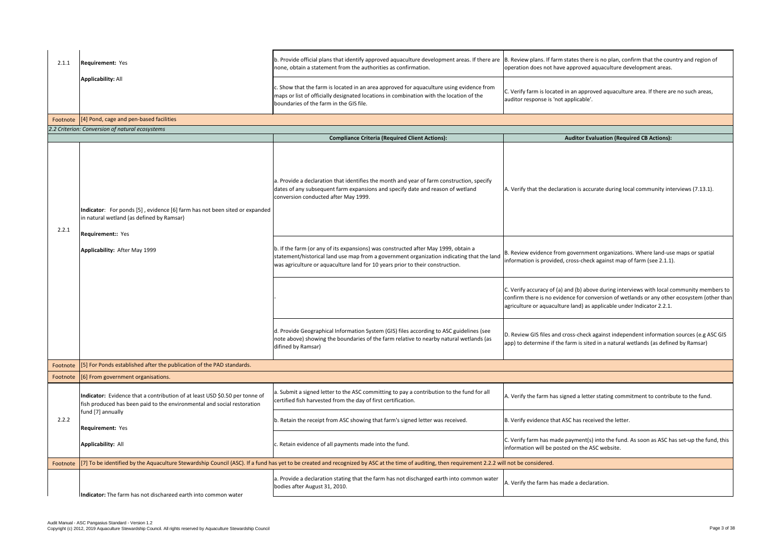B. Review plans. If farm states there is no plan, confirm that the country and region of operation does not have approved aquaculture development areas.

C. Verify farm is located in an approved aquaculture area. If there are no such areas, auditor response is 'not applicable'.

## **Auditor Evaluation (Required CB Actions):**

A. Verify that the declaration is accurate during local community interviews (7.13.1).

C. Verify farm has made payment(s) into the fund. As soon as ASC has set-up the fund, this information will be posted on the ASC website.

A. Verify the farm has made a declaration.

B. Review evidence from government organizations. Where land-use maps or spatial information is provided, cross-check against map of farm (see 2.1.1).

C. Verify accuracy of (a) and (b) above during interviews with local community members to confirm there is no evidence for conversion of wetlands or any other ecosystem (other than agriculture or aquaculture land) as applicable under Indicator 2.2.1.

| 2.1.1    | <b>Requirement: Yes</b>                                                                                                                                | b. Provide official plans that identify approved aquaculture development areas. If there are $\vert$ B. Review plans. If f<br>none, obtain a statement from the authorities as confirmation.                                                                     | operation does not                                                   |
|----------|--------------------------------------------------------------------------------------------------------------------------------------------------------|------------------------------------------------------------------------------------------------------------------------------------------------------------------------------------------------------------------------------------------------------------------|----------------------------------------------------------------------|
|          | <b>Applicability: All</b>                                                                                                                              | c. Show that the farm is located in an area approved for aquaculture using evidence from<br>maps or list of officially designated locations in combination with the location of the<br>boundaries of the farm in the GIS file.                                   | C. Verify farm is loca<br>auditor response is                        |
| Footnote | [4] Pond, cage and pen-based facilities                                                                                                                |                                                                                                                                                                                                                                                                  |                                                                      |
|          | 2.2 Criterion: Conversion of natural ecosystems                                                                                                        |                                                                                                                                                                                                                                                                  |                                                                      |
|          |                                                                                                                                                        | <b>Compliance Criteria (Required Client Actions):</b>                                                                                                                                                                                                            |                                                                      |
| 2.2.1    | Indicator: For ponds [5], evidence [6] farm has not been sited or expanded<br>in natural wetland (as defined by Ramsar)<br><b>Requirement:: Yes</b>    | a. Provide a declaration that identifies the month and year of farm construction, specify<br>dates of any subsequent farm expansions and specify date and reason of wetland<br>conversion conducted after May 1999.                                              | A. Verify that the de                                                |
|          | Applicability: After May 1999                                                                                                                          | b. If the farm (or any of its expansions) was constructed after May 1999, obtain a<br>statement/historical land use map from a government organization indicating that the land<br>was agriculture or aquaculture land for 10 years prior to their construction. | B. Review evidence<br>information is provi                           |
|          |                                                                                                                                                        |                                                                                                                                                                                                                                                                  | C. Verify accuracy of<br>confirm there is no<br>agriculture or aquad |
|          |                                                                                                                                                        | d. Provide Geographical Information System (GIS) files according to ASC guidelines (see<br>note above) showing the boundaries of the farm relative to nearby natural wetlands (as<br>difined by Ramsar)                                                          | D. Review GIS files a<br>app) to determine it                        |
| Footnote | [5] For Ponds established after the publication of the PAD standards.                                                                                  |                                                                                                                                                                                                                                                                  |                                                                      |
| Footnote | [6] From government organisations.                                                                                                                     |                                                                                                                                                                                                                                                                  |                                                                      |
|          | Indicator: Evidence that a contribution of at least USD \$0.50 per tonne of<br>fish produced has been paid to the environmental and social restoration | a. Submit a signed letter to the ASC committing to pay a contribution to the fund for all<br>certified fish harvested from the day of first certification.                                                                                                       | A. Verify the farm h                                                 |
| 2.2.2    | fund [7] annually<br><b>Requirement: Yes</b>                                                                                                           | b. Retain the receipt from ASC showing that farm's signed letter was received.                                                                                                                                                                                   | B. Verify evidence tl                                                |
|          | <b>Applicability: All</b>                                                                                                                              | c. Retain evidence of all payments made into the fund.                                                                                                                                                                                                           | C. Verify farm has m<br>information will be                          |
| Footnote |                                                                                                                                                        | [7] To be identified by the Aquaculture Stewardship Council (ASC). If a fund has yet to be created and recognized by ASC at the time of auditing, then requirement 2.2.2 will not be considered.                                                                 |                                                                      |
|          | Indicator: The farm has not discharged earth into common water                                                                                         | a. Provide a declaration stating that the farm has not discharged earth into common water<br>bodies after August 31, 2010.                                                                                                                                       | A. Verify the farm h                                                 |
|          |                                                                                                                                                        |                                                                                                                                                                                                                                                                  |                                                                      |

D. Review GIS files and cross-check against independent information sources (e.g ASC GIS app) to determine if the farm is sited in a natural wetlands (as defined by Ramsar)

 $A$ . Verify the farm has signed a letter stating commitment to contribute to the fund.

B. Verify evidence that ASC has received the letter.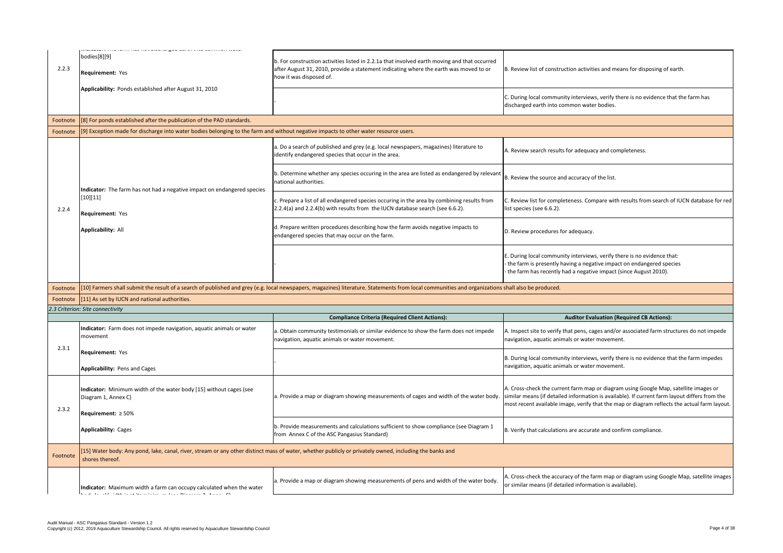C. During local community interviews, verify there is no evidence that the farm has discharged earth into common water bodies.

A. Review search results for adequacy and completeness.

 $B.$  Review the source and accuracy of the list.

B. Review list of construction activities and means for disposing of earth.

C. Review list for completeness. Compare with results from search of IUCN database for red list species (see 6.6.2).

D. Review procedures for adequacy.

B. During local community interviews, verify there is no evidence that the farm impedes navigation, aquatic animals or water movement.

A. Cross-check the accuracy of the farm map or diagram using Google Map, satellite images or similar means (if detailed information is available).

E. During local community interviews, verify there is no evidence that: - the farm is presently having a negative impact on endangered species

- the farm has recently had a negative impact (since August 2010).

shall also be produced.

### **Auditor Evaluation (Required CB Actions):**

A. Inspect site to verify that pens, cages and/or associated farm structures do not impede navigation, aquatic animals or water movement.

| 2.2.3    | bodies[8][9]<br><b>Requirement: Yes</b>                                                                                                                                    | b. For construction activities listed in 2.2.1a that involved earth moving and that occurred<br>after August 31, 2010, provide a statement indicating where the earth was moved to or<br>how it was disposed of. |
|----------|----------------------------------------------------------------------------------------------------------------------------------------------------------------------------|------------------------------------------------------------------------------------------------------------------------------------------------------------------------------------------------------------------|
|          | Applicability: Ponds established after August 31, 2010                                                                                                                     |                                                                                                                                                                                                                  |
| Footnote | [8] For ponds established after the publication of the PAD standards.                                                                                                      |                                                                                                                                                                                                                  |
| Footnote | [9] Exception made for discharge into water bodies belonging to the farm and without negative impacts to other water resource users.                                       |                                                                                                                                                                                                                  |
|          |                                                                                                                                                                            | a. Do a search of published and grey (e.g. local newspapers, magazines) literature to<br>identify endangered species that occur in the area.                                                                     |
|          | Indicator: The farm has not had a negative impact on endangered species                                                                                                    | b. Determine whether any species occuring in the area are listed as endangered by relevant<br>national authorities.                                                                                              |
| 2.2.4    | [10][11]<br><b>Requirement: Yes</b>                                                                                                                                        | c. Prepare a list of all endangered species occuring in the area by combining results from<br>2.2.4(a) and 2.2.4(b) with results from the IUCN database search (see 6.6.2).                                      |
|          | <b>Applicability: All</b>                                                                                                                                                  | d. Prepare written procedures describing how the farm avoids negative impacts to<br>endangered species that may occur on the farm.                                                                               |
|          |                                                                                                                                                                            |                                                                                                                                                                                                                  |
| Footnote |                                                                                                                                                                            | [10] Farmers shall submit the result of a search of published and grey (e.g. local newspapers, magazines) literature. Statements from local communities and organizations                                        |
|          | Footnote [[11] As set by IUCN and national authorities.                                                                                                                    |                                                                                                                                                                                                                  |
|          |                                                                                                                                                                            |                                                                                                                                                                                                                  |
|          | 2.3 Criterion: Site connectivity                                                                                                                                           |                                                                                                                                                                                                                  |
|          |                                                                                                                                                                            | <b>Compliance Criteria (Required Client Actions):</b>                                                                                                                                                            |
|          | Indicator: Farm does not impede navigation, aquatic animals or water<br>movement                                                                                           | a. Obtain community testimonials or similar evidence to show the farm does not impede<br>navigation, aquatic animals or water movement.                                                                          |
| 2.3.1    | <b>Requirement: Yes</b>                                                                                                                                                    |                                                                                                                                                                                                                  |
|          | <b>Applicability: Pens and Cages</b>                                                                                                                                       |                                                                                                                                                                                                                  |
|          | Indicator: Minimum width of the water body [15] without cages (see<br>Diagram 1, Annex C)                                                                                  | a. Provide a map or diagram showing measurements of cages and width of the water body.                                                                                                                           |
| 2.3.2    | Requirement: $\geq 50\%$                                                                                                                                                   |                                                                                                                                                                                                                  |
|          | <b>Applicability: Cages</b>                                                                                                                                                | b. Provide measurements and calculations sufficient to show compliance (see Diagram 1<br>from Annex C of the ASC Pangasius Standard)                                                                             |
| Footnote | [15] Water body: Any pond, lake, canal, river, stream or any other distinct mass of water, whether publicly or privately owned, including the banks and<br>shores thereof. |                                                                                                                                                                                                                  |
|          | Indicator: Maximum width a farm can occupy calculated when the water<br>In a shift of the first term of the contextual continuous in the account of the context. Of        | a. Provide a map or diagram showing measurements of pens and width of the water body.                                                                                                                            |

A. Cross-check the current farm map or diagram using Google Map, satellite images or similar means (if detailed information is available). If current farm layout differs from the most recent available image, verify that the map or diagram reflects the actual farm layout.

B. Verify that calculations are accurate and confirm compliance.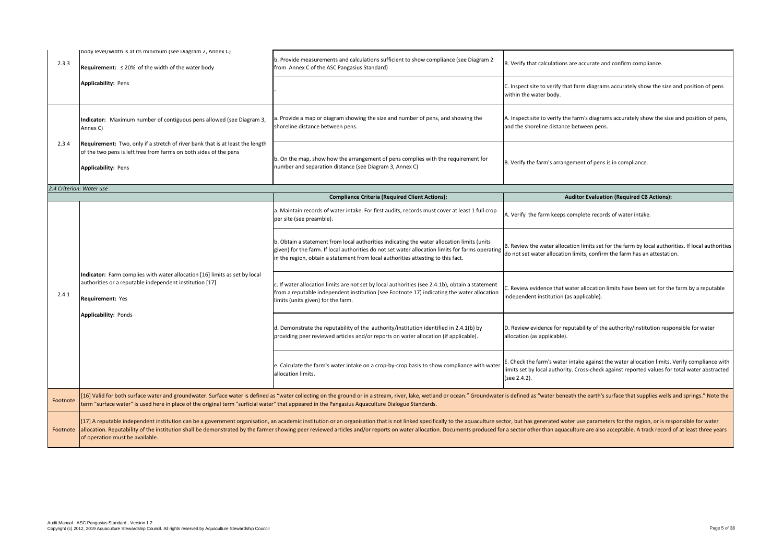B. Verify that calculations are accurate and confirm compliance.

 $|c|$ . Inspect site to verify that farm diagrams accurately show the size and position of pens within the water body.

A. Inspect site to verify the farm's diagrams accurately show the size and position of pens, and the shoreline distance between pens.

B. Verify the farm's arrangement of pens is in compliance.

# **Auditor Evaluation (Required CB Actions):**

A. Verify the farm keeps complete records of water intake.

B. Review the water allocation limits set for the farm by local authorities. If local authorities do not set water allocation limits, confirm the farm has an attestation.

C. Review evidence that water allocation limits have been set for the farm by a reputable independent institution (as applicable).

| body level/width is at its minimum (see Diagram 2, Annex C)<br>2.3.3<br><b>Requirement:</b> $\leq 20\%$ of the width of the water body<br><b>Applicability: Pens</b>                      | b. Provide measurements and calculations sufficient to show compliance (see Diagram 2<br>from Annex C of the ASC Pangasius Standard)                                                                                                                                                                                          |
|-------------------------------------------------------------------------------------------------------------------------------------------------------------------------------------------|-------------------------------------------------------------------------------------------------------------------------------------------------------------------------------------------------------------------------------------------------------------------------------------------------------------------------------|
|                                                                                                                                                                                           |                                                                                                                                                                                                                                                                                                                               |
|                                                                                                                                                                                           |                                                                                                                                                                                                                                                                                                                               |
| Indicator: Maximum number of contiguous pens allowed (see Diagram 3,<br>Annex C)                                                                                                          | a. Provide a map or diagram showing the size and number of pens, and showing the<br>shoreline distance between pens.                                                                                                                                                                                                          |
| 2.3.4<br>Requirement: Two, only if a stretch of river bank that is at least the length<br>of the two pens is left free from farms on both sides of the pens<br><b>Applicability: Pens</b> | b. On the map, show how the arrangement of pens complies with the requirement for<br>number and separation distance (see Diagram 3, Annex C)                                                                                                                                                                                  |
| 2.4 Criterion: Water use                                                                                                                                                                  |                                                                                                                                                                                                                                                                                                                               |
|                                                                                                                                                                                           | <b>Compliance Criteria (Required Client Actions):</b>                                                                                                                                                                                                                                                                         |
|                                                                                                                                                                                           | a. Maintain records of water intake. For first audits, records must cover at least 1 full crop<br>per site (see preamble).                                                                                                                                                                                                    |
|                                                                                                                                                                                           | b. Obtain a statement from local authorities indicating the water allocation limits (units<br>given) for the farm. If local authorities do not set water allocation limits for farms operating<br>in the region, obtain a statement from local authorities attesting to this fact.                                            |
| Indicator: Farm complies with water allocation [16] limits as set by local<br>authorities or a reputable independent institution [17]<br>2.4.1<br>Requirement: Yes                        | c. If water allocation limits are not set by local authorities (see 2.4.1b), obtain a statement<br>from a reputable independent institution (see Footnote 17) indicating the water allocation<br>limits (units given) for the farm.                                                                                           |
| <b>Applicability: Ponds</b>                                                                                                                                                               | d. Demonstrate the reputability of the authority/institution identified in 2.4.1(b) by<br>providing peer reviewed articles and/or reports on water allocation (if applicable).                                                                                                                                                |
|                                                                                                                                                                                           | e. Calculate the farm's water intake on a crop-by-crop basis to show compliance with water<br>allocation limits.                                                                                                                                                                                                              |
| Footnote                                                                                                                                                                                  | [16] Valid for both surface water and groundwater. Surface water is defined as "water collecting on the ground or in a stream, river, lake, wetland or ocean." Groundwate<br>term "surface water" is used here in place of the original term "surficial water" that appeared in the Pangasius Aquaculture Dialogue Standards. |
|                                                                                                                                                                                           | [17] A reputable independent institution can be a government organisation, an academic institution or an organisation that is not linked specifically to the aquaculture sed                                                                                                                                                  |

D. Review evidence for reputability of the authority/institution responsible for water allocation (as applicable).

E. Check the farm's water intake against the water allocation limits. Verify compliance with limits set by local authority. Cross-check against reported values for total water abstracted (see 2.4.2).

r is defined as "water beneath the earth's surface that supplies wells and springs." Note the

ctor, but has generated water use parameters for the region, or is responsible for water r a sector other than aquaculture are also acceptable. A track record of at least three years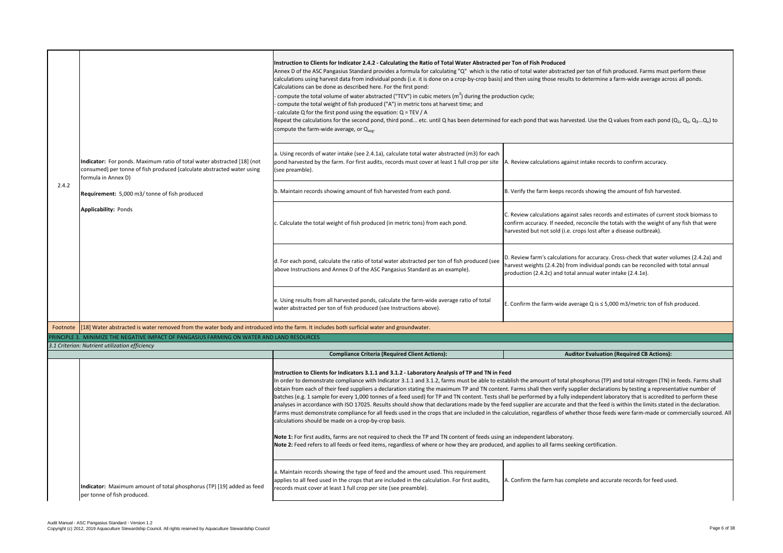A. Review calculations against intake records to confirm accuracy.

 $B$ . Verify the farm keeps records showing the amount of fish harvested.

C. Review calculations against sales records and estimates of current stock biomass to confirm accuracy. If needed, reconcile the totals with the weight of any fish that were harvested but not sold (i.e. crops lost after a disease outbreak).

D. Review farm's calculations for accuracy. Cross-check that water volumes (2.4.2a) and harvest weights (2.4.2b) from individual ponds can be reconciled with total annual production (2.4.2c) and total annual water intake (2.4.1e).

E. Confirm the farm-wide average Q is ≤ 5,000 m3/metric ton of fish produced.

# **Auditor Evaluation (Required CB Actions):**

tablish the amount of total phosphorus (TP) and total nitrogen (TN) in feeds. Farms shall nt. Farms shall then verify supplier declarations by testing a representative number of hall be performed by a fully independent laboratory that is accredited to perform these eed supplier are accurate and that the feed is within the limits stated in the declaration. calculation, regardless of whether those feeds were farm-made or commercially sourced. All

**x** an independent laboratory.

, and applies to all farms seeking certification.

A. Confirm the farm has complete and accurate records for feed used.

|          |                                                                                                                                                                          | Instruction to Clients for Indicator 2.4.2 - Calculating the Ratio of Total Water Abstracted per<br>Annex D of the ASC Pangasius Standard provides a formula for calculating "Q" which is the ration<br>calculations using harvest data from individual ponds (i.e. it is done on a crop-by-crop basis) and<br>Calculations can be done as described here. For the first pond:<br>compute the total volume of water abstracted ("TEV") in cubic meters $(m3)$ during the product<br>compute the total weight of fish produced ("A") in metric tons at harvest time; and<br>calculate Q for the first pond using the equation: $Q = TEV / A$<br>Repeat the calculations for the second pond, third pond etc. until Q has been determined for<br>compute the farm-wide average, or $Q_{ave}$ .                                                                                 |                           |
|----------|--------------------------------------------------------------------------------------------------------------------------------------------------------------------------|------------------------------------------------------------------------------------------------------------------------------------------------------------------------------------------------------------------------------------------------------------------------------------------------------------------------------------------------------------------------------------------------------------------------------------------------------------------------------------------------------------------------------------------------------------------------------------------------------------------------------------------------------------------------------------------------------------------------------------------------------------------------------------------------------------------------------------------------------------------------------|---------------------------|
|          | Indicator: For ponds. Maximum ratio of total water abstracted [18] (not<br>consumed) per tonne of fish produced (calculate abstracted water using<br>formula in Annex D) | a. Using records of water intake (see 2.4.1a), calculate total water abstracted (m3) for each<br>pond harvested by the farm. For first audits, records must cover at least 1 full crop per site $\vert A$ .<br>(see preamble).                                                                                                                                                                                                                                                                                                                                                                                                                                                                                                                                                                                                                                               |                           |
| 2.4.2    | Requirement: 5,000 m3/tonne of fish produced                                                                                                                             | b. Maintain records showing amount of fish harvested from each pond.                                                                                                                                                                                                                                                                                                                                                                                                                                                                                                                                                                                                                                                                                                                                                                                                         | ĮΒ.                       |
|          | <b>Applicability: Ponds</b>                                                                                                                                              | c. Calculate the total weight of fish produced (in metric tons) from each pond.                                                                                                                                                                                                                                                                                                                                                                                                                                                                                                                                                                                                                                                                                                                                                                                              | IC.<br> co<br> ha         |
|          |                                                                                                                                                                          | d. For each pond, calculate the ratio of total water abstracted per ton of fish produced (see<br>above Instructions and Annex D of the ASC Pangasius Standard as an example).                                                                                                                                                                                                                                                                                                                                                                                                                                                                                                                                                                                                                                                                                                | JD.<br><b> </b> ha<br> pr |
|          |                                                                                                                                                                          | e. Using results from all harvested ponds, calculate the farm-wide average ratio of total<br>water abstracted per ton of fish produced (see Instructions above).                                                                                                                                                                                                                                                                                                                                                                                                                                                                                                                                                                                                                                                                                                             | E.                        |
| Footnote | [18] Water abstracted is water removed from the water body and introduced into the farm. It includes both surficial water and groundwater.                               |                                                                                                                                                                                                                                                                                                                                                                                                                                                                                                                                                                                                                                                                                                                                                                                                                                                                              |                           |
|          | PRINCIPLE 3. MINIMIZE THE NEGATIVE IMPACT OF PANGASIUS FARMING ON WATER AND LAND RESOURCES                                                                               |                                                                                                                                                                                                                                                                                                                                                                                                                                                                                                                                                                                                                                                                                                                                                                                                                                                                              |                           |
|          | 3.1 Criterion: Nutrient utilization efficiency                                                                                                                           |                                                                                                                                                                                                                                                                                                                                                                                                                                                                                                                                                                                                                                                                                                                                                                                                                                                                              |                           |
|          |                                                                                                                                                                          | <b>Compliance Criteria (Required Client Actions):</b>                                                                                                                                                                                                                                                                                                                                                                                                                                                                                                                                                                                                                                                                                                                                                                                                                        |                           |
|          |                                                                                                                                                                          | Instruction to Clients for Indicators 3.1.1 and 3.1.2 - Laboratory Analysis of TP and TN in Feed<br>In order to demonstrate compliance with Indicator 3.1.1 and 3.1.2, farms must be able to estab<br>obtain from each of their feed suppliers a declaration stating the maximum TP and TN content.<br>batches (e.g. 1 sample for every 1,000 tonnes of a feed used) for TP and TN content. Tests shall<br>analyses in accordance with ISO 17025. Results should show that declarations made by the feed<br>Farms must demonstrate compliance for all feeds used in the crops that are included in the calc<br>calculations should be made on a crop-by-crop basis.<br>Note 1: For first audits, farms are not required to check the TP and TN content of feeds using ar<br>Note 2: Feed refers to all feeds or feed items, regardless of where or how they are produced, ar |                           |
|          | Indicator: Maximum amount of total phosphorus (TP) [19] added as feed<br>per tonne of fish produced.                                                                     | a. Maintain records showing the type of feed and the amount used. This requirement<br>applies to all feed used in the crops that are included in the calculation. For first audits,<br>records must cover at least 1 full crop per site (see preamble).                                                                                                                                                                                                                                                                                                                                                                                                                                                                                                                                                                                                                      | IA.                       |

#### **Per Ton of Fish Produced**

atio of total water abstracted per ton of fish produced. Farms must perform these and then using those results to determine a farm-wide average across all ponds.

luction cycle;

for each pond that was harvested. Use the Q values from each pond ( $Q_1$ ,  $Q_2$ ,  $Q_3...Q_n$ ) to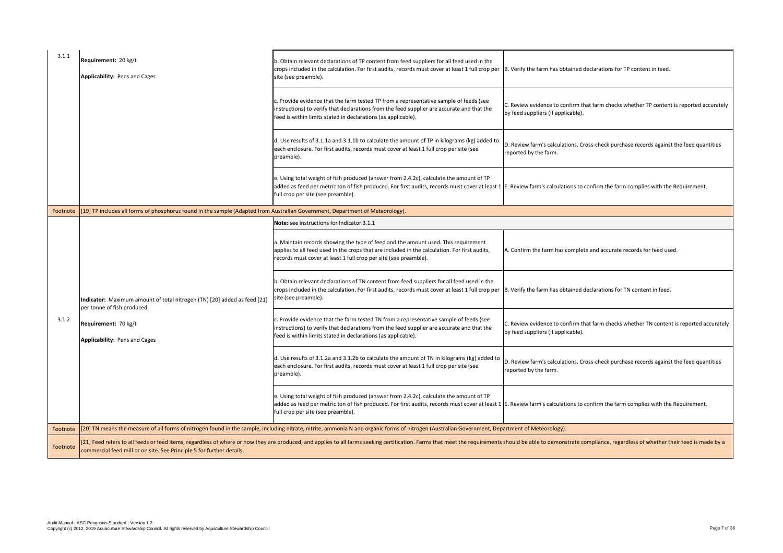B. Verify the farm has obtained declarations for TP content in feed.

C. Review evidence to confirm that farm checks whether TP content is reported accurately by feed suppliers (if applicable).

D. Review farm's calculations. Cross-check purchase records against the feed quantities reported by the farm.

E. Review farm's calculations to confirm the farm complies with the Requirement.

A. Confirm the farm has complete and accurate records for feed used.

B. Verify the farm has obtained declarations for TN content in feed.

| 3.1.1    | Requirement: 20 kg/t<br>Applicability: Pens and Cages                                                                         | b. Obtain relevant declarations of TP content from feed suppliers for all feed used in the<br>crops included in the calculation. For first audits, records must cover at least 1 full crop per<br>site (see preamble).                                  |
|----------|-------------------------------------------------------------------------------------------------------------------------------|---------------------------------------------------------------------------------------------------------------------------------------------------------------------------------------------------------------------------------------------------------|
|          |                                                                                                                               | c. Provide evidence that the farm tested TP from a representative sample of feeds (see<br>instructions) to verify that declarations from the feed supplier are accurate and that the<br>feed is within limits stated in declarations (as applicable).   |
|          |                                                                                                                               | d. Use results of 3.1.1a and 3.1.1b to calculate the amount of TP in kilograms (kg) added to<br>each enclosure. For first audits, records must cover at least 1 full crop per site (see<br>preamble).                                                   |
|          |                                                                                                                               | e. Using total weight of fish produced (answer from 2.4.2c), calculate the amount of TP<br>added as feed per metric ton of fish produced. For first audits, records must cover at least 1<br>full crop per site (see preamble).                         |
| Footnote | [19] TP includes all forms of phosphorus found in the sample (Adapted from Australian Government, Department of Meteorology). |                                                                                                                                                                                                                                                         |
|          |                                                                                                                               | Note: see instructions for Indicator 3.1.1                                                                                                                                                                                                              |
|          |                                                                                                                               | a. Maintain records showing the type of feed and the amount used. This requirement<br>applies to all feed used in the crops that are included in the calculation. For first audits,<br>records must cover at least 1 full crop per site (see preamble). |
|          | <b>Indicator:</b> Maximum amount of total nitrogen (TN) [20] added as feed [21]<br>per tonne of fish produced.                | b. Obtain relevant declarations of TN content from feed suppliers for all feed used in the<br>crops included in the calculation. For first audits, records must cover at least 1 full crop per<br>site (see preamble).                                  |
| 3.1.2    | Requirement: 70 kg/t<br>Applicability: Pens and Cages                                                                         | c. Provide evidence that the farm tested TN from a representative sample of feeds (see<br>instructions) to verify that declarations from the feed supplier are accurate and that the<br>feed is within limits stated in declarations (as applicable).   |
|          |                                                                                                                               | d. Use results of 3.1.2a and 3.1.2b to calculate the amount of TN in kilograms (kg) added to<br>each enclosure. For first audits, records must cover at least 1 full crop per site (see<br>preamble).                                                   |
|          |                                                                                                                               | e. Using total weight of fish produced (answer from 2.4.2c), calculate the amount of TP<br>added as feed per metric ton of fish produced. For first audits, records must cover at least 1<br>full crop per site (see preamble).                         |
| Footnote |                                                                                                                               | [20] TN means the measure of all forms of nitrogen found in the sample, including nitrate, nitrite, ammonia N and organic forms of nitrogen (Australian Government, Dep                                                                                 |
| Footnote | commercial feed mill or on site. See Principle 5 for further details.                                                         | [21] Feed refers to all feeds or feed items, regardless of where or how they are produced, and applies to all farms seeking certification. Farms that meet the requirements                                                                             |

C. Review evidence to confirm that farm checks whether TN content is reported accurately by feed suppliers (if applicable).

D. Review farm's calculations. Cross-check purchase records against the feed quantities reported by the farm.

E. Review farm's calculations to confirm the farm complies with the Requirement.

artment of Meteorology).

should be able to demonstrate compliance, regardless of whether their feed is made by a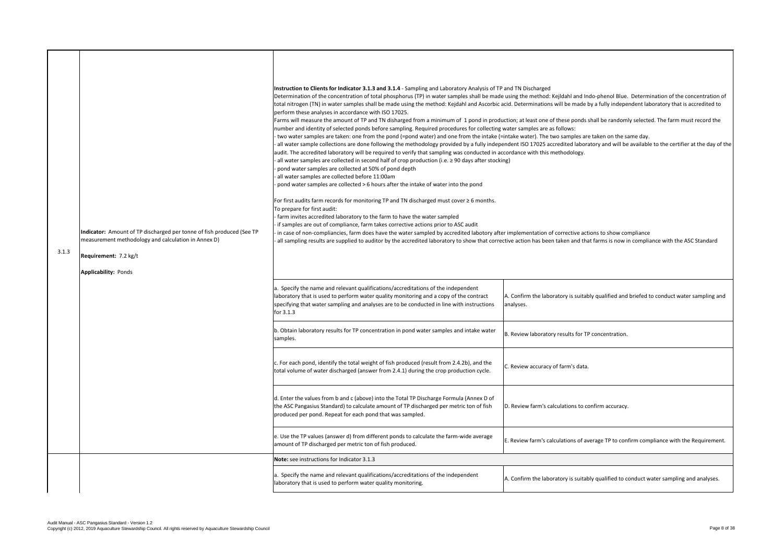A. Confirm the laboratory is suitably qualified and briefed to conduct water sampling and analyses.

B. Review laboratory results for TP concentration.

C. Review accuracy of farm's data.

D. Review farm's calculations to confirm accuracy.

 $\vert$ E. Review farm's calculations of average TP to confirm compliance with the Requirement.

A. Confirm the laboratory is suitably qualified to conduct water sampling and analyses.

| 3.1.3 | Indicator: Amount of TP discharged per tonne of fish produced (See TP<br>measurement methodology and calculation in Annex D)<br>Requirement: 7.2 kg/t<br><b>Applicability: Ponds</b> | Instruction to Clients for Indicator 3.1.3 and 3.1.4 - Sampling and Laboratory Analysis of TP an<br>Determination of the concentration of total phosphorus (TP) in water samples shall be made us<br>total nitrogen (TN) in water samples shall be made using the method: Kejdahl and Ascorbic acid<br>perform these analyses in accordance with ISO 17025.<br>Farms will measure the amount of TP and TN disharged from a minimum of 1 pond in producti<br>number and identity of selected ponds before sampling. Required procedures for collecting wa<br>two water samples are taken: one from the pond (=pond water) and one from the intake (=int<br>all water sample collections are done following the methodology provided by a fully independ<br>audit. The accredited laboratory will be required to verify that sampling was conducted in acco<br>all water samples are collected in second half of crop production (i.e. $\geq$ 90 days after stocking)<br>pond water samples are collected at 50% of pond depth<br>all water samples are collected before 11:00am<br>pond water samples are collected > 6 hours after the intake of water into the pond<br>For first audits farm records for monitoring TP and TN discharged must cover $\geq 6$ months.<br>To prepare for first audit:<br>farm invites accredited laboratory to the farm to have the water sampled<br>if samples are out of compliance, farm takes corrective actions prior to ASC audit<br>in case of non-compliancies, farm does have the water sampled by accredited labotory after in<br>all sampling results are supplied to auditor by the accredited laboratory to show that correctiv |     |
|-------|--------------------------------------------------------------------------------------------------------------------------------------------------------------------------------------|-----------------------------------------------------------------------------------------------------------------------------------------------------------------------------------------------------------------------------------------------------------------------------------------------------------------------------------------------------------------------------------------------------------------------------------------------------------------------------------------------------------------------------------------------------------------------------------------------------------------------------------------------------------------------------------------------------------------------------------------------------------------------------------------------------------------------------------------------------------------------------------------------------------------------------------------------------------------------------------------------------------------------------------------------------------------------------------------------------------------------------------------------------------------------------------------------------------------------------------------------------------------------------------------------------------------------------------------------------------------------------------------------------------------------------------------------------------------------------------------------------------------------------------------------------------------------------------------------------------------------------------------------------------------------------|-----|
|       |                                                                                                                                                                                      | a. Specify the name and relevant qualifications/accreditations of the independent<br>laboratory that is used to perform water quality monitoring and a copy of the contract<br>specifying that water sampling and analyses are to be conducted in line with instructions<br>for 3.1.3                                                                                                                                                                                                                                                                                                                                                                                                                                                                                                                                                                                                                                                                                                                                                                                                                                                                                                                                                                                                                                                                                                                                                                                                                                                                                                                                                                                       | lar |
|       |                                                                                                                                                                                      | b. Obtain laboratory results for TP concentration in pond water samples and intake water<br>samples.                                                                                                                                                                                                                                                                                                                                                                                                                                                                                                                                                                                                                                                                                                                                                                                                                                                                                                                                                                                                                                                                                                                                                                                                                                                                                                                                                                                                                                                                                                                                                                        | ΙB  |
|       |                                                                                                                                                                                      | c. For each pond, identify the total weight of fish produced (result from 2.4.2b), and the<br>total volume of water discharged (answer from 2.4.1) during the crop production cycle.                                                                                                                                                                                                                                                                                                                                                                                                                                                                                                                                                                                                                                                                                                                                                                                                                                                                                                                                                                                                                                                                                                                                                                                                                                                                                                                                                                                                                                                                                        |     |
|       |                                                                                                                                                                                      | d. Enter the values from b and c (above) into the Total TP Discharge Formula (Annex D of<br>the ASC Pangasius Standard) to calculate amount of TP discharged per metric ton of fish<br>produced per pond. Repeat for each pond that was sampled.                                                                                                                                                                                                                                                                                                                                                                                                                                                                                                                                                                                                                                                                                                                                                                                                                                                                                                                                                                                                                                                                                                                                                                                                                                                                                                                                                                                                                            |     |
|       |                                                                                                                                                                                      | e. Use the TP values (answer d) from different ponds to calculate the farm-wide average<br>amount of TP discharged per metric ton of fish produced.                                                                                                                                                                                                                                                                                                                                                                                                                                                                                                                                                                                                                                                                                                                                                                                                                                                                                                                                                                                                                                                                                                                                                                                                                                                                                                                                                                                                                                                                                                                         |     |
|       |                                                                                                                                                                                      | Note: see instructions for Indicator 3.1.3                                                                                                                                                                                                                                                                                                                                                                                                                                                                                                                                                                                                                                                                                                                                                                                                                                                                                                                                                                                                                                                                                                                                                                                                                                                                                                                                                                                                                                                                                                                                                                                                                                  |     |
|       |                                                                                                                                                                                      | a. Specify the name and relevant qualifications/accreditations of the independent<br>laboratory that is used to perform water quality monitoring.                                                                                                                                                                                                                                                                                                                                                                                                                                                                                                                                                                                                                                                                                                                                                                                                                                                                                                                                                                                                                                                                                                                                                                                                                                                                                                                                                                                                                                                                                                                           | А.  |

and TN Discharged

etermination of the method: Kejldahl and Indo-phenol Blue. Determination of the concentration of icid. Determinations will be made by a fully independent laboratory that is accredited to

iction; at least one of these ponds shall be randomly selected. The farm must record the water samples are as follows:

intake water). The two samples are taken on the same day.

endent ISO 17025 accredited laboratory and will be available to the certifier at the day of the cordance with this methodology.

implementation of corrective actions to show compliance ctive action has been taken and that farms is now in compliance with the ASC Standard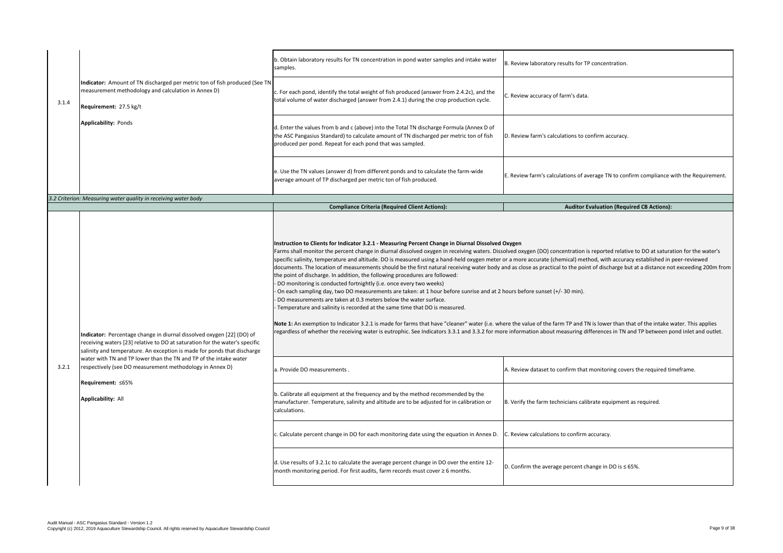|       |                                                                                                                                                                                                                                 | b. Obtain laboratory results for TN concentration in pond water samples and intake water<br>samples.                                                                                                                                                                                                                                                                                                                                                                                                                                                                                                                                                                                                                                                                                                                                                                                                                                                                                                                                                                                                                                                                                                                                                                                                                                                                                                                                                                                   | B. Review laboratory results for TP concentration.                                      |
|-------|---------------------------------------------------------------------------------------------------------------------------------------------------------------------------------------------------------------------------------|----------------------------------------------------------------------------------------------------------------------------------------------------------------------------------------------------------------------------------------------------------------------------------------------------------------------------------------------------------------------------------------------------------------------------------------------------------------------------------------------------------------------------------------------------------------------------------------------------------------------------------------------------------------------------------------------------------------------------------------------------------------------------------------------------------------------------------------------------------------------------------------------------------------------------------------------------------------------------------------------------------------------------------------------------------------------------------------------------------------------------------------------------------------------------------------------------------------------------------------------------------------------------------------------------------------------------------------------------------------------------------------------------------------------------------------------------------------------------------------|-----------------------------------------------------------------------------------------|
| 3.1.4 | Indicator: Amount of TN discharged per metric ton of fish produced (See TN<br>measurement methodology and calculation in Annex D)<br>Requirement: 27.5 kg/t                                                                     | c. For each pond, identify the total weight of fish produced (answer from 2.4.2c), and the<br>total volume of water discharged (answer from 2.4.1) during the crop production cycle.                                                                                                                                                                                                                                                                                                                                                                                                                                                                                                                                                                                                                                                                                                                                                                                                                                                                                                                                                                                                                                                                                                                                                                                                                                                                                                   | C. Review accuracy of farm's data.                                                      |
|       | <b>Applicability: Ponds</b>                                                                                                                                                                                                     | d. Enter the values from b and c (above) into the Total TN discharge Formula (Annex D of<br>the ASC Pangasius Standard) to calculate amount of TN discharged per metric ton of fish<br>produced per pond. Repeat for each pond that was sampled.                                                                                                                                                                                                                                                                                                                                                                                                                                                                                                                                                                                                                                                                                                                                                                                                                                                                                                                                                                                                                                                                                                                                                                                                                                       | D. Review farm's calculations to confirm accuracy.                                      |
|       |                                                                                                                                                                                                                                 | e. Use the TN values (answer d) from different ponds and to calculate the farm-wide<br>average amount of TP discharged per metric ton of fish produced.                                                                                                                                                                                                                                                                                                                                                                                                                                                                                                                                                                                                                                                                                                                                                                                                                                                                                                                                                                                                                                                                                                                                                                                                                                                                                                                                | E. Review farm's calculations of average TN to confirm compliance with the Requirement. |
|       | 3.2 Criterion: Measuring water quality in receiving water body                                                                                                                                                                  |                                                                                                                                                                                                                                                                                                                                                                                                                                                                                                                                                                                                                                                                                                                                                                                                                                                                                                                                                                                                                                                                                                                                                                                                                                                                                                                                                                                                                                                                                        |                                                                                         |
|       |                                                                                                                                                                                                                                 | <b>Compliance Criteria (Required Client Actions):</b>                                                                                                                                                                                                                                                                                                                                                                                                                                                                                                                                                                                                                                                                                                                                                                                                                                                                                                                                                                                                                                                                                                                                                                                                                                                                                                                                                                                                                                  | <b>Auditor Evaluation (Required CB Actions):</b>                                        |
|       | Indicator: Percentage change in diurnal dissolved oxygen [22] (DO) of<br>receiving waters [23] relative to DO at saturation for the water's specific<br>salinity and temperature. An exception is made for ponds that discharge | Instruction to Clients for Indicator 3.2.1 - Measuring Percent Change in Diurnal Dissolved Oxygen<br>Farms shall monitor the percent change in diurnal dissolved oxygen in receiving waters. Dissolved oxygen (DO) concentration is reported relative to DO at saturation for the water's<br>specific salinity, temperature and altitude. DO is measured using a hand-held oxygen meter or a more accurate (chemical) method, with accuracy established in peer-reviewed<br>documents. The location of measurements should be the first natural receiving water body and as close as practical to the point of discharge but at a distance not exceeding 200m from<br>the point of discharge. In addition, the following procedures are followed:<br>DO monitoring is conducted fortnightly (i.e. once every two weeks)<br>- On each sampling day, two DO measurements are taken: at 1 hour before sunrise and at 2 hours before sunset (+/- 30 min).<br>DO measurements are taken at 0.3 meters below the water surface.<br>Temperature and salinity is recorded at the same time that DO is measured.<br>Note 1: An exemption to Indicator 3.2.1 is made for farms that have "cleaner" water (i.e. where the value of the farm TP and TN is lower than that of the intake water. This applies<br>regardless of whether the receiving water is eutrophic. See Indicators 3.3.1 and 3.3.2 for more information about measuring differences in TN and TP between pond inlet and outlet. |                                                                                         |
| 3.2.1 | water with TN and TP lower than the TN and TP of the intake water<br>respectively (see DO measurement methodology in Annex D)                                                                                                   | a. Provide DO measurements                                                                                                                                                                                                                                                                                                                                                                                                                                                                                                                                                                                                                                                                                                                                                                                                                                                                                                                                                                                                                                                                                                                                                                                                                                                                                                                                                                                                                                                             | A. Review dataset to confirm that monitoring covers the required timeframe.             |
|       | Requirement: ≤65%<br><b>Applicability: All</b>                                                                                                                                                                                  | b. Calibrate all equipment at the frequency and by the method recommended by the<br>manufacturer. Temperature, salinity and altitude are to be adjusted for in calibration or<br>calculations.                                                                                                                                                                                                                                                                                                                                                                                                                                                                                                                                                                                                                                                                                                                                                                                                                                                                                                                                                                                                                                                                                                                                                                                                                                                                                         | B. Verify the farm technicians calibrate equipment as required.                         |
|       |                                                                                                                                                                                                                                 | c. Calculate percent change in DO for each monitoring date using the equation in Annex D. C. Review calculations to confirm accuracy.                                                                                                                                                                                                                                                                                                                                                                                                                                                                                                                                                                                                                                                                                                                                                                                                                                                                                                                                                                                                                                                                                                                                                                                                                                                                                                                                                  |                                                                                         |
|       |                                                                                                                                                                                                                                 | d. Use results of 3.2.1c to calculate the average percent change in DO over the entire 12-<br>month monitoring period. For first audits, farm records must cover $\geq 6$ months.                                                                                                                                                                                                                                                                                                                                                                                                                                                                                                                                                                                                                                                                                                                                                                                                                                                                                                                                                                                                                                                                                                                                                                                                                                                                                                      | D. Confirm the average percent change in DO is $\leq$ 65%.                              |
|       |                                                                                                                                                                                                                                 |                                                                                                                                                                                                                                                                                                                                                                                                                                                                                                                                                                                                                                                                                                                                                                                                                                                                                                                                                                                                                                                                                                                                                                                                                                                                                                                                                                                                                                                                                        |                                                                                         |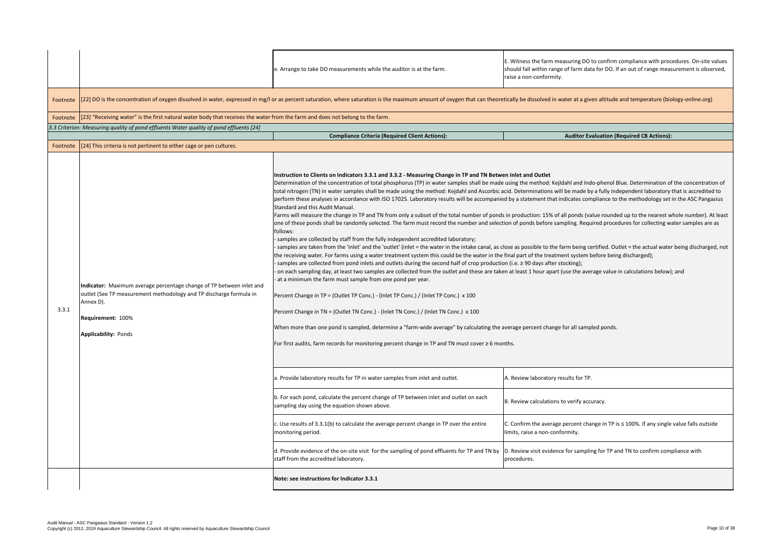|          |                                                                                                                                                                                                                     | e. Arrange to take DO measurements while the auditor is at the farm.                                                                                                                                                                                                                                                                                                                                                                                                                                                                                                                                                                                                                                                                                                                                                                                                                                                                                                                                                                                                                                                                                                                                                                                                                                                                                                                                                                                                                                                                                                                                                                                                                                                                                                                                                                                                                                                                                                                                                                                                                                                                                                                                                                                                                                                                                                                                                                                                                                                                                                                                                                                | E. Witness the farm measuring DO to confirm compliance with procedures. On-site values<br>should fall within range of farm data for DO. If an out of range measurement is observed,<br>raise a non-conformity.                                                                                                                                                                                                                                                                                                                   |
|----------|---------------------------------------------------------------------------------------------------------------------------------------------------------------------------------------------------------------------|-----------------------------------------------------------------------------------------------------------------------------------------------------------------------------------------------------------------------------------------------------------------------------------------------------------------------------------------------------------------------------------------------------------------------------------------------------------------------------------------------------------------------------------------------------------------------------------------------------------------------------------------------------------------------------------------------------------------------------------------------------------------------------------------------------------------------------------------------------------------------------------------------------------------------------------------------------------------------------------------------------------------------------------------------------------------------------------------------------------------------------------------------------------------------------------------------------------------------------------------------------------------------------------------------------------------------------------------------------------------------------------------------------------------------------------------------------------------------------------------------------------------------------------------------------------------------------------------------------------------------------------------------------------------------------------------------------------------------------------------------------------------------------------------------------------------------------------------------------------------------------------------------------------------------------------------------------------------------------------------------------------------------------------------------------------------------------------------------------------------------------------------------------------------------------------------------------------------------------------------------------------------------------------------------------------------------------------------------------------------------------------------------------------------------------------------------------------------------------------------------------------------------------------------------------------------------------------------------------------------------------------------------------|----------------------------------------------------------------------------------------------------------------------------------------------------------------------------------------------------------------------------------------------------------------------------------------------------------------------------------------------------------------------------------------------------------------------------------------------------------------------------------------------------------------------------------|
|          |                                                                                                                                                                                                                     | Footnote [22] DO is the concentration of oxygen dissolved in water, expressed in mg/l or as percent saturation, where saturation is the maximum amount of oxygen that can theoretically be dissolved in water at a given altit                                                                                                                                                                                                                                                                                                                                                                                                                                                                                                                                                                                                                                                                                                                                                                                                                                                                                                                                                                                                                                                                                                                                                                                                                                                                                                                                                                                                                                                                                                                                                                                                                                                                                                                                                                                                                                                                                                                                                                                                                                                                                                                                                                                                                                                                                                                                                                                                                      |                                                                                                                                                                                                                                                                                                                                                                                                                                                                                                                                  |
|          | Footnote [[23] "Receiving water" is the first natural water body that receives the water from the farm and does not belong to the farm.                                                                             |                                                                                                                                                                                                                                                                                                                                                                                                                                                                                                                                                                                                                                                                                                                                                                                                                                                                                                                                                                                                                                                                                                                                                                                                                                                                                                                                                                                                                                                                                                                                                                                                                                                                                                                                                                                                                                                                                                                                                                                                                                                                                                                                                                                                                                                                                                                                                                                                                                                                                                                                                                                                                                                     |                                                                                                                                                                                                                                                                                                                                                                                                                                                                                                                                  |
|          | 3.3 Criterion: Measuring quality of pond effluents Water quality of pond effluents [24]                                                                                                                             | <b>Compliance Criteria (Required Client Actions):</b>                                                                                                                                                                                                                                                                                                                                                                                                                                                                                                                                                                                                                                                                                                                                                                                                                                                                                                                                                                                                                                                                                                                                                                                                                                                                                                                                                                                                                                                                                                                                                                                                                                                                                                                                                                                                                                                                                                                                                                                                                                                                                                                                                                                                                                                                                                                                                                                                                                                                                                                                                                                               | <b>Auditor Evaluation (Required CB Actions):</b>                                                                                                                                                                                                                                                                                                                                                                                                                                                                                 |
| Footnote | [24] This criteria is not pertinent to either cage or pen cultures.                                                                                                                                                 |                                                                                                                                                                                                                                                                                                                                                                                                                                                                                                                                                                                                                                                                                                                                                                                                                                                                                                                                                                                                                                                                                                                                                                                                                                                                                                                                                                                                                                                                                                                                                                                                                                                                                                                                                                                                                                                                                                                                                                                                                                                                                                                                                                                                                                                                                                                                                                                                                                                                                                                                                                                                                                                     |                                                                                                                                                                                                                                                                                                                                                                                                                                                                                                                                  |
| 3.3.1    | Indicator: Maximum average percentage change of TP between inlet and<br>Joutlet (See TP measurement methodology and TP discharge formula in<br>Annex D).<br><b>Requirement: 100%</b><br><b>Applicability: Ponds</b> | Instruction to Clients on Indicators 3.3.1 and 3.3.2 - Measuring Change in TP and TN Betwen Inlet and Outlet<br>Determination of the concentration of total phosphorus (TP) in water samples shall be made using the method: Kejldahl and Indo-phenol Blue. Determination of the concentration of<br>total nitrogen (TN) in water samples shall be made using the method: Kejdahl and Ascorbic acid. Determinations will be made by a fully independent laboratory that is accredited to<br>perform these analyses in accordance with ISO 17025. Laboratory results will be accompanied by a statement that indicates compliance to the methodology set in the ASC Pangasius<br>Standard and this Audit Manual.<br>Farms will measure the change in TP and TN from only a subset of the total number of ponds in production: 15% of all ponds (value rounded up to the nearest whole number). At least<br>one of these ponds shall be randomly selected. The farm must record the number and selection of ponds before sampling. Required procedures for collecting water samples are as<br>follows:<br>samples are collected by staff from the fully independent accredited laboratory;<br>the receiving water. For farms using a water treatment system this could be the water in the final part of the treatment system before being discharged);<br>samples are collected from pond inlets and outlets during the second half of crop production (i.e. ≥ 90 days after stocking);<br>on each sampling day, at least two samples are collected from the outlet and these are taken at least 1 hour apart (use the average value in calculations below); and<br>- at a minimum the farm must sample from one pond per year.<br>Percent Change in TP = (Outlet TP Conc.) - (Inlet TP Conc.) / (Inlet TP Conc.) x 100<br>Percent Change in TN = (Outlet TN Conc.) - (Inlet TN Conc.) / (Inlet TN Conc.) x 100<br>When more than one pond is sampled, determine a "farm-wide average" by calculating the average percent change for all sampled ponds.<br>For first audits, farm records for monitoring percent change in TP and TN must cover $\geq 6$ months.<br>a. Provide laboratory results for TP in water samples from inlet and outlet.<br>b. For each pond, calculate the percent change of TP between inlet and outlet on each<br>sampling day using the equation shown above.<br>c. Use results of 3.3.1(b) to calculate the average percent change in TP over the entire<br>monitoring period.<br>d. Provide evidence of the on-site visit for the sampling of pond effluents for TP and TN by<br>staff from the accredited laboratory. | samples are taken from the 'inlet' and the 'outlet' (inlet = the water in the intake canal, as close as possible to the farm being certified. Outlet = the actual water being discharged, not<br>A. Review laboratory results for TP.<br>B. Review calculations to verify accuracy.<br>$\Sigma$ . Confirm the average percent change in TP is $\leq$ 100%. If any single value falls outside<br>limits, raise a non-conformity.<br>D. Review visit evidence for sampling for TP and TN to confirm compliance with<br>procedures. |
|          |                                                                                                                                                                                                                     | Note: see instructions for Indicator 3.3.1                                                                                                                                                                                                                                                                                                                                                                                                                                                                                                                                                                                                                                                                                                                                                                                                                                                                                                                                                                                                                                                                                                                                                                                                                                                                                                                                                                                                                                                                                                                                                                                                                                                                                                                                                                                                                                                                                                                                                                                                                                                                                                                                                                                                                                                                                                                                                                                                                                                                                                                                                                                                          |                                                                                                                                                                                                                                                                                                                                                                                                                                                                                                                                  |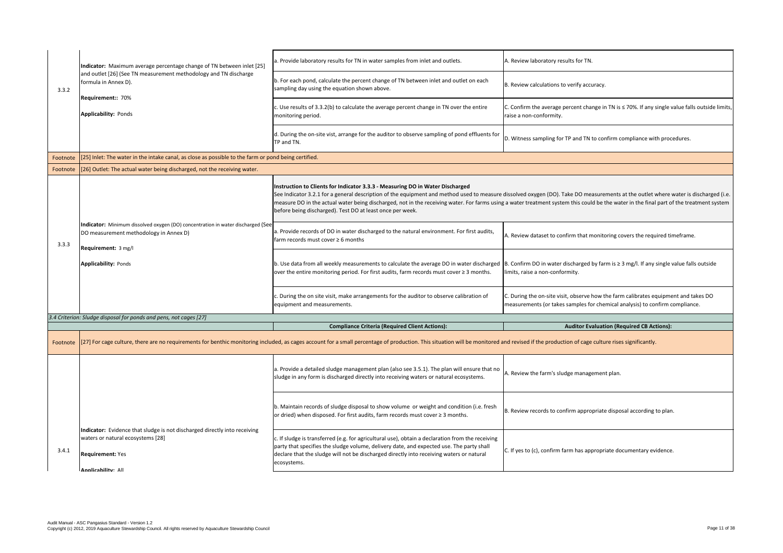C. Confirm the average percent change in TN is ≤ 70%. If any single value falls outside limits, raise a non-conformity.

D. Witness sampling for TP and TN to confirm compliance with procedures.

dissolved oxygen (DO). Take DO measurements at the outlet where water is discharged (i.e. ig a water treatment system this could be the water in the final part of the treatment system

A. Review dataset to confirm that monitoring covers the required timeframe.

B. Confirm DO in water discharged by farm is ≥ 3 mg/l. If any single value falls outside limits, raise a non-conformity.

C. During the on-site visit, observe how the farm calibrates equipment and takes DO measurements (or takes samples for chemical analysis) to confirm compliance.

**Auditor Evaluation (Required CB Actions):** 

and revised if the production of cage culture rises significantly.

A. Review the farm's sludge management plan.

B. Review records to confirm appropriate disposal according to plan.

|          | Indicator: Maximum average percentage change of TN between inlet [25]                                                                            | a. Provide laboratory results for TN in water samples from inlet and outlets.                                                                                                                                                                                                                                                           |
|----------|--------------------------------------------------------------------------------------------------------------------------------------------------|-----------------------------------------------------------------------------------------------------------------------------------------------------------------------------------------------------------------------------------------------------------------------------------------------------------------------------------------|
| 3.3.2    | and outlet [26] (See TN measurement methodology and TN discharge<br>formula in Annex D).                                                         | b. For each pond, calculate the percent change of TN between inlet and outlet on each<br>sampling day using the equation shown above.                                                                                                                                                                                                   |
|          | <b>Requirement:: 70%</b><br><b>Applicability: Ponds</b>                                                                                          | $\vert$ c. Use results of 3.3.2(b) to calculate the average percent change in TN over the entire<br>monitoring period.                                                                                                                                                                                                                  |
|          |                                                                                                                                                  | d. During the on-site vist, arrange for the auditor to observe sampling of pond effluents for<br>TP and TN.                                                                                                                                                                                                                             |
| Footnote | [25] Inlet: The water in the intake canal, as close as possible to the farm or pond being certified.                                             |                                                                                                                                                                                                                                                                                                                                         |
| Footnote | [26] Outlet: The actual water being discharged, not the receiving water.                                                                         |                                                                                                                                                                                                                                                                                                                                         |
|          |                                                                                                                                                  | Instruction to Clients for Indicator 3.3.3 - Measuring DO in Water Discharged<br>See Indicator 3.2.1 for a general description of the equipment and method used to measure<br>measure DO in the actual water being discharged, not in the receiving water. For farms using<br>before being discharged). Test DO at least once per week. |
| 3.3.3    | Indicator: Minimum dissolved oxygen (DO) concentration in water discharged (See<br>DO measurement methodology in Annex D)<br>Requirement: 3 mg/l | a. Provide records of DO in water discharged to the natural environment. For first audits,<br>farm records must cover $\geq 6$ months                                                                                                                                                                                                   |
|          | <b>Applicability: Ponds</b>                                                                                                                      | b. Use data from all weekly measurements to calculate the average DO in water discharged<br>over the entire monitoring period. For first audits, farm records must cover $\geq 3$ months.                                                                                                                                               |
|          |                                                                                                                                                  | c. During the on site visit, make arrangements for the auditor to observe calibration of<br>equipment and measurements.                                                                                                                                                                                                                 |
|          | 3.4 Criterion: Sludge disposal for ponds and pens, not cages [27]                                                                                |                                                                                                                                                                                                                                                                                                                                         |
|          |                                                                                                                                                  | <b>Compliance Criteria (Required Client Actions):</b>                                                                                                                                                                                                                                                                                   |
| Footnote |                                                                                                                                                  | [27] For cage culture, there are no requirements for benthic monitoring included, as cages account for a small percentage of production. This situation will be monitored and                                                                                                                                                           |
|          |                                                                                                                                                  | a. Provide a detailed sludge management plan (also see 3.5.1). The plan will ensure that no<br>sludge in any form is discharged directly into receiving waters or natural ecosystems.                                                                                                                                                   |
|          |                                                                                                                                                  | b. Maintain records of sludge disposal to show volume or weight and condition (i.e. fresh<br>or dried) when disposed. For first audits, farm records must cover $\geq 3$ months.                                                                                                                                                        |
| 3.4.1    | Indicator: Evidence that sludge is not discharged directly into receiving<br>waters or natural ecosystems [28]<br><b>Requirement: Yes</b>        | c. If sludge is transferred (e.g. for agricultural use), obtain a declaration from the receiving<br>party that specifies the sludge volume, delivery date, and expected use. The party shall<br>declare that the sludge will not be discharged directly into receiving waters or natural<br>ecosystems.                                 |
|          | Annlicahility: All                                                                                                                               |                                                                                                                                                                                                                                                                                                                                         |

A. Review laboratory results for TN.

 $B.$  Review calculations to verify accuracy.

C. If yes to (c), confirm farm has appropriate documentary evidence.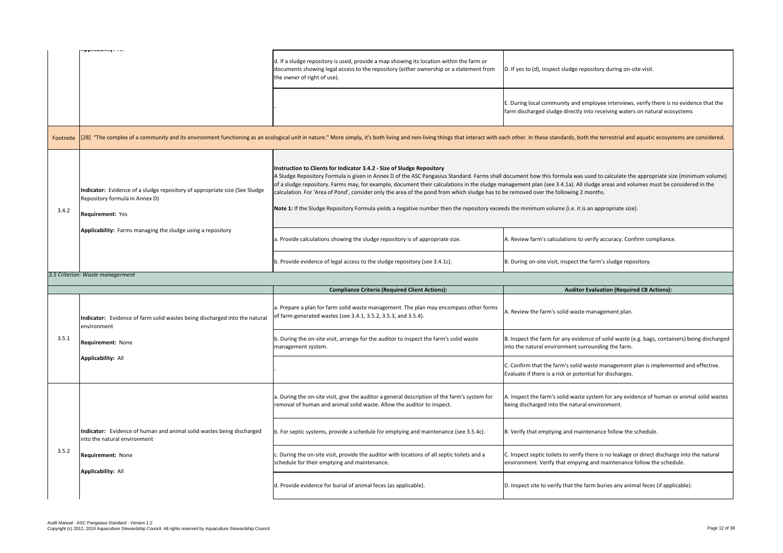$\vert$  E. During local community and employee interviews, verify there is no evidence that the farm discharged sludge directly into receiving waters on natural ecosystems

ach other. In these standards, both the terrestrial and aquatic ecosystems are considered.

document how this formula was used to calculate the appropriate size (minimum volume) nanagement plan (see 3.4.1a). All sludge areas and volumes must be considered in the be removed over the following 2 months.

eds the minimum volume (i.e. it is an appropriate size).

A. Review farm's calculations to verify accuracy. Confirm compliance.

B. During on-site visit, inspect the farm's sludge repository.

# **Auditor Evaluation (Required CB Actions):**

A. Review the farm's solid waste management plan.

D. If yes to (d), inspect sludge repository during on-site visit.

 $|c$ . Confirm that the farm's solid waste management plan is implemented and effective. Evaluate if there is a risk or potential for discharges.

B. Inspect the farm for any evidence of solid waste (e.g. bags, containers) being discharged into the natural environment surrounding the farm.

|          | ippuvuwintyi /w                                                                                                                  | d. If a sludge repository is used, provide a map showing its location within the farm or<br>documents showing legal access to the repository (either ownership or a statement from<br>the owner of right of use).                                                                                                                                                                                                                                                  |
|----------|----------------------------------------------------------------------------------------------------------------------------------|--------------------------------------------------------------------------------------------------------------------------------------------------------------------------------------------------------------------------------------------------------------------------------------------------------------------------------------------------------------------------------------------------------------------------------------------------------------------|
|          |                                                                                                                                  |                                                                                                                                                                                                                                                                                                                                                                                                                                                                    |
| Footnote |                                                                                                                                  | [28] "The complex of a community and its environment functioning as an ecological unit in nature." More simply, it's both living and non-living things that interact with e                                                                                                                                                                                                                                                                                        |
| 3.4.2    | Indicator: Evidence of a sludge repository of appropriate size (See Sludge<br>Repository formula in Annex D)<br>Requirement: Yes | Instruction to Clients for Indicator 3.4.2 - Size of Sludge Repository<br>A Sludge Repository Formula is given in Annex D of the ASC Pangasius Standard. Farms shall<br>of a sludge repository. Farms may, for example, document their calculations in the sludge m<br>calculation. For 'Area of Pond', consider only the area of the pond from which sludge has to<br>Note 1: If the Sludge Repository Formula yields a negative number then the repository excee |
|          | Applicability: Farms managing the sludge using a repository                                                                      | a. Provide calculations showing the sludge repository is of appropriate size.                                                                                                                                                                                                                                                                                                                                                                                      |
|          |                                                                                                                                  | b. Provide evidence of legal access to the sludge repository (see 3.4.1c).                                                                                                                                                                                                                                                                                                                                                                                         |
|          | 3.5 Criterion: Waste managerment                                                                                                 |                                                                                                                                                                                                                                                                                                                                                                                                                                                                    |
|          |                                                                                                                                  |                                                                                                                                                                                                                                                                                                                                                                                                                                                                    |
|          |                                                                                                                                  | <b>Compliance Criteria (Required Client Actions):</b>                                                                                                                                                                                                                                                                                                                                                                                                              |
|          | Indicator: Evidence of farm solid wastes being discharged into the natural<br>environment                                        | a. Prepare a plan for farm solid waste management. The plan may encompass other forms<br>of farm-generated wastes (see 3.4.1, 3.5.2, 3.5.3, and 3.5.4).                                                                                                                                                                                                                                                                                                            |
| 3.5.1    | <b>Requirement: None</b>                                                                                                         | b. During the on-site visit, arrange for the auditor to inspect the farm's solid waste<br>management system.                                                                                                                                                                                                                                                                                                                                                       |
|          | <b>Applicability: All</b>                                                                                                        |                                                                                                                                                                                                                                                                                                                                                                                                                                                                    |
|          |                                                                                                                                  | a. During the on-site visit, give the auditor a general description of the farm's system for<br>removal of human and animal solid waste. Allow the auditor to inspect.                                                                                                                                                                                                                                                                                             |
|          | Indicator: Evidence of human and animal solid wastes being discharged<br>into the natural environment                            | b. For septic systems, provide a schedule for emptying and maintenance (see 3.5.4c).                                                                                                                                                                                                                                                                                                                                                                               |
| 3.5.2    | <b>Requirement: None</b>                                                                                                         | c. During the on-site visit, provide the auditor with locations of all septic toilets and a<br>schedule for their emptying and maintenance.                                                                                                                                                                                                                                                                                                                        |
|          | <b>Applicability: All</b>                                                                                                        | d. Provide evidence for burial of animal feces (as applicable).                                                                                                                                                                                                                                                                                                                                                                                                    |

A. Inspect the farm's solid waste system for any evidence of human or animal solid wastes being discharged into the natural environment.

B. Verify that emptying and maintenance follow the schedule.

C. Inspect septic toilets to verify there is no leakage or direct discharge into the natural environment. Verify that empying and maintenance follow the schedule.

D. Inspect site to verify that the farm buries any animal feces (if applicable).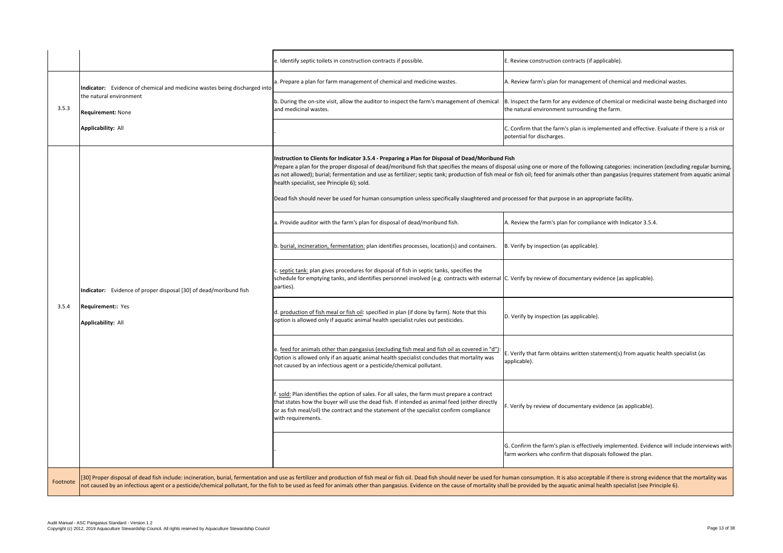|          |                                                                                                                                                               | e. Identify septic toilets in construction contracts if possible.                                                                                                                                                                                                                                                                                                                                                                                                                                                                                                                                                                                                                              | E. Review construction contracts (if applicable).                                                                                                          |  |
|----------|---------------------------------------------------------------------------------------------------------------------------------------------------------------|------------------------------------------------------------------------------------------------------------------------------------------------------------------------------------------------------------------------------------------------------------------------------------------------------------------------------------------------------------------------------------------------------------------------------------------------------------------------------------------------------------------------------------------------------------------------------------------------------------------------------------------------------------------------------------------------|------------------------------------------------------------------------------------------------------------------------------------------------------------|--|
| 3.5.3    | Indicator: Evidence of chemical and medicine wastes being discharged into<br>the natural environment<br><b>Requirement: None</b><br><b>Applicability: All</b> | a. Prepare a plan for farm management of chemical and medicine wastes.                                                                                                                                                                                                                                                                                                                                                                                                                                                                                                                                                                                                                         | A. Review farm's plan for management of chemical and medicinal wastes.                                                                                     |  |
|          |                                                                                                                                                               | b. During the on-site visit, allow the auditor to inspect the farm's management of chemical<br>and medicinal wastes.                                                                                                                                                                                                                                                                                                                                                                                                                                                                                                                                                                           | B. Inspect the farm for any evidence of chemical or medicinal waste being discharged into<br>the natural environment surrounding the farm.                 |  |
|          |                                                                                                                                                               |                                                                                                                                                                                                                                                                                                                                                                                                                                                                                                                                                                                                                                                                                                | C. Confirm that the farm's plan is implemented and effective. Evaluate if there is a risk or<br>potential for discharges.                                  |  |
|          |                                                                                                                                                               | Instruction to Clients for Indicator 3.5.4 - Preparing a Plan for Disposal of Dead/Moribund Fish<br>Prepare a plan for the proper disposal of dead/moribund fish that specifies the means of disposal using one or more of the following categories: incineration (excluding regular burning,<br>as not allowed); burial; fermentation and use as fertilizer; septic tank; production of fish meal or fish oil; feed for animals other than pangasius (requires statement from aquatic animal<br>health specialist, see Principle 6); sold.<br>Dead fish should never be used for human consumption unless specifically slaughtered and processed for that purpose in an appropriate facility. |                                                                                                                                                            |  |
|          |                                                                                                                                                               | a. Provide auditor with the farm's plan for disposal of dead/moribund fish.                                                                                                                                                                                                                                                                                                                                                                                                                                                                                                                                                                                                                    | A. Review the farm's plan for compliance with Indicator 3.5.4.                                                                                             |  |
|          | Indicator: Evidence of proper disposal [30] of dead/moribund fish<br><b>Requirement:: Yes</b><br>Applicability: All                                           | b. burial, incineration, fermentation: plan identifies processes, location(s) and containers.                                                                                                                                                                                                                                                                                                                                                                                                                                                                                                                                                                                                  | B. Verify by inspection (as applicable).                                                                                                                   |  |
|          |                                                                                                                                                               | c. septic tank: plan gives procedures for disposal of fish in septic tanks, specifies the<br>schedule for emptying tanks, and identifies personnel involved (e.g. contracts with external C. Verify by review of documentary evidence (as applicable).<br>parties).                                                                                                                                                                                                                                                                                                                                                                                                                            |                                                                                                                                                            |  |
| 3.5.4    |                                                                                                                                                               | d. <u>production of fish meal or fish oil</u> : specified in plan (if done by farm). Note that this<br>option is allowed only if aquatic animal health specialist rules out pesticides.                                                                                                                                                                                                                                                                                                                                                                                                                                                                                                        | D. Verify by inspection (as applicable).                                                                                                                   |  |
|          |                                                                                                                                                               | e. feed for animals other than pangasius (excluding fish meal and fish oil as covered in "d")<br>Option is allowed only if an aquatic animal health specialist concludes that mortality was<br>not caused by an infectious agent or a pesticide/chemical pollutant.                                                                                                                                                                                                                                                                                                                                                                                                                            | E. Verify that farm obtains written statement(s) from aquatic health specialist (as<br>applicable).                                                        |  |
|          |                                                                                                                                                               | . sold: Plan identifies the option of sales. For all sales, the farm must prepare a contract<br>that states how the buyer will use the dead fish. If intended as animal feed (either directly<br>or as fish meal/oil) the contract and the statement of the specialist confirm compliance<br>with requirements.                                                                                                                                                                                                                                                                                                                                                                                | F. Verify by review of documentary evidence (as applicable).                                                                                               |  |
|          |                                                                                                                                                               |                                                                                                                                                                                                                                                                                                                                                                                                                                                                                                                                                                                                                                                                                                | G. Confirm the farm's plan is effectively implemented. Evidence will include interviews with<br>farm workers who confirm that disposals followed the plan. |  |
| Footnote |                                                                                                                                                               | [30] Proper disposal of dead fish include: incineration, burial, fermentation and use as fertilizer and production of fish meal or fish oil. Dead fish should never be used for human consumption. It is also acceptable if th<br>not caused by an infectious agent or a pesticide/chemical pollutant, for the fish to be used as feed for animals other than pangasius. Evidence on the cause of mortality shall be provided by the aquatic animal health speci                                                                                                                                                                                                                               |                                                                                                                                                            |  |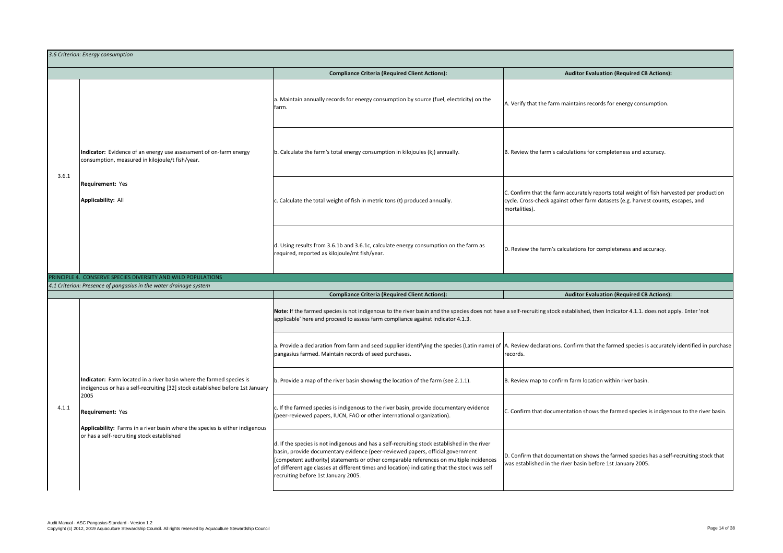C. Confirm that the farm accurately reports total weight of fish harvested per production cycle. Cross-check against other farm datasets (e.g. harvest counts, escapes, and mortalities).

D. Review the farm's calculations for completeness and accuracy.

**Auditor Evaluation (Required CB Actions):** 

ve a self-recruiting stock established, then Indicator 4.1.1. does not apply. Enter 'not

A. Review declarations. Confirm that the farmed species is accurately identified in purchase records.

B. Review map to confirm farm location within river basin.

 $|c$ . Confirm that documentation shows the farmed species is indigenous to the river basin.

|       | 3.6 Criterion: Energy consumption                                                                                                                             |                                                                                                                                                                                                                                                                                                                                                                                                                 |
|-------|---------------------------------------------------------------------------------------------------------------------------------------------------------------|-----------------------------------------------------------------------------------------------------------------------------------------------------------------------------------------------------------------------------------------------------------------------------------------------------------------------------------------------------------------------------------------------------------------|
|       |                                                                                                                                                               | <b>Compliance Criteria (Required Client Actions):</b>                                                                                                                                                                                                                                                                                                                                                           |
|       |                                                                                                                                                               | a. Maintain annually records for energy consumption by source (fuel, electricity) on the<br>farm.                                                                                                                                                                                                                                                                                                               |
| 3.6.1 | Indicator: Evidence of an energy use assessment of on-farm energy<br>consumption, measured in kilojoule/t fish/year.                                          | b. Calculate the farm's total energy consumption in kilojoules (kj) annually.                                                                                                                                                                                                                                                                                                                                   |
|       | <b>Requirement: Yes</b><br><b>Applicability: All</b>                                                                                                          | c. Calculate the total weight of fish in metric tons (t) produced annually.                                                                                                                                                                                                                                                                                                                                     |
|       |                                                                                                                                                               | d. Using results from 3.6.1b and 3.6.1c, calculate energy consumption on the farm as<br>required, reported as kilojoule/mt fish/year.                                                                                                                                                                                                                                                                           |
|       | PRINCIPLE 4. CONSERVE SPECIES DIVERSITY AND WILD POPULATIONS                                                                                                  |                                                                                                                                                                                                                                                                                                                                                                                                                 |
|       | 4.1 Criterion: Presence of pangasius in the water drainage system                                                                                             | <b>Compliance Criteria (Required Client Actions):</b>                                                                                                                                                                                                                                                                                                                                                           |
|       |                                                                                                                                                               | Note: If the farmed species is not indigenous to the river basin and the species does not have<br>applicable' here and proceed to assess farm compliance against Indicator 4.1.3.                                                                                                                                                                                                                               |
|       |                                                                                                                                                               | a. Provide a declaration from farm and seed supplier identifying the species (Latin name) of<br>pangasius farmed. Maintain records of seed purchases.                                                                                                                                                                                                                                                           |
|       | Indicator: Farm located in a river basin where the farmed species is<br>indigenous or has a self-recruiting [32] stock established before 1st January<br>2005 | b. Provide a map of the river basin showing the location of the farm (see 2.1.1).                                                                                                                                                                                                                                                                                                                               |
| 4.1.1 | <b>Requirement: Yes</b><br>Applicability: Farms in a river basin where the species is either indigenous<br>or has a self-recruiting stock established         | c. If the farmed species is indigenous to the river basin, provide documentary evidence<br>(peer-reviewed papers, IUCN, FAO or other international organization).                                                                                                                                                                                                                                               |
|       |                                                                                                                                                               | d. If the species is not indigenous and has a self-recruiting stock established in the river<br>basin, provide documentary evidence (peer-reviewed papers, official government<br>[competent authority] statements or other comparable references on multiple incidences<br>of different age classes at different times and location) indicating that the stock was self<br>recruiting before 1st January 2005. |

**Auditor Evaluation (Required CB Actions):** 

B. Review the farm's calculations for completeness and accuracy.

 $A$ . Verify that the farm maintains records for energy consumption.

D. Confirm that documentation shows the farmed species has a self-recruiting stock that was established in the river basin before 1st January 2005.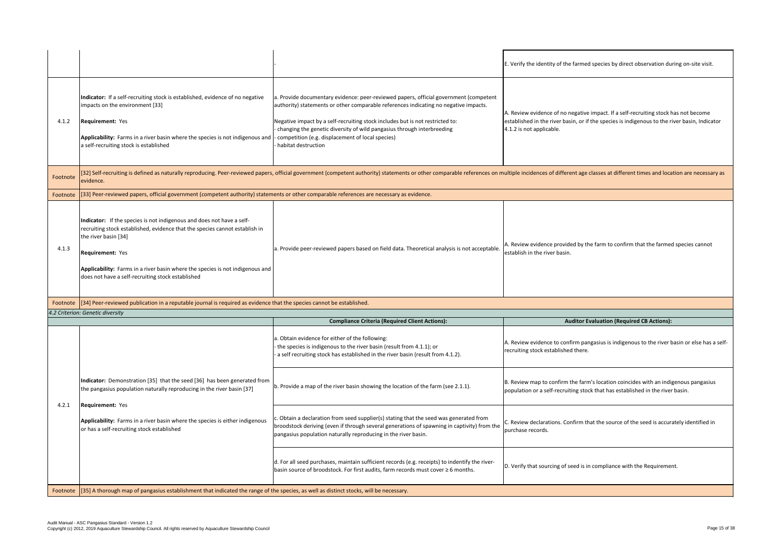$\vert$ B. Review map to confirm the farm's location coincides with an indigenous pangasius population or a self-recruiting stock that has established in the river basin.

A. Review evidence to confirm pangasius is indigenous to the river basin or else has a selfrecruiting stock established there.

C. Review declarations. Confirm that the source of the seed is accurately identified in purchase records.

D. Verify that sourcing of seed is in compliance with the Requirement.

A. Review evidence provided by the farm to confirm that the farmed species cannot establish in the river basin.

# **Auditor Evaluation (Required CB Actions):**

A. Review evidence of no negative impact. If a self-recruiting stock has not become established in the river basin, or if the species is indigenous to the river basin, Indicator 4.1.2 is not applicable.

multiple incidences of different age classes at different times and location are necessary as

| 4.1.2    | Indicator: If a self-recruiting stock is established, evidence of no negative<br>impacts on the environment [33]<br><b>Requirement: Yes</b><br>Applicability: Farms in a river basin where the species is not indigenous and<br>a self-recruiting stock is established                                                                        | a. Provide documentary evidence: peer-reviewed papers, official government (competent<br>authority) statements or other comparable references indicating no negative impacts.<br>Negative impact by a self-recruiting stock includes but is not restricted to:<br>- changing the genetic diversity of wild pangasius through interbreeding<br>competition (e.g. displacement of local species)<br>habitat destruction |
|----------|-----------------------------------------------------------------------------------------------------------------------------------------------------------------------------------------------------------------------------------------------------------------------------------------------------------------------------------------------|-----------------------------------------------------------------------------------------------------------------------------------------------------------------------------------------------------------------------------------------------------------------------------------------------------------------------------------------------------------------------------------------------------------------------|
| Footnote | evidence.                                                                                                                                                                                                                                                                                                                                     | [32] Self-recruiting is defined as naturally reproducing. Peer-reviewed papers, official government (competent authority) statements or other comparable references on r                                                                                                                                                                                                                                              |
| Footnote | [[33] Peer-reviewed papers, official government (competent authority) statements or other comparable references are necessary as evidence.                                                                                                                                                                                                    |                                                                                                                                                                                                                                                                                                                                                                                                                       |
| 4.1.3    | Indicator: If the species is not indigenous and does not have a self-<br>recruiting stock established, evidence that the species cannot establish in<br>the river basin [34]<br><b>Requirement: Yes</b><br>Applicability: Farms in a river basin where the species is not indigenous and<br>does not have a self-recruiting stock established | a. Provide peer-reviewed papers based on field data. Theoretical analysis is not acceptable.                                                                                                                                                                                                                                                                                                                          |
| Footnote | [34] Peer-reviewed publication in a reputable journal is required as evidence that the species cannot be established.                                                                                                                                                                                                                         |                                                                                                                                                                                                                                                                                                                                                                                                                       |
|          | 4.2 Criterion: Genetic diversity                                                                                                                                                                                                                                                                                                              | <b>Compliance Criteria (Required Client Actions):</b>                                                                                                                                                                                                                                                                                                                                                                 |
|          | Indicator: Demonstration [35] that the seed [36] has been generated from                                                                                                                                                                                                                                                                      | a. Obtain evidence for either of the following:<br>- the species is indigenous to the river basin (result from 4.1.1); or<br>a self recruiting stock has established in the river basin (result from 4.1.2).<br>b. Provide a map of the river basin showing the location of the farm (see 2.1.1).                                                                                                                     |
| 4.2.1    | the pangasius population naturally reproducing in the river basin [37]<br><b>Requirement: Yes</b>                                                                                                                                                                                                                                             | c. Obtain a declaration from seed supplier(s) stating that the seed was generated from                                                                                                                                                                                                                                                                                                                                |
|          | Applicability: Farms in a river basin where the species is either indigenous<br>or has a self-recruiting stock established                                                                                                                                                                                                                    | broodstock deriving (even if through several generations of spawning in captivity) from the<br>pangasius population naturally reproducing in the river basin.<br>d. For all seed purchases, maintain sufficient records (e.g. receipts) to indentify the river-<br>basin source of broodstock. For first audits, farm records must cover ≥ 6 months.                                                                  |

 $\left| \epsilon$ . Verify the identity of the farmed species by direct observation during on-site visit.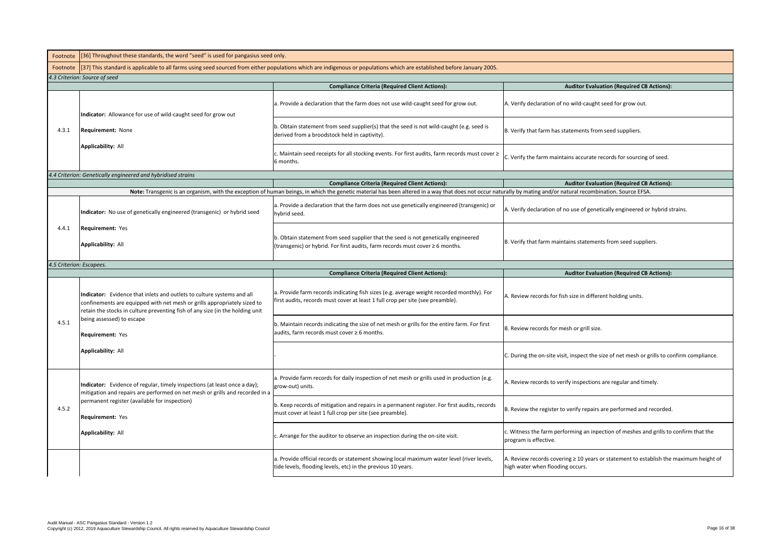$|c$ . Witness the farm performing an inpection of meshes and grills to confirm that the program is effective.

| Footnote                 | [[36] Throughout these standards, the word "seed" is used for pangasius seed only.                                                                                                                                                  |                                                                                                                                                                             |  |
|--------------------------|-------------------------------------------------------------------------------------------------------------------------------------------------------------------------------------------------------------------------------------|-----------------------------------------------------------------------------------------------------------------------------------------------------------------------------|--|
| Footnote                 | [37] This standard is applicable to all farms using seed sourced from either populations which are indigenous or populations which are established before January 2005.                                                             |                                                                                                                                                                             |  |
|                          | 4.3 Criterion: Source of seed                                                                                                                                                                                                       |                                                                                                                                                                             |  |
|                          |                                                                                                                                                                                                                                     | <b>Compliance Criteria (Required Client Actions):</b>                                                                                                                       |  |
|                          | Indicator: Allowance for use of wild-caught seed for grow out                                                                                                                                                                       | a. Provide a declaration that the farm does not use wild-caught seed for grow out.                                                                                          |  |
| 4.3.1                    | <b>Requirement: None</b>                                                                                                                                                                                                            | b. Obtain statement from seed supplier(s) that the seed is not wild-caught (e.g. seed is<br>derived from a broodstock held in captivity).                                   |  |
|                          | <b>Applicability: All</b>                                                                                                                                                                                                           | c. Maintain seed receipts for all stocking events. For first audits, farm records must cover $\geq$<br>6 months.                                                            |  |
|                          | 4.4 Criterion: Genetically engineered and hybridised strains                                                                                                                                                                        |                                                                                                                                                                             |  |
|                          |                                                                                                                                                                                                                                     | <b>Compliance Criteria (Required Client Actions):</b>                                                                                                                       |  |
|                          |                                                                                                                                                                                                                                     | Note: Transgenic is an organism, with the exception of human beings, in which the genetic material has been altered in a way that does not occur national                   |  |
|                          | Indicator: No use of genetically engineered (transgenic) or hybrid seed                                                                                                                                                             | a. Provide a declaration that the farm does not use genetically engineered (transgenic) or<br>hybrid seed.                                                                  |  |
| 4.4.1                    | <b>Requirement: Yes</b><br><b>Applicability: All</b>                                                                                                                                                                                | b. Obtain statement from seed supplier that the seed is not genetically engineered<br>(transgenic) or hybrid. For first audits, farm records must cover ≥ 6 months.         |  |
| 4.5 Criterion: Escapees. |                                                                                                                                                                                                                                     |                                                                                                                                                                             |  |
|                          |                                                                                                                                                                                                                                     | <b>Compliance Criteria (Required Client Actions):</b>                                                                                                                       |  |
|                          |                                                                                                                                                                                                                                     |                                                                                                                                                                             |  |
|                          | Indicator: Evidence that inlets and outlets to culture systems and all<br>confinements are equipped with net mesh or grills appropriately sized to<br>retain the stocks in culture preventing fish of any size (in the holding unit | a. Provide farm records indicating fish sizes (e.g. average weight recorded monthly). For<br>first audits, records must cover at least 1 full crop per site (see preamble). |  |
| 4.5.1                    | being assessed) to escape<br><b>Requirement: Yes</b>                                                                                                                                                                                | b. Maintain records indicating the size of net mesh or grills for the entire farm. For first<br>audits, farm records must cover ≥ 6 months.                                 |  |
|                          | <b>Applicability: All</b>                                                                                                                                                                                                           |                                                                                                                                                                             |  |
|                          | Indicator: Evidence of regular, timely inspections (at least once a day);<br>mitigation and repairs are performed on net mesh or grills and recorded in a                                                                           | a. Provide farm records for daily inspection of net mesh or grills used in production (e.g.<br>grow-out) units.                                                             |  |
| 4.5.2                    | permanent register (available for inspection)<br><b>Requirement: Yes</b>                                                                                                                                                            | b. Keep records of mitigation and repairs in a permanent register. For first audits, records<br>must cover at least 1 full crop per site (see preamble).                    |  |
|                          | <b>Applicability: All</b>                                                                                                                                                                                                           | c. Arrange for the auditor to observe an inspection during the on-site visit.                                                                                               |  |
|                          |                                                                                                                                                                                                                                     | a. Provide official records or statement showing local maximum water level (river levels,<br>tide levels, flooding levels, etc) in the previous 10 years.                   |  |

## **Auditor Evaluation (Required CB Actions):**

A. Verify declaration of no wild-caught seed for grow out.

B. Verify that farm has statements from seed suppliers.

 $|c$ . Verify the farm maintains accurate records for sourcing of seed.

**Auditor Evaluation (Required CB Actions):** Iurally by mating and/or natural recombination. Source EFSA.

A. Verify declaration of no use of genetically engineered or hybrid strains.

B. Verify that farm maintains statements from seed suppliers.

# **Auditor Evaluation (Required CB Actions):**

A. Review records for fish size in different holding units.

B. Review records for mesh or grill size.

 $|c$ . During the on-site visit, inspect the size of net mesh or grills to confirm compliance.

A. Review records to verify inspections are regular and timely.

B. Review the register to verify repairs are performed and recorded.

A. Review records covering ≥ 10 years or statement to establish the maximum height of high water when flooding occurs.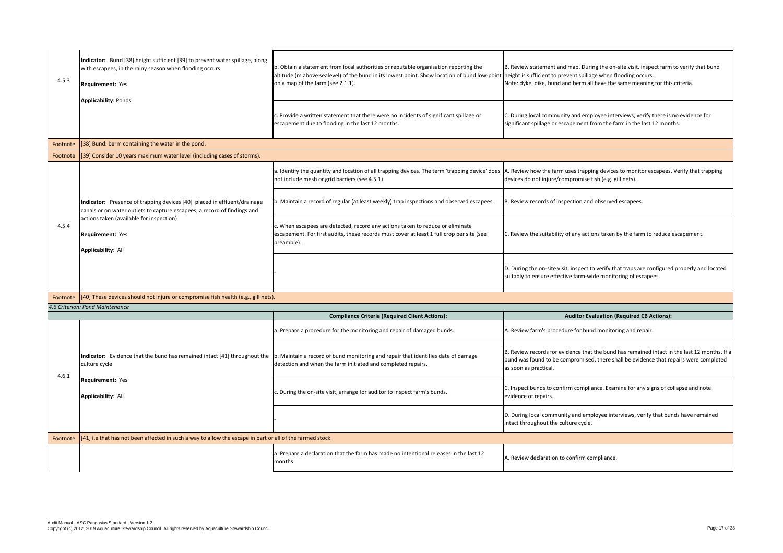C. During local community and employee interviews, verify there is no evidence for significant spillage or escapement from the farm in the last 12 months.

B. Review statement and map. During the on-site visit, inspect farm to verify that bund height is sufficient to prevent spillage when flooding occurs. Note: dyke, dike, bund and berm all have the same meaning for this criteria.

A. Review how the farm uses trapping devices to monitor escapees. Verify that trapping devices do not injure/compromise fish (e.g. gill nets).

B. Review records of inspection and observed escapees.

 $|c$ . Inspect bunds to confirm compliance. Examine for any signs of collapse and note evidence of repairs.

D. During local community and employee interviews, verify that bunds have remained intact throughout the culture cycle.

A. Review declaration to confirm compliance.

C. Review the suitability of any actions taken by the farm to reduce escapement.

D. During the on-site visit, inspect to verify that traps are configured properly and located suitably to ensure effective farm-wide monitoring of escapees.

# **Auditor Evaluation (Required CB Actions):**

A. Review farm's procedure for bund monitoring and repair.

| 4.5.3    | Indicator: Bund [38] height sufficient [39] to prevent water spillage, along<br>with escapees, in the rainy season when flooding occurs<br><b>Requirement: Yes</b><br><b>Applicability: Ponds</b>                                                 | b. Obtain a statement from local authorities or reputable organisation reporting the<br>altitude (m above sealevel) of the bund in its lowest point. Show location of bund low-point<br>on a map of the farm (see 2.1.1). |
|----------|---------------------------------------------------------------------------------------------------------------------------------------------------------------------------------------------------------------------------------------------------|---------------------------------------------------------------------------------------------------------------------------------------------------------------------------------------------------------------------------|
|          |                                                                                                                                                                                                                                                   | c. Provide a written statement that there were no incidents of significant spillage or<br>escapement due to flooding in the last 12 months.                                                                               |
| Footnote | [38] Bund: berm containing the water in the pond.                                                                                                                                                                                                 |                                                                                                                                                                                                                           |
| Footnote | [39] Consider 10 years maximum water level (including cases of storms).                                                                                                                                                                           |                                                                                                                                                                                                                           |
|          |                                                                                                                                                                                                                                                   | a. Identify the quantity and location of all trapping devices. The term 'trapping device' does<br>not include mesh or grid barriers (see 4.5.1).                                                                          |
|          | Indicator: Presence of trapping devices [40] placed in effluent/drainage<br>canals or on water outlets to capture escapees, a record of findings and<br>actions taken (available for inspection)<br>Requirement: Yes<br><b>Applicability: All</b> | b. Maintain a record of regular (at least weekly) trap inspections and observed escapees.                                                                                                                                 |
| 4.5.4    |                                                                                                                                                                                                                                                   | c. When escapees are detected, record any actions taken to reduce or eliminate<br>escapement. For first audits, these records must cover at least 1 full crop per site (see<br>preamble).                                 |
|          |                                                                                                                                                                                                                                                   |                                                                                                                                                                                                                           |
|          | Footnote   [40] These devices should not injure or compromise fish health (e.g., gill nets).                                                                                                                                                      |                                                                                                                                                                                                                           |
|          | 4.6 Criterion: Pond Maintenance                                                                                                                                                                                                                   |                                                                                                                                                                                                                           |
|          |                                                                                                                                                                                                                                                   | <b>Compliance Criteria (Required Client Actions):</b>                                                                                                                                                                     |
|          |                                                                                                                                                                                                                                                   | a. Prepare a procedure for the monitoring and repair of damaged bunds.                                                                                                                                                    |
| 4.6.1    | Indicator: Evidence that the bund has remained intact [41] throughout the<br>culture cycle                                                                                                                                                        | b. Maintain a record of bund monitoring and repair that identifies date of damage<br>detection and when the farm initiated and completed repairs.                                                                         |
|          | <b>Requirement: Yes</b><br><b>Applicability: All</b>                                                                                                                                                                                              | c. During the on-site visit, arrange for auditor to inspect farm's bunds.                                                                                                                                                 |
|          |                                                                                                                                                                                                                                                   |                                                                                                                                                                                                                           |
| Footnote | [41] i.e that has not been affected in such a way to allow the escape in part or all of the farmed stock.                                                                                                                                         |                                                                                                                                                                                                                           |
|          |                                                                                                                                                                                                                                                   | a. Prepare a declaration that the farm has made no intentional releases in the last 12<br>months.                                                                                                                         |

B. Review records for evidence that the bund has remained intact in the last 12 months. If a bund was found to be compromised, there shall be evidence that repairs were completed as soon as practical.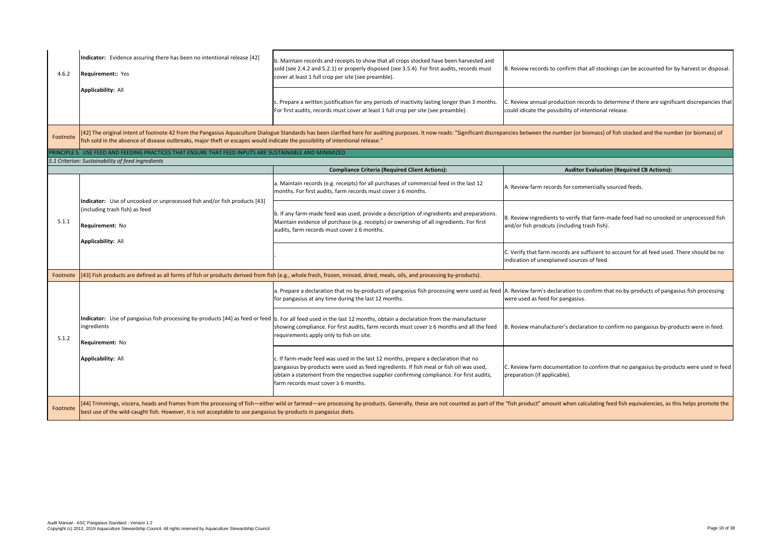B. Review records to confirm that all stockings can be accounted for by harvest or disposal.

C. Review annual production records to determine if there are significant discrepancies that could idicate the possibility of intentional release.

ancies between the number (or biomass) of fish stocked and the number (or biomass) of

## **Auditor Evaluation (Required CB Actions):**

A. Review farm records for commercially sourced feeds.

C. Verify that farm records are sufficient to account for all feed used. There should be no indication of unexplained sources of feed.

B. Review ingredients to verify that farm-made feed had no unooked or unprocessed fish and/or fish prodcuts (including trash fish).

A. Review farm's declaration to confirm that no by-products of pangasius fish processing were used as feed for pangasius.

| 4.6.2                     | Indicator: Evidence assuring there has been no intentional release [42]<br><b>Requirement:: Yes</b>                                                               | b. Maintain records and receipts to show that all crops stocked have been harvested and<br>sold (see 2.4.2 and 5.2.1) or properly disposed (see 3.5.4). For first audits, records must<br>cover at least 1 full crop per site (see preamble).                                                                                    |
|---------------------------|-------------------------------------------------------------------------------------------------------------------------------------------------------------------|----------------------------------------------------------------------------------------------------------------------------------------------------------------------------------------------------------------------------------------------------------------------------------------------------------------------------------|
| <b>Applicability: All</b> |                                                                                                                                                                   | c. Prepare a written justification for any periods of inactivity lasting longer than 3 months.<br>For first audits, records must cover at least 1 full crop per site (see preamble).                                                                                                                                             |
| Footnote                  | fish sold in the absence of disease outbreaks, major theft or escapes would indicate the possibility of intentional release."                                     | [42] The original intent of footnote 42 from the Pangasius Aquaculture Dialogue Standards has been clarified here for auditing purposes. It now reads: "Significant discrepa                                                                                                                                                     |
|                           | PRINCIPLE 5. USE FEED AND FEEDING PRACTICES THAT ENSURE THAT FEED INPUTS ARE SUSTAINABLE AND MINIMIZED                                                            |                                                                                                                                                                                                                                                                                                                                  |
|                           | 5.1 Criterion: Sustainability of feed ingredients                                                                                                                 |                                                                                                                                                                                                                                                                                                                                  |
|                           |                                                                                                                                                                   | <b>Compliance Criteria (Required Client Actions):</b>                                                                                                                                                                                                                                                                            |
|                           |                                                                                                                                                                   | a. Maintain records (e.g. receipts) for all purchases of commercial feed in the last 12<br>months. For first audits, farm records must cover $\geq 6$ months.                                                                                                                                                                    |
| 5.1.1                     | Indicator: Use of uncooked or unprocessed fish and/or fish products [43]<br>(including trash fish) as feed<br><b>Requirement: No</b><br><b>Applicability: All</b> | b. If any farm-made feed was used, provide a description of ingredients and preparations.<br>Maintain evidence of purchase (e.g. receipts) or ownership of all ingredients. For first<br>audits, farm records must cover $\geq 6$ months.                                                                                        |
|                           |                                                                                                                                                                   |                                                                                                                                                                                                                                                                                                                                  |
| Footnote                  |                                                                                                                                                                   | [[43] Fish products are defined as all forms of fish or products derived from fish (e.g., whole fresh, frozen, minced, dried, meals, oils, and processing by-products).                                                                                                                                                          |
|                           |                                                                                                                                                                   | a. Prepare a declaration that no by-products of pangasius fish processing were used as feed<br>for pangasius at any time during the last 12 months.                                                                                                                                                                              |
| 5.1.2                     | ingredients<br><b>Requirement: No</b><br><b>Applicability: All</b>                                                                                                | Indicator: Use of pangasius fish processing by-products [44] as feed or feed  b. For all feed used in the last 12 months, obtain a declaration from the manufacturer<br>showing compliance. For first audits, farm records must cover $\geq 6$ months and all the feed<br>requirements apply only to fish on site.               |
|                           |                                                                                                                                                                   | c. If farm-made feed was used in the last 12 months, prepare a declaration that no<br>pangasius by-products were used as feed ingredients. If fish meal or fish oil was used,<br>obtain a statement from the respective supplier confirming compliance. For first audits,<br>$\mathsf{farm}$ records must cover $\geq 6$ months. |
| Footnote                  | best use of the wild-caught fish. However, it is not acceptable to use pangasius by-products in pangasius diets.                                                  | [44] Trimmings, viscera, heads and frames from the processing of fish—either wild or farmed—are processing by-products. Generally, these are not counted as part of the                                                                                                                                                          |

B. Review manufacturer's declaration to confirm no pangasius by-products were in feed.

C. Review farm documentation to confirm that no pangasius by-products were used in feed preparation (if applicable).

"fish product" amount when calculating feed fish equivalencies, as this helps promote the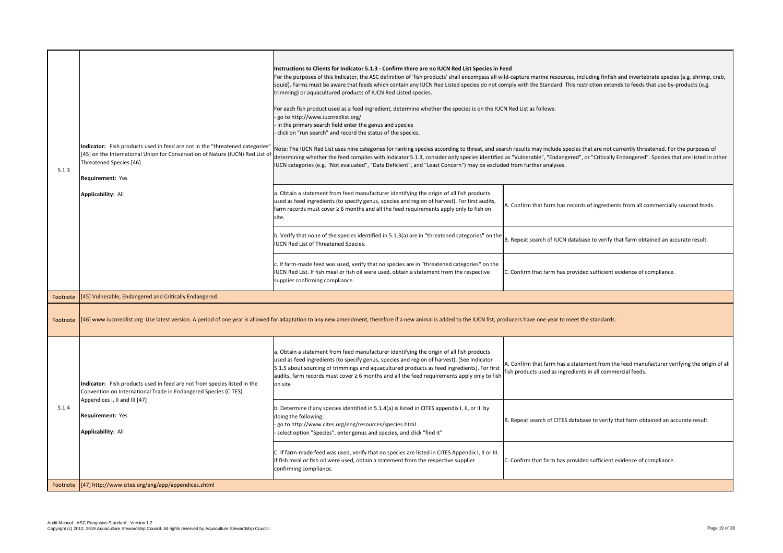A. Confirm that farm has records of ingredients from all commercially sourced feeds.

B. Repeat search of IUCN database to verify that farm obtained an accurate result.

C. Confirm that farm has provided sufficient evidence of compliance.

oducers have one year to meet the standards.

A. Confirm that farm has a statement from the feed manufacturer verifying the origin of all fish products used as ingredients in all commercial feeds.

B. Repeat search of CITES database to verify that farm obtained an accurate result.

C. Confirm that farm has provided sufficient evidence of compliance.

| 5.1.3    | Indicator: Fish products used in feed are not in the "threatened categories"<br>[45] on the International Union for Conservation of Nature (IUCN) Red List of<br>Threatened Species [46]<br><b>Requirement: Yes</b><br><b>Applicability: All</b> | Instructions to Clients for Indicator 5.1.3 - Confirm there are no IUCN Red List Species in Feed<br>For the purposes of this Indicator, the ASC definition of 'fish products' shall encompass all wild-<br>squid). Farms must be aware that feeds which contain any IUCN Red Listed species do not comp<br>trimming) or aquacultured products of IUCN Red Listed species.<br>For each fish product used as a feed ingredient, determine whether the species is on the IUCN R<br>go to http://www.iucnredlist.org/<br>in the primary search field enter the genus and species<br>click on "run search" and record the status of the species.<br>Note: The IUCN Red List uses nine categories for ranking species according to threat, and search<br>determining whether the feed complies with Indicator 5.1.3, consider only species identified as<br>IUCN categories (e.g. "Not evaluated", "Data Deficient", and "Least Concern") may be excluded t<br>a. Obtain a statement from feed manufacturer identifying the origin of all fish products<br>used as feed ingredients (to specify genus, species and region of harvest). For first audits,<br>farm records must cover $\geq 6$ months and all the feed requirements apply only to fish on<br>site.<br>b. Verify that none of the species identified in $5.1.3(a)$ are in "threatened categories" on the<br><b>IUCN Red List of Threatened Species.</b><br>c. If farm-made feed was used, verify that no species are in "threatened categories" on the<br>IUCN Red List. If fish meal or fish oil were used, obtain a statement from the respective<br>supplier confirming compliance. | А.<br>Iв.<br>C. |
|----------|--------------------------------------------------------------------------------------------------------------------------------------------------------------------------------------------------------------------------------------------------|-----------------------------------------------------------------------------------------------------------------------------------------------------------------------------------------------------------------------------------------------------------------------------------------------------------------------------------------------------------------------------------------------------------------------------------------------------------------------------------------------------------------------------------------------------------------------------------------------------------------------------------------------------------------------------------------------------------------------------------------------------------------------------------------------------------------------------------------------------------------------------------------------------------------------------------------------------------------------------------------------------------------------------------------------------------------------------------------------------------------------------------------------------------------------------------------------------------------------------------------------------------------------------------------------------------------------------------------------------------------------------------------------------------------------------------------------------------------------------------------------------------------------------------------------------------------------------------------------------------------------------------------------|-----------------|
|          | Footnote   [45] Vulnerable, Endangered and Critically Endangered                                                                                                                                                                                 |                                                                                                                                                                                                                                                                                                                                                                                                                                                                                                                                                                                                                                                                                                                                                                                                                                                                                                                                                                                                                                                                                                                                                                                                                                                                                                                                                                                                                                                                                                                                                                                                                                               |                 |
| Footnote |                                                                                                                                                                                                                                                  | [46] www.iucnredlist.org Use latest version. A period of one year is allowed for adaptation to any new amendment, therefore if a new animal is added to the IUCN list, produ                                                                                                                                                                                                                                                                                                                                                                                                                                                                                                                                                                                                                                                                                                                                                                                                                                                                                                                                                                                                                                                                                                                                                                                                                                                                                                                                                                                                                                                                  |                 |
|          | Indicator: Fish products used in feed are not from species listed in the<br>Convention on International Trade in Endangered Species (CITES)<br>Appendices I, II and III [47]                                                                     | a. Obtain a statement from feed manufacturer identifying the origin of all fish products<br>used as feed ingredients (to specify genus, species and region of harvest). [See Indicator<br>5.1.5 about sourcing of trimmings and aquacultured products as feed ingredients]. For first<br>audits, farm records must cover ≥ 6 months and all the feed requirements apply only to fish<br>on site                                                                                                                                                                                                                                                                                                                                                                                                                                                                                                                                                                                                                                                                                                                                                                                                                                                                                                                                                                                                                                                                                                                                                                                                                                               | Α.<br>fisl      |
| 5.1.4    | <b>Requirement: Yes</b><br><b>Applicability: All</b>                                                                                                                                                                                             | b. Determine if any species identified in 5.1.4(a) is listed in CITES appendix I, II, or III by<br>doing the following:<br>go to http://www.cites.org/eng/resources/species.html<br>- select option "Species", enter genus and species, and click "find it"                                                                                                                                                                                                                                                                                                                                                                                                                                                                                                                                                                                                                                                                                                                                                                                                                                                                                                                                                                                                                                                                                                                                                                                                                                                                                                                                                                                   | B.              |
|          |                                                                                                                                                                                                                                                  | C. If farm-made feed was used, verify that no species are listed in CITES Appendix I, II or III.<br>If fish meal or fish oil were used, obtain a statement from the respective supplier<br>confirming compliance.                                                                                                                                                                                                                                                                                                                                                                                                                                                                                                                                                                                                                                                                                                                                                                                                                                                                                                                                                                                                                                                                                                                                                                                                                                                                                                                                                                                                                             | C.              |
| Footnote | [47] http://www.cites.org/eng/app/appendices.shtml                                                                                                                                                                                               |                                                                                                                                                                                                                                                                                                                                                                                                                                                                                                                                                                                                                                                                                                                                                                                                                                                                                                                                                                                                                                                                                                                                                                                                                                                                                                                                                                                                                                                                                                                                                                                                                                               |                 |

vild-capture marine resources, including finfish and invertebrate species (e.g. shrimp, crab, comply with the Standard. This restriction extends to feeds that use by-products (e.g.

IN Red List as follows:

Parch results may include species that are not currently threatened. For the purposes of d as "Vulnerable", "Endangered", or "Critically Endangered". Species that are listed in other ded from further analyses.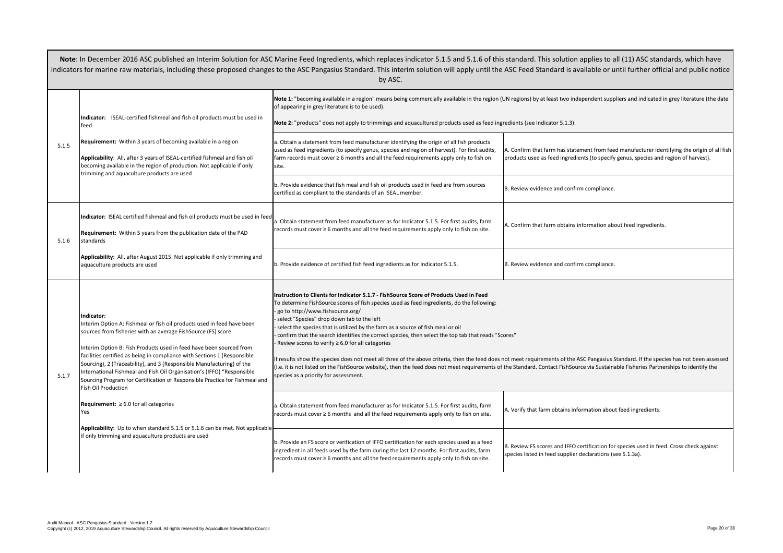A. Confirm that farm has statement from feed manufacturer identifying the origin of all fish products used as feed ingredients (to specify genus, species and region of harvest).

B. Review evidence and confirm compliance.

A. Confirm that farm obtains information about feed ingredients.

 $B.$  Review evidence and confirm compliance.

not meet requirements of the ASC Pangasius Standard. If the species has not been assessed the Standard. Contact FishSource via Sustainable Fisheries Partnerships to identify the

A. Verify that farm obtains information about feed ingredients.

B. Review FS scores and IFFO certification for species used in feed. Cross check against species listed in feed supplier declarations (see 5.1.3a).

|       |                                                                                                                                                                                                                                                                                                                                                                                                                                                                                                                                                                                                                                                                                                                                                                           | indicators for marine raw materials, including these proposed changes to the ASC Pangasius Standard. This interim solution will apply until the ASC<br>by ASC.                                                                                                                                                                                                                                                                                                                                                                                                                                                                                                                                                                                                                                                                                                                                                                                                                                                                                                                                                                                                                                                                                                               |                        |
|-------|---------------------------------------------------------------------------------------------------------------------------------------------------------------------------------------------------------------------------------------------------------------------------------------------------------------------------------------------------------------------------------------------------------------------------------------------------------------------------------------------------------------------------------------------------------------------------------------------------------------------------------------------------------------------------------------------------------------------------------------------------------------------------|------------------------------------------------------------------------------------------------------------------------------------------------------------------------------------------------------------------------------------------------------------------------------------------------------------------------------------------------------------------------------------------------------------------------------------------------------------------------------------------------------------------------------------------------------------------------------------------------------------------------------------------------------------------------------------------------------------------------------------------------------------------------------------------------------------------------------------------------------------------------------------------------------------------------------------------------------------------------------------------------------------------------------------------------------------------------------------------------------------------------------------------------------------------------------------------------------------------------------------------------------------------------------|------------------------|
| 5.1.5 | Indicator: ISEAL-certified fishmeal and fish oil products must be used in<br>feed<br>Requirement: Within 3 years of becoming available in a region<br>Applicability: All, after 3 years of ISEAL-certified fishmeal and fish oil<br>becoming available in the region of production. Not applicable if only<br>trimming and aquaculture products are used                                                                                                                                                                                                                                                                                                                                                                                                                  | Note 1: "becoming available in a region" means being commercially available in the region (UN re<br>of appearing in grey literature is to be used).<br>Note 2: "products" does not apply to trimmings and aquacultured products used as feed ingredie<br>a. Obtain a statement from feed manufacturer identifying the origin of all fish products<br>used as feed ingredients (to specify genus, species and region of harvest). For first audits,<br>farm records must cover $\geq 6$ months and all the feed requirements apply only to fish on<br>site.<br>b. Provide evidence that fish meal and fish oil products used in feed are from sources<br>certified as compliant to the standards of an ISEAL member.                                                                                                                                                                                                                                                                                                                                                                                                                                                                                                                                                          | A. Co<br>prod<br>B. Re |
| 5.1.6 | Indicator: ISEAL certified fishmeal and fish oil products must be used in feed<br><b>Requirement:</b> Within 5 years from the publication date of the PAD<br>standards<br>Applicability: All, after August 2015. Not applicable if only trimming and<br>aquaculture products are used                                                                                                                                                                                                                                                                                                                                                                                                                                                                                     | a. Obtain statement from feed manufacturer as for Indicator 5.1.5. For first audits, farm<br>records must cover ≥ 6 months and all the feed requirements apply only to fish on site.<br>b. Provide evidence of certified fish feed ingredients as for Indicator 5.1.5.                                                                                                                                                                                                                                                                                                                                                                                                                                                                                                                                                                                                                                                                                                                                                                                                                                                                                                                                                                                                       | A. Co<br>B. Re         |
| 5.1.7 | Indicator:<br>Interim Option A: Fishmeal or fish oil products used in feed have been<br>sourced from fisheries with an average FishSource (FS) score<br>Interim Option B: Fish Products used in feed have been sourced from<br>facilities certified as being in compliance with Sections 1 (Responsible<br>Sourcing), 2 (Traceability), and 3 (Responsible Manufacturing) of the<br>International Fishmeal and Fish Oil Organisation's (IFFO) "Responsible<br>Sourcing Program for Certification of Responsible Practice for Fishmeal and<br><b>Fish Oil Production</b><br><b>Requirement:</b> $\geq 6.0$ for all categories<br>Yes<br>Applicability: Up to when standard 5.1.5 or 5.1.6 can be met. Not applicable<br>if only trimming and aquaculture products are used | Instruction to Clients for Indicator 5.1.7 - FishSource Score of Products Used in Feed<br>To determine FishSource scores of fish species used as feed ingredients, do the following:<br>go to http://www.fishsource.org/<br>select "Species" drop down tab to the left<br>select the species that is utilized by the farm as a source of fish meal or oil<br>confirm that the search identifies the correct species, then select the top tab that reads "Scores"<br>Review scores to verify $\geq 6.0$ for all categories<br>If results show the species does not meet all three of the above criteria, then the feed does not m<br>(i.e. it is not listed on the FishSource website), then the feed does not meet requirements of the S<br>species as a priority for assessment.<br>a. Obtain statement from feed manufacturer as for Indicator 5.1.5. For first audits, farm<br>records must cover $\geq 6$ months and all the feed requirements apply only to fish on site.<br>b. Provide an FS score or verification of IFFO certification for each species used as a feed<br>ingredient in all feeds used by the farm during the last 12 months. For first audits, farm<br>records must cover $\geq 6$ months and all the feed requirements apply only to fish on site. | A. V<br>B. Re<br>spec  |

Soter 2016 Assets and Theor an Interime in Ascreal Interior Feed inglanders, which have Indicator 5.1.5 and 5.1<br>Indicator 5.1.1.5 and 5.1.5 and 5.1.6 and 5.1.6 and 5.1.5 and 5.1.6 and 5.1.6 and for this standards, which ha indicators for marine raw materials, including the ASC Peed Standard is available as  $\alpha$ 

UN regions) by at least two independent suppliers and indicated in grey literature (the date

redients (see Indicator 5.1.3).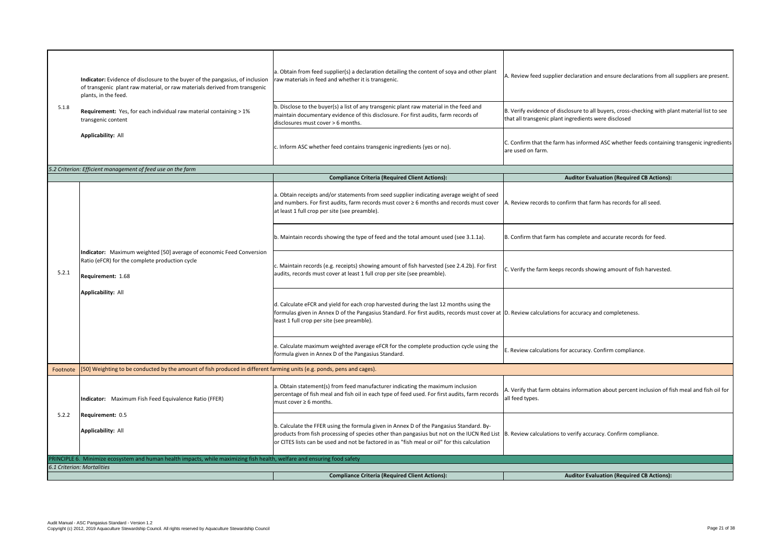$|c$ . Confirm that the farm has informed ASC whether feeds containing transgenic ingredients are used on farm.

## **Auditor Evaluation (Required CB Actions):**

B. Verify evidence of disclosure to all buyers, cross-checking with plant material list to see that all transgenic plant ingredients were disclosed

A. Review records to confirm that farm has records for all seed.

B. Confirm that farm has complete and accurate records for feed.

 $|c$ . Verify the farm keeps records showing amount of fish harvested.

D. Review calculations for accuracy and completeness.

 $\vert$ E. Review calculations for accuracy. Confirm compliance.

| 5.1.8                      | Indicator: Evidence of disclosure to the buyer of the pangasius, of inclusion<br>of transgenic plant raw material, or raw materials derived from transgenic<br>plants, in the feed.<br>Requirement: Yes, for each individual raw material containing > 1%<br>transgenic content<br><b>Applicability: All</b> | a. Obtain from feed supplier(s) a declaration detailing the content of soya and other plant<br>raw materials in feed and whether it is transgenic.<br>b. Disclose to the buyer(s) a list of any transgenic plant raw material in the feed and<br>maintain documentary evidence of this disclosure. For first audits, farm records of<br>disclosures must cover > 6 months.<br>c. Inform ASC whether feed contains transgenic ingredients (yes or no). |
|----------------------------|--------------------------------------------------------------------------------------------------------------------------------------------------------------------------------------------------------------------------------------------------------------------------------------------------------------|-------------------------------------------------------------------------------------------------------------------------------------------------------------------------------------------------------------------------------------------------------------------------------------------------------------------------------------------------------------------------------------------------------------------------------------------------------|
|                            |                                                                                                                                                                                                                                                                                                              |                                                                                                                                                                                                                                                                                                                                                                                                                                                       |
|                            | 5.2 Criterion: Efficient management of feed use on the farm                                                                                                                                                                                                                                                  |                                                                                                                                                                                                                                                                                                                                                                                                                                                       |
|                            |                                                                                                                                                                                                                                                                                                              | <b>Compliance Criteria (Required Client Actions):</b>                                                                                                                                                                                                                                                                                                                                                                                                 |
|                            | Indicator: Maximum weighted [50] average of economic Feed Conversion<br>Ratio (eFCR) for the complete production cycle<br>Requirement: 1.68<br><b>Applicability: All</b>                                                                                                                                     | a. Obtain receipts and/or statements from seed supplier indicating average weight of seed<br>and numbers. For first audits, farm records must cover ≥ 6 months and records must cover<br>at least 1 full crop per site (see preamble).                                                                                                                                                                                                                |
|                            |                                                                                                                                                                                                                                                                                                              | b. Maintain records showing the type of feed and the total amount used (see 3.1.1a).                                                                                                                                                                                                                                                                                                                                                                  |
| 5.2.1                      |                                                                                                                                                                                                                                                                                                              | c. Maintain records (e.g. receipts) showing amount of fish harvested (see 2.4.2b). For first<br>audits, records must cover at least 1 full crop per site (see preamble).                                                                                                                                                                                                                                                                              |
|                            |                                                                                                                                                                                                                                                                                                              | d. Calculate eFCR and yield for each crop harvested during the last 12 months using the<br>formulas given in Annex D of the Pangasius Standard. For first audits, records must cover at<br>least 1 full crop per site (see preamble).                                                                                                                                                                                                                 |
|                            |                                                                                                                                                                                                                                                                                                              | e. Calculate maximum weighted average eFCR for the complete production cycle using the<br>formula given in Annex D of the Pangasius Standard.                                                                                                                                                                                                                                                                                                         |
| Footnote                   | [50] Weighting to be conducted by the amount of fish produced in different farming units (e.g. ponds, pens and cages).                                                                                                                                                                                       |                                                                                                                                                                                                                                                                                                                                                                                                                                                       |
|                            | Indicator: Maximum Fish Feed Equivalence Ratio (FFER)                                                                                                                                                                                                                                                        | a. Obtain statement(s) from feed manufacturer indicating the maximum inclusion<br>percentage of fish meal and fish oil in each type of feed used. For first audits, farm records<br>must cover $\geq 6$ months.                                                                                                                                                                                                                                       |
| 5.2.2                      | Requirement: 0.5<br><b>Applicability: All</b>                                                                                                                                                                                                                                                                | b. Calculate the FFER using the formula given in Annex D of the Pangasius Standard. By-<br>products from fish processing of species other than pangasius but not on the IUCN Red List<br>or CITES lists can be used and not be factored in as "fish meal or oil" for this calculation                                                                                                                                                                 |
|                            | PRINCIPLE 6. Minimize ecosystem and human health impacts, while maximizing fish health, welfare and ensuring food safety                                                                                                                                                                                     |                                                                                                                                                                                                                                                                                                                                                                                                                                                       |
| 6.1 Criterion: Mortalities |                                                                                                                                                                                                                                                                                                              |                                                                                                                                                                                                                                                                                                                                                                                                                                                       |
|                            |                                                                                                                                                                                                                                                                                                              | <b>Compliance Criteria (Required Client Actions):</b>                                                                                                                                                                                                                                                                                                                                                                                                 |

A. Review feed supplier declaration and ensure declarations from all suppliers are present.

A. Verify that farm obtains information about percent inclusion of fish meal and fish oil for all feed types.

B. Review calculations to verify accuracy. Confirm compliance.

### **Auditor Evaluation (Required CB Actions):**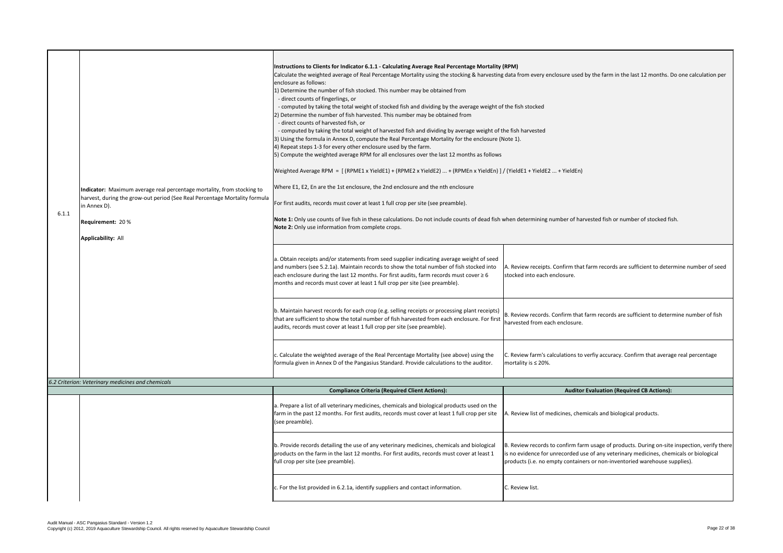A. Review receipts. Confirm that farm records are sufficient to determine number of seed stocked into each enclosure.

B. Review records. Confirm that farm records are sufficient to determine number of fish harvested from each enclosure.

| 6.1.1 |  | Indicator: Maximum average real percentage mortality, from stocking to<br>harvest, during the grow-out period (See Real Percentage Mortality formula<br>in Annex D).<br>Requirement: 20% | Instructions to Clients for Indicator 6.1.1 - Calculating Average Real Percentage Mortality (RPM)<br>Calculate the weighted average of Real Percentage Mortality using the stocking & harvesting data fr<br>enclosure as follows:<br>1) Determine the number of fish stocked. This number may be obtained from<br>- direct counts of fingerlings, or<br>- computed by taking the total weight of stocked fish and dividing by the average weight of the fis<br>2) Determine the number of fish harvested. This number may be obtained from<br>- direct counts of harvested fish, or<br>- computed by taking the total weight of harvested fish and dividing by average weight of the fish<br>[3] Using the formula in Annex D, compute the Real Percentage Mortality for the enclosure (Note 1).<br>4) Repeat steps 1-3 for every other enclosure used by the farm.<br>5) Compute the weighted average RPM for all enclosures over the last 12 months as follows<br>Weighted Average RPM = [(RPME1 x YieldE1) + (RPME2 x YieldE2)  + (RPMEn x YieldEn) ] / (Yield<br>Where E1, E2, En are the 1st enclosure, the 2nd enclosure and the nth enclosure<br>For first audits, records must cover at least 1 full crop per site (see preamble).<br>Note 1: Only use counts of live fish in these calculations. Do not include counts of dead fish when d<br>Note 2: Only use information from complete crops. |                             |
|-------|--|------------------------------------------------------------------------------------------------------------------------------------------------------------------------------------------|----------------------------------------------------------------------------------------------------------------------------------------------------------------------------------------------------------------------------------------------------------------------------------------------------------------------------------------------------------------------------------------------------------------------------------------------------------------------------------------------------------------------------------------------------------------------------------------------------------------------------------------------------------------------------------------------------------------------------------------------------------------------------------------------------------------------------------------------------------------------------------------------------------------------------------------------------------------------------------------------------------------------------------------------------------------------------------------------------------------------------------------------------------------------------------------------------------------------------------------------------------------------------------------------------------------------------------------------------------------------------------------------------------|-----------------------------|
|       |  |                                                                                                                                                                                          | a. Obtain receipts and/or statements from seed supplier indicating average weight of seed<br>and numbers (see 5.2.1a). Maintain records to show the total number of fish stocked into<br>each enclosure during the last 12 months. For first audits, farm records must cover $\geq 6$<br>months and records must cover at least 1 full crop per site (see preamble).                                                                                                                                                                                                                                                                                                                                                                                                                                                                                                                                                                                                                                                                                                                                                                                                                                                                                                                                                                                                                                     | A. Rev<br>stocke            |
|       |  |                                                                                                                                                                                          | b. Maintain harvest records for each crop (e.g. selling receipts or processing plant receipts)<br>that are sufficient to show the total number of fish harvested from each enclosure. For first<br>audits, records must cover at least 1 full crop per site (see preamble).                                                                                                                                                                                                                                                                                                                                                                                                                                                                                                                                                                                                                                                                                                                                                                                                                                                                                                                                                                                                                                                                                                                              | B. Revi<br>harves           |
|       |  |                                                                                                                                                                                          | c. Calculate the weighted average of the Real Percentage Mortality (see above) using the<br>formula given in Annex D of the Pangasius Standard. Provide calculations to the auditor.                                                                                                                                                                                                                                                                                                                                                                                                                                                                                                                                                                                                                                                                                                                                                                                                                                                                                                                                                                                                                                                                                                                                                                                                                     | C. Revi<br>mortal           |
|       |  | 6.2 Criterion: Veterinary medicines and chemicals                                                                                                                                        | <b>Compliance Criteria (Required Client Actions):</b>                                                                                                                                                                                                                                                                                                                                                                                                                                                                                                                                                                                                                                                                                                                                                                                                                                                                                                                                                                                                                                                                                                                                                                                                                                                                                                                                                    |                             |
|       |  |                                                                                                                                                                                          |                                                                                                                                                                                                                                                                                                                                                                                                                                                                                                                                                                                                                                                                                                                                                                                                                                                                                                                                                                                                                                                                                                                                                                                                                                                                                                                                                                                                          |                             |
|       |  |                                                                                                                                                                                          | a. Prepare a list of all veterinary medicines, chemicals and biological products used on the<br>farm in the past 12 months. For first audits, records must cover at least 1 full crop per site<br>(see preamble).                                                                                                                                                                                                                                                                                                                                                                                                                                                                                                                                                                                                                                                                                                                                                                                                                                                                                                                                                                                                                                                                                                                                                                                        | A. Revi                     |
|       |  |                                                                                                                                                                                          | b. Provide records detailing the use of any veterinary medicines, chemicals and biological<br>products on the farm in the last 12 months. For first audits, records must cover at least 1<br>full crop per site (see preamble).                                                                                                                                                                                                                                                                                                                                                                                                                                                                                                                                                                                                                                                                                                                                                                                                                                                                                                                                                                                                                                                                                                                                                                          | B. Revi<br>is no e<br>produ |
|       |  |                                                                                                                                                                                          | c. For the list provided in 6.2.1a, identify suppliers and contact information.                                                                                                                                                                                                                                                                                                                                                                                                                                                                                                                                                                                                                                                                                                                                                                                                                                                                                                                                                                                                                                                                                                                                                                                                                                                                                                                          | C. Revi                     |
|       |  |                                                                                                                                                                                          |                                                                                                                                                                                                                                                                                                                                                                                                                                                                                                                                                                                                                                                                                                                                                                                                                                                                                                                                                                                                                                                                                                                                                                                                                                                                                                                                                                                                          |                             |

data from every enclosure used by the farm in the last 12 months. Do one calculation per

the fish stocked

e fish harvested

 $V$  (YieldE1 + YieldE2  $...$  + YieldEn)

 $h$ en determining number of harvested fish or number of stocked fish.

C. Review farm's calculations to verfiy accuracy. Confirm that average real percentage mortality is ≤ 20%.

### **Auditor Evaluation (Required CB Actions):**

A. Review list of medicines, chemicals and biological products.

B. Review records to confirm farm usage of products. During on-site inspection, verify there is no evidence for unrecorded use of any veterinary medicines, chemicals or biological products (i.e. no empty containers or non-inventoried warehouse supplies).

C. Review list.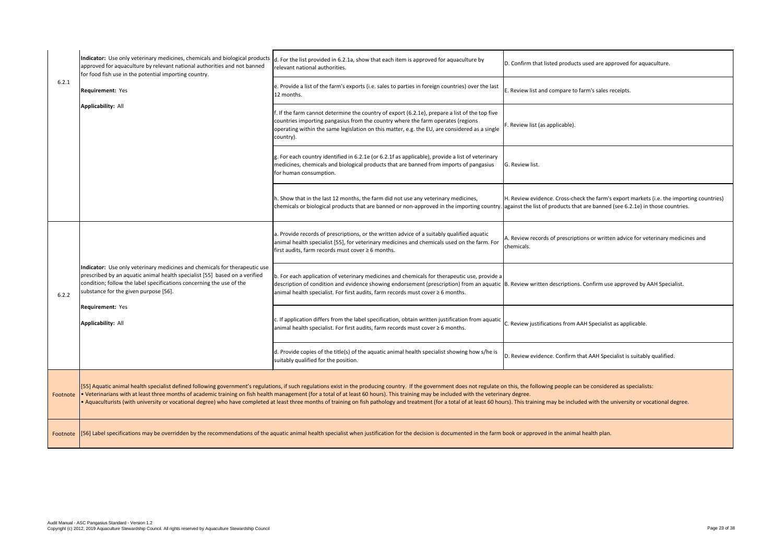|          | Indicator: Use only veterinary medicines, chemicals and biological products<br>approved for aquaculture by relevant national authorities and not banned<br>for food fish use in the potential importing country.                                                          | d. For the list provided in 6.2.1a, show that each item is approved for aquaculture by<br>relevant national authorities.                                                                                                                                                                                                                                                                                                                                                                                                                                                                                                                                    | D. Confirm that listed products used are approved for aquaculture.                              |
|----------|---------------------------------------------------------------------------------------------------------------------------------------------------------------------------------------------------------------------------------------------------------------------------|-------------------------------------------------------------------------------------------------------------------------------------------------------------------------------------------------------------------------------------------------------------------------------------------------------------------------------------------------------------------------------------------------------------------------------------------------------------------------------------------------------------------------------------------------------------------------------------------------------------------------------------------------------------|-------------------------------------------------------------------------------------------------|
| 6.2.1    | <b>Requirement: Yes</b><br>Applicability: All                                                                                                                                                                                                                             | e. Provide a list of the farm's exports (i.e. sales to parties in foreign countries) over the last<br>12 months.                                                                                                                                                                                                                                                                                                                                                                                                                                                                                                                                            | E. Review list and compare to farm's sales receipts.                                            |
|          |                                                                                                                                                                                                                                                                           | . If the farm cannot determine the country of export (6.2.1e), prepare a list of the top five<br>countries importing pangasius from the country where the farm operates (regions<br>operating within the same legislation on this matter, e.g. the EU, are considered as a single<br>country).                                                                                                                                                                                                                                                                                                                                                              | Review list (as applicable).                                                                    |
|          |                                                                                                                                                                                                                                                                           | g. For each country identified in 6.2.1e (or 6.2.1f as applicable), provide a list of veterinary<br>medicines, chemicals and biological products that are banned from imports of pangasius<br>for human consumption.                                                                                                                                                                                                                                                                                                                                                                                                                                        | G. Review list.                                                                                 |
|          |                                                                                                                                                                                                                                                                           | h. Show that in the last 12 months, the farm did not use any veterinary medicines,<br>chemicals or biological products that are banned or non-approved in the importing country. against the list of products that are banned (see 6.2.1e) in those countries.                                                                                                                                                                                                                                                                                                                                                                                              | H. Review evidence. Cross-check the farm's export markets (i.e. the importing countries)        |
|          |                                                                                                                                                                                                                                                                           | a. Provide records of prescriptions, or the written advice of a suitably qualified aquatic<br>animal health specialist [55], for veterinary medicines and chemicals used on the farm. For<br>first audits, farm records must cover $\geq 6$ months.                                                                                                                                                                                                                                                                                                                                                                                                         | A. Review records of prescriptions or written advice for veterinary medicines and<br>chemicals. |
| 6.2.2    | Indicator: Use only veterinary medicines and chemicals for therapeutic use<br>prescribed by an aquatic animal health specialist [55] based on a verified<br>condition; follow the label specifications concerning the use of the<br>substance for the given purpose [56]. | b. For each application of veterinary medicines and chemicals for therapeutic use, provide a<br>description of condition and evidence showing endorsement (prescription) from an aquatic B. Review written descriptions. Confirm use approved by AAH Specialist.<br>animal health specialist. For first audits, farm records must cover $\geq 6$ months.                                                                                                                                                                                                                                                                                                    |                                                                                                 |
|          | <b>Requirement: Yes</b><br><b>Applicability: All</b>                                                                                                                                                                                                                      | c. If application differs from the label specification, obtain written justification from aquatic<br>animal health specialist. For first audits, farm records must cover $\geq 6$ months.                                                                                                                                                                                                                                                                                                                                                                                                                                                                   | C. Review justifications from AAH Specialist as applicable.                                     |
|          |                                                                                                                                                                                                                                                                           | d. Provide copies of the title(s) of the aquatic animal health specialist showing how s/he is<br>suitably qualified for the position.                                                                                                                                                                                                                                                                                                                                                                                                                                                                                                                       | D. Review evidence. Confirm that AAH Specialist is suitably qualified.                          |
| Footnote |                                                                                                                                                                                                                                                                           | [55] Aquatic animal health specialist defined following government's regulations, if such regulations exist in the producing country. If the government does not regulate on this, the following people can be considered as s<br>. Veterinarians with at least three months of academic training on fish health management (for a total of at least 60 hours). This training may be included with the veterinary degree.<br>. Aquaculturists (with university or vocational degree) who have completed at least three months of training on fish pathology and treatment (for a total of at least 60 hours). This training may be included with the univer |                                                                                                 |
| Footnote |                                                                                                                                                                                                                                                                           | [56] Label specifications may be overridden by the recommendations of the aquatic animal health specialist when justification for the decision is documented in the farm book or approved in the animal health plan.                                                                                                                                                                                                                                                                                                                                                                                                                                        |                                                                                                 |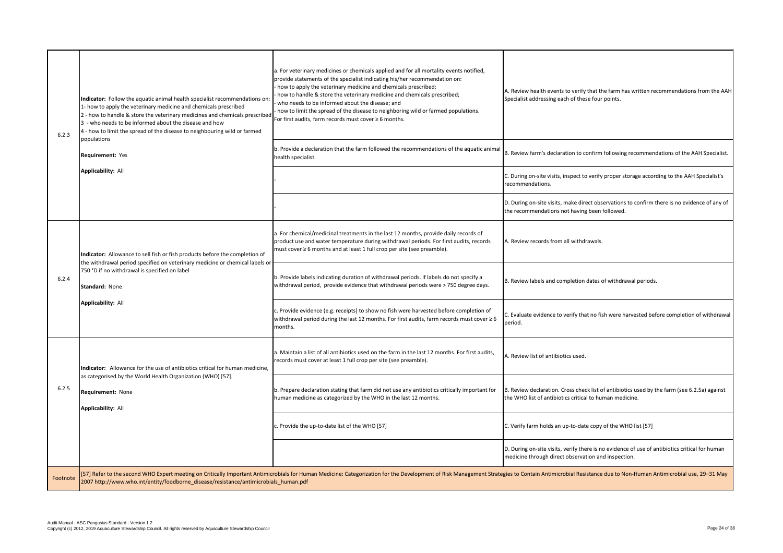C. During on-site visits, inspect to verify proper storage according to the AAH Specialist's recommendations.

D. During on-site visits, make direct observations to confirm there is no evidence of any of the recommendations not having been followed.

A. Review health events to verify that the farm has written recommendations from the AAH Specialist addressing each of these four points.

B. Review farm's declaration to confirm following recommendations of the AAH Specialist.

B. Review declaration. Cross check list of antibiotics used by the farm (see 6.2.5a) against the WHO list of antibiotics critical to human medicine.

C. Verify farm holds an up-to-date copy of the WHO list [57]

A. Review records from all withdrawals.

B. Review labels and completion dates of withdrawal periods.

C. Evaluate evidence to verify that no fish were harvested before completion of withdrawal period.

A. Review list of antibiotics used.

| 6.2.3    | Indicator: Follow the aquatic animal health specialist recommendations on:<br>1- how to apply the veterinary medicine and chemicals prescribed<br>2 - how to handle & store the veterinary medicines and chemicals prescribed<br>3 - who needs to be informed about the disease and how<br>4 - how to limit the spread of the disease to neighbouring wild or farmed<br>populations<br><b>Requirement: Yes</b><br><b>Applicability: All</b> | a. For veterinary medicines or chemicals applied and for all mortality events notified,<br>provide statements of the specialist indicating his/her recommendation on:<br>- how to apply the veterinary medicine and chemicals prescribed;<br>how to handle & store the veterinary medicine and chemicals prescribed;<br>who needs to be informed about the disease; and<br>how to limit the spread of the disease to neighboring wild or farmed populations.<br>For first audits, farm records must cover $\geq 6$ months.<br>b. Provide a declaration that the farm followed the recommendations of the aquatic animal<br>health specialist.                 |
|----------|---------------------------------------------------------------------------------------------------------------------------------------------------------------------------------------------------------------------------------------------------------------------------------------------------------------------------------------------------------------------------------------------------------------------------------------------|---------------------------------------------------------------------------------------------------------------------------------------------------------------------------------------------------------------------------------------------------------------------------------------------------------------------------------------------------------------------------------------------------------------------------------------------------------------------------------------------------------------------------------------------------------------------------------------------------------------------------------------------------------------|
| 6.2.4    | Indicator: Allowance to sell fish or fish products before the completion of<br>the withdrawal period specified on veterinary medicine or chemical labels or<br>750 °D if no withdrawal is specified on label<br>Standard: None<br><b>Applicability: All</b>                                                                                                                                                                                 | a. For chemical/medicinal treatments in the last 12 months, provide daily records of<br>product use and water temperature during withdrawal periods. For first audits, records<br>$ $ must cover $\geq 6$ months and at least 1 full crop per site (see preamble).<br>b. Provide labels indicating duration of withdrawal periods. If labels do not specify a<br>withdrawal period, provide evidence that withdrawal periods were > 750 degree days.<br>c. Provide evidence (e.g. receipts) to show no fish were harvested before completion of<br>withdrawal period during the last 12 months. For first audits, farm records must cover $\geq 6$<br>months. |
| 6.2.5    | Indicator: Allowance for the use of antibiotics critical for human medicine,<br>as categorised by the World Health Organization (WHO) [57].<br><b>Requirement: None</b><br><b>Applicability: All</b>                                                                                                                                                                                                                                        | a. Maintain a list of all antibiotics used on the farm in the last 12 months. For first audits,<br>records must cover at least 1 full crop per site (see preamble).<br>b. Prepare declaration stating that farm did not use any antibiotics critically important for<br>human medicine as categorized by the WHO in the last 12 months.<br>c. Provide the up-to-date list of the WHO [57]                                                                                                                                                                                                                                                                     |
| Footnote | [57] Refer to the second WHO Expert meeting on Critically Important Antimicrobials for Human Medicine: Categorization for the Development of Risk Management Strate<br>2007 http://www.who.int/entity/foodborne_disease/resistance/antimicrobials_human.pdf                                                                                                                                                                                 |                                                                                                                                                                                                                                                                                                                                                                                                                                                                                                                                                                                                                                                               |

D. During on-site visits, verify there is no evidence of use of antibiotics critical for human medicine through direct observation and inspection.

egies to Contain Antimicrobial Resistance due to Non-Human Antimicrobial use, 29–31 May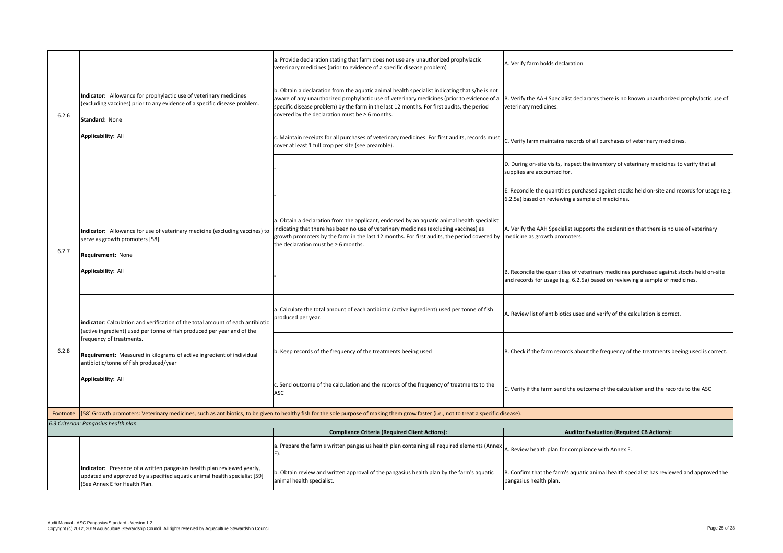E. Reconcile the quantities purchased against stocks held on-site and records for usage (e.g. 6.2.5a) based on reviewing a sample of medicines.

B. Verify the AAH Specialist declarares there is no known unauthorized prophylactic use of veterinary medicines.

 $|c$ . Verify farm maintains records of all purchases of veterinary medicines.

D. During on-site visits, inspect the inventory of veterinary medicines to verify that all supplies are accounted for.

B. Reconcile the quantities of veterinary medicines purchased against stocks held on-site and records for usage (e.g. 6.2.5a) based on reviewing a sample of medicines.

A. Review list of antibiotics used and verify of the calculation is correct.

B. Check if the farm records about the frequency of the treatments beeing used is correct.

 $|C$ . Verify if the farm send the outcome of the calculation and the records to the ASC

# **Auditor Evaluation (Required CB Actions):**

A. Review health plan for compliance with Annex E.

A. Verify the AAH Specialist supports the declaration that there is no use of veterinary medicine as growth promoters.

| 6.2.6    | Indicator: Allowance for prophylactic use of veterinary medicines<br>(excluding vaccines) prior to any evidence of a specific disease problem.<br>Standard: None<br><b>Applicability: All</b>                                                                                                                                                | a. Provide declaration stating that farm does not use any unauthorized prophylactic<br>veterinary medicines (prior to evidence of a specific disease problem)                                                                                                                                                                                   | A. Veri            |
|----------|----------------------------------------------------------------------------------------------------------------------------------------------------------------------------------------------------------------------------------------------------------------------------------------------------------------------------------------------|-------------------------------------------------------------------------------------------------------------------------------------------------------------------------------------------------------------------------------------------------------------------------------------------------------------------------------------------------|--------------------|
|          |                                                                                                                                                                                                                                                                                                                                              | b. Obtain a declaration from the aquatic animal health specialist indicating that s/he is not<br>aware of any unauthorized prophylactic use of veterinary medicines (prior to evidence of a<br>specific disease problem) by the farm in the last 12 months. For first audits, the period<br>covered by the declaration must be $\geq 6$ months. | B. Veri<br>veterin |
|          |                                                                                                                                                                                                                                                                                                                                              | c. Maintain receipts for all purchases of veterinary medicines. For first audits, records must<br>cover at least 1 full crop per site (see preamble).                                                                                                                                                                                           | C. Veri            |
|          |                                                                                                                                                                                                                                                                                                                                              |                                                                                                                                                                                                                                                                                                                                                 | D. Duri<br>supplie |
|          |                                                                                                                                                                                                                                                                                                                                              |                                                                                                                                                                                                                                                                                                                                                 | E. Reco<br>6.2.5a) |
| 6.2.7    | Indicator: Allowance for use of veterinary medicine (excluding vaccines) to<br>serve as growth promoters [58].<br><b>Requirement: None</b><br><b>Applicability: All</b>                                                                                                                                                                      | a. Obtain a declaration from the applicant, endorsed by an aquatic animal health specialist<br>indicating that there has been no use of veterinary medicines (excluding vaccines) as<br>growth promoters by the farm in the last 12 months. For first audits, the period covered by<br>the declaration must be $\geq 6$ months.                 | A. Veri<br>medici  |
|          |                                                                                                                                                                                                                                                                                                                                              |                                                                                                                                                                                                                                                                                                                                                 | B. Reco<br>and red |
| 6.2.8    | indicator: Calculation and verification of the total amount of each antibiotic<br>(active ingredient) used per tonne of fish produced per year and of the<br>frequency of treatments.<br><b>Requirement:</b> Measured in kilograms of active ingredient of individual<br>antibiotic/tonne of fish produced/year<br><b>Applicability: All</b> | a. Calculate the total amount of each antibiotic (active ingredient) used per tonne of fish<br>produced per year.                                                                                                                                                                                                                               | A. Revi            |
|          |                                                                                                                                                                                                                                                                                                                                              | b. Keep records of the frequency of the treatments beeing used                                                                                                                                                                                                                                                                                  | B. Che             |
|          |                                                                                                                                                                                                                                                                                                                                              | c. Send outcome of the calculation and the records of the frequency of treatments to the<br><b>ASC</b>                                                                                                                                                                                                                                          | C. Veri            |
| Footnote |                                                                                                                                                                                                                                                                                                                                              | [58] Growth promoters: Veterinary medicines, such as antibiotics, to be given to healthy fish for the sole purpose of making them grow faster (i.e., not to treat a specific disease).                                                                                                                                                          |                    |
|          | 6.3 Criterion: Pangasius health plan                                                                                                                                                                                                                                                                                                         |                                                                                                                                                                                                                                                                                                                                                 |                    |
|          |                                                                                                                                                                                                                                                                                                                                              | <b>Compliance Criteria (Required Client Actions):</b>                                                                                                                                                                                                                                                                                           |                    |
|          |                                                                                                                                                                                                                                                                                                                                              | a. Prepare the farm's written pangasius health plan containing all required elements (Annex<br>E).                                                                                                                                                                                                                                              | A. Revi            |
|          | Indicator: Presence of a written pangasius health plan reviewed yearly,<br>updated and approved by a specified aquatic animal health specialist [59]<br>(See Annex E for Health Plan.                                                                                                                                                        | b. Obtain review and written approval of the pangasius health plan by the farm's aquatic<br>animal health specialist.                                                                                                                                                                                                                           | B. Cont<br>pangas  |
|          |                                                                                                                                                                                                                                                                                                                                              |                                                                                                                                                                                                                                                                                                                                                 |                    |

A. Verify farm holds declaration

B. Confirm that the farm's aquatic animal health specialist has reviewed and approved the pangasius health plan.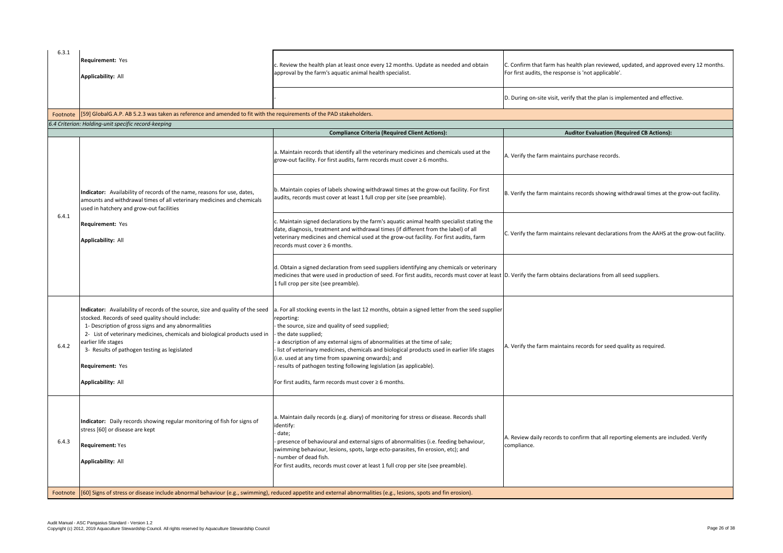C. Confirm that farm has health plan reviewed, updated, and approved every 12 months. For first audits, the response is 'not applicable'.

D. During on-site visit, verify that the plan is implemented and effective.

## **Auditor Evaluation (Required CB Actions):**

A. Verify the farm maintains purchase records.

 $\vert$ B. Verify the farm maintains records showing withdrawal times at the grow-out facility.

C. Verify the farm maintains relevant declarations from the AAHS at the grow-out facility.

D. Verify the farm obtains declarations from all seed suppliers.

| 6.3.1    | Requirement: Yes<br><b>Applicability: All</b>                                                                                                                                                                                                                                                                                                                                                   | c. Review the health plan at least once every 12 months. Update as needed and obtain<br>approval by the farm's aquatic animal health specialist.                                                                                                                                                                                                                                                                                                                                                                                                                |
|----------|-------------------------------------------------------------------------------------------------------------------------------------------------------------------------------------------------------------------------------------------------------------------------------------------------------------------------------------------------------------------------------------------------|-----------------------------------------------------------------------------------------------------------------------------------------------------------------------------------------------------------------------------------------------------------------------------------------------------------------------------------------------------------------------------------------------------------------------------------------------------------------------------------------------------------------------------------------------------------------|
|          |                                                                                                                                                                                                                                                                                                                                                                                                 |                                                                                                                                                                                                                                                                                                                                                                                                                                                                                                                                                                 |
| Footnote | [59] GlobalG.A.P. AB 5.2.3 was taken as reference and amended to fit with the requirements of the PAD stakeholders.                                                                                                                                                                                                                                                                             |                                                                                                                                                                                                                                                                                                                                                                                                                                                                                                                                                                 |
|          | 6.4 Criterion: Holding-unit specific record-keeping                                                                                                                                                                                                                                                                                                                                             |                                                                                                                                                                                                                                                                                                                                                                                                                                                                                                                                                                 |
|          |                                                                                                                                                                                                                                                                                                                                                                                                 | <b>Compliance Criteria (Required Client Actions):</b>                                                                                                                                                                                                                                                                                                                                                                                                                                                                                                           |
|          |                                                                                                                                                                                                                                                                                                                                                                                                 | a. Maintain records that identify all the veterinary medicines and chemicals used at the<br>$\alpha$ grow-out facility. For first audits, farm records must cover $\geq 6$ months.                                                                                                                                                                                                                                                                                                                                                                              |
|          | Indicator: Availability of records of the name, reasons for use, dates,<br>amounts and withdrawal times of all veterinary medicines and chemicals<br>used in hatchery and grow-out facilities<br>Requirement: Yes<br><b>Applicability: All</b>                                                                                                                                                  | b. Maintain copies of labels showing withdrawal times at the grow-out facility. For first<br>audits, records must cover at least 1 full crop per site (see preamble).                                                                                                                                                                                                                                                                                                                                                                                           |
| 6.4.1    |                                                                                                                                                                                                                                                                                                                                                                                                 | c. Maintain signed declarations by the farm's aquatic animal health specialist stating the<br>date, diagnosis, treatment and withdrawal times (if different from the label) of all<br>veterinary medicines and chemical used at the grow-out facility. For first audits, farm<br>records must cover ≥ 6 months.                                                                                                                                                                                                                                                 |
|          |                                                                                                                                                                                                                                                                                                                                                                                                 | d. Obtain a signed declaration from seed suppliers identifying any chemicals or veterinary<br>medicines that were used in production of seed. For first audits, records must cover at least<br>1 full crop per site (see preamble).                                                                                                                                                                                                                                                                                                                             |
| 6.4.2    | Indicator: Availability of records of the source, size and quality of the seed<br>stocked. Records of seed quality should include:<br>1- Description of gross signs and any abnormalities<br>2- List of veterinary medicines, chemicals and biological products used in<br>earlier life stages<br>3- Results of pathogen testing as legislated<br>Requirement: Yes<br><b>Applicability: All</b> | a. For all stocking events in the last 12 months, obtain a signed letter from the seed supplier<br>reporting:<br>- the source, size and quality of seed supplied;<br>the date supplied;<br>- a description of any external signs of abnormalities at the time of sale;<br>list of veterinary medicines, chemicals and biological products used in earlier life stages<br>(i.e. used at any time from spawning onwards); and<br>results of pathogen testing following legislation (as applicable).<br>For first audits, farm records must cover $\geq 6$ months. |
| 6.4.3    | Indicator: Daily records showing regular monitoring of fish for signs of<br>stress [60] or disease are kept<br><b>Requirement: Yes</b><br><b>Applicability: All</b>                                                                                                                                                                                                                             | a. Maintain daily records (e.g. diary) of monitoring for stress or disease. Records shall<br>identify:<br>date;<br>presence of behavioural and external signs of abnormalities (i.e. feeding behaviour,<br>swimming behaviour, lesions, spots, large ecto-parasites, fin erosion, etc); and<br>- number of dead fish.<br>For first audits, records must cover at least 1 full crop per site (see preamble).                                                                                                                                                     |
| Footnote |                                                                                                                                                                                                                                                                                                                                                                                                 | [[60] Signs of stress or disease include abnormal behaviour (e.g., swimming), reduced appetite and external abnormalities (e.g., lesions, spots and fin erosion).                                                                                                                                                                                                                                                                                                                                                                                               |

A. Verify the farm maintains records for seed quality as required.

A. Review daily records to confirm that all reporting elements are included. Verify compliance.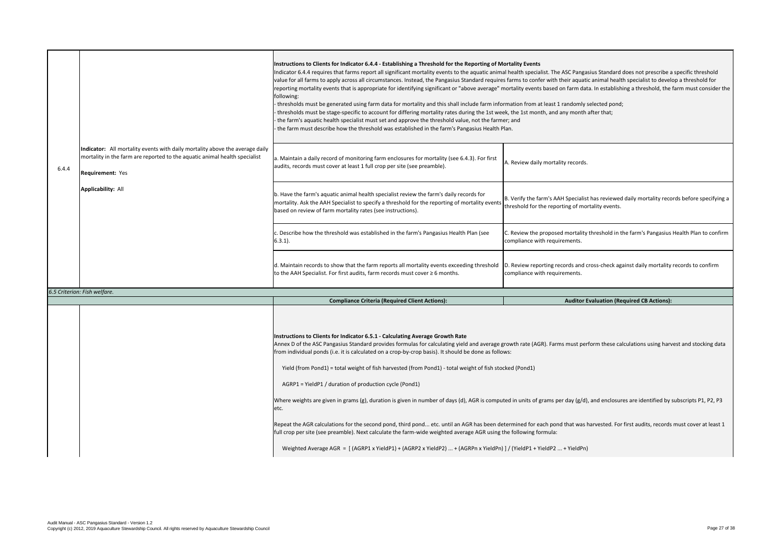B. Verify the farm's AAH Specialist has reviewed daily mortality records before specifying a threshold for the reporting of mortality events.

C. Review the proposed mortality threshold in the farm's Pangasius Health Plan to confirm compliance with requirements.

| Instructions to Clients for Indicator 6.4.4 - Establishing a Threshold for the Reporting of Mortality<br>Indicator 6.4.4 requires that farms report all significant mortality events to the aquatic animal healt<br>value for all farms to apply across all circumstances. Instead, the Pangasius Standard requires farms<br>reporting mortality events that is appropriate for identifying significant or "above average" mortalit<br>thresholds must be generated using farm data for mortality and this shall include farm informatior<br>thresholds must be stage-specific to account for differing mortality rates during the 1st week, the<br>the farm's aquatic health specialist must set and approve the threshold value, not the farmer; and<br>the farm must describe how the threshold was established in the farm's Pangasius Health Plan.<br>a. Maintain a daily record of monitoring farm enclosures for mortality (see 6.4.3). For first<br>A. Revi |
|---------------------------------------------------------------------------------------------------------------------------------------------------------------------------------------------------------------------------------------------------------------------------------------------------------------------------------------------------------------------------------------------------------------------------------------------------------------------------------------------------------------------------------------------------------------------------------------------------------------------------------------------------------------------------------------------------------------------------------------------------------------------------------------------------------------------------------------------------------------------------------------------------------------------------------------------------------------------|
|                                                                                                                                                                                                                                                                                                                                                                                                                                                                                                                                                                                                                                                                                                                                                                                                                                                                                                                                                                     |
|                                                                                                                                                                                                                                                                                                                                                                                                                                                                                                                                                                                                                                                                                                                                                                                                                                                                                                                                                                     |
| <b>B.</b> Veri<br>mortality. Ask the AAH Specialist to specify a threshold for the reporting of mortality events<br>thresh                                                                                                                                                                                                                                                                                                                                                                                                                                                                                                                                                                                                                                                                                                                                                                                                                                          |
| C. Revi<br>compli                                                                                                                                                                                                                                                                                                                                                                                                                                                                                                                                                                                                                                                                                                                                                                                                                                                                                                                                                   |
| D. Revi<br>compli                                                                                                                                                                                                                                                                                                                                                                                                                                                                                                                                                                                                                                                                                                                                                                                                                                                                                                                                                   |
|                                                                                                                                                                                                                                                                                                                                                                                                                                                                                                                                                                                                                                                                                                                                                                                                                                                                                                                                                                     |
|                                                                                                                                                                                                                                                                                                                                                                                                                                                                                                                                                                                                                                                                                                                                                                                                                                                                                                                                                                     |
| Annex D of the ASC Pangasius Standard provides formulas for calculating yield and average growth i<br>from individual ponds (i.e. it is calculated on a crop-by-crop basis). It should be done as follows:<br>Yield (from Pond1) = total weight of fish harvested (from Pond1) - total weight of fish stocked (Po<br>Where weights are given in grams (g), duration is given in number of days (d), AGR is computed in u<br>Repeat the AGR calculations for the second pond, third pond etc. until an AGR has been determin<br>full crop per site (see preamble). Next calculate the farm-wide weighted average AGR using the follo                                                                                                                                                                                                                                                                                                                                 |
| c. Describe how the threshold was established in the farm's Pangasius Health Plan (see<br>d. Maintain records to show that the farm reports all mortality events exceeding threshold                                                                                                                                                                                                                                                                                                                                                                                                                                                                                                                                                                                                                                                                                                                                                                                |

#### **Instruction Events**

I health specialist. The ASC Pangasius Standard does not prescribe a specific threshold farms to confer with their aquatic animal health specialist to develop a threshold for nortality events based on farm data. In establishing a threshold, the farm must consider the

mation from at least 1 randomly selected pond; ek, the 1st month, and any month after that;

A. Review daily mortality records.

D. Review reporting records and cross-check against daily mortality records to confirm compliance with requirements.

**Auditor Evaluation (Required CB Actions):** 

rowth rate (AGR). Farms must perform these calculations using harvest and stocking data

ked (Pond1)

ed in units of grams per day (g/d), and enclosures are identified by subscripts P1, P2, P3

termined for each pond that was harvested. For first audits, records must cover at least 1 he following formula:

J / (YieldP1 + YieldP2 ... + YieldPn)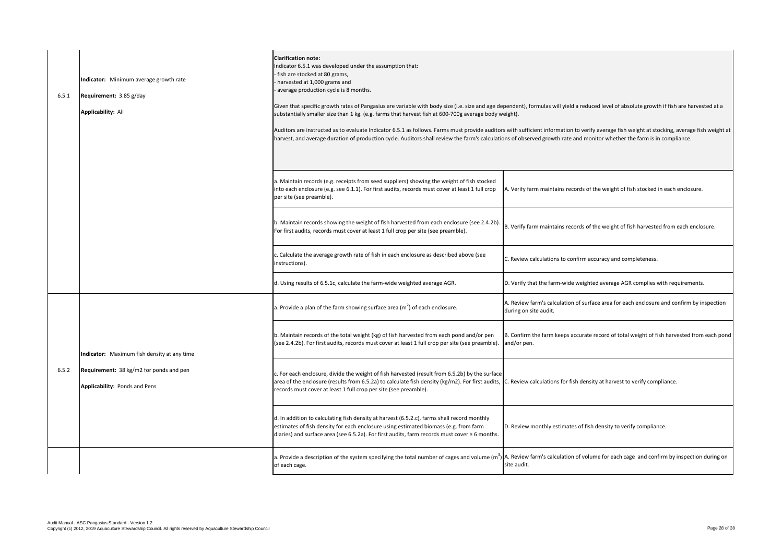A. Verify farm maintains records of the weight of fish stocked in each enclosure.

 $\left| \text{B. Verify farm maintains records of the weight of fish harvested from each enclosure.} \right|$ 

C. Review calculations to confirm accuracy and completeness.

D. Verify that the farm-wide weighted average AGR complies with requirements.

A. Review farm's calculation of surface area for each enclosure and confirm by inspection during on site audit.

B. Confirm the farm keeps accurate record of total weight of fish harvested from each pond and/or pen.

) A. Review farm's calculation of volume for each cage and confirm by inspection during on site audit.

| 6.5.1 | Indicator: Minimum average growth rate<br>Requirement: 3.85 g/day<br><b>Applicability: All</b>                          | <b>Clarification note:</b><br>Indicator 6.5.1 was developed under the assumption that:<br>fish are stocked at 80 grams,<br>harvested at 1,000 grams and<br>average production cycle is 8 months.<br>Given that specific growth rates of Pangasius are variable with body size (i.e. size and age depende<br>substantially smaller size than 1 kg. (e.g. farms that harvest fish at 600-700g average body weight).<br>Auditors are instructed as to evaluate Indicator 6.5.1 as follows. Farms must provide auditors with<br>harvest, and average duration of production cycle. Auditors shall review the farm's calculations of |                  |
|-------|-------------------------------------------------------------------------------------------------------------------------|---------------------------------------------------------------------------------------------------------------------------------------------------------------------------------------------------------------------------------------------------------------------------------------------------------------------------------------------------------------------------------------------------------------------------------------------------------------------------------------------------------------------------------------------------------------------------------------------------------------------------------|------------------|
|       |                                                                                                                         | a. Maintain records (e.g. receipts from seed suppliers) showing the weight of fish stocked<br>into each enclosure (e.g. see 6.1.1). For first audits, records must cover at least 1 full crop<br>per site (see preamble).                                                                                                                                                                                                                                                                                                                                                                                                       | A. Ver           |
|       |                                                                                                                         | (b. Maintain records showing the weight of fish harvested from each enclosure (see 2.4.2b)<br>For first audits, records must cover at least 1 full crop per site (see preamble).                                                                                                                                                                                                                                                                                                                                                                                                                                                | B. Ver           |
|       |                                                                                                                         | c. Calculate the average growth rate of fish in each enclosure as described above (see<br>instructions).                                                                                                                                                                                                                                                                                                                                                                                                                                                                                                                        | C. Rev           |
|       |                                                                                                                         | d. Using results of 6.5.1c, calculate the farm-wide weighted average AGR.                                                                                                                                                                                                                                                                                                                                                                                                                                                                                                                                                       | D. Ver           |
|       |                                                                                                                         | a. Provide a plan of the farm showing surface area ( $m2$ ) of each enclosure.                                                                                                                                                                                                                                                                                                                                                                                                                                                                                                                                                  | A. Rev<br>during |
| 6.5.2 | Indicator: Maximum fish density at any time<br>Requirement: 38 kg/m2 for ponds and pen<br>Applicability: Ponds and Pens | b. Maintain records of the total weight (kg) of fish harvested from each pond and/or pen<br>(see 2.4.2b). For first audits, records must cover at least 1 full crop per site (see preamble).                                                                                                                                                                                                                                                                                                                                                                                                                                    | B. Cor<br>and/c  |
|       |                                                                                                                         | c. For each enclosure, divide the weight of fish harvested (result from 6.5.2b) by the surface<br>area of the enclosure (results from 6.5.2a) to calculate fish density (kg/m2). For first audits, C. Rev<br>records must cover at least 1 full crop per site (see preamble).                                                                                                                                                                                                                                                                                                                                                   |                  |
|       |                                                                                                                         | d. In addition to calculating fish density at harvest (6.5.2.c), farms shall record monthly<br>estimates of fish density for each enclosure using estimated biomass (e.g. from farm<br>diaries) and surface area (see 6.5.2a). For first audits, farm records must cover $\geq 6$ months.                                                                                                                                                                                                                                                                                                                                       | D. Rev           |
|       |                                                                                                                         | a. Provide a description of the system specifying the total number of cages and volume (m <sup>3</sup> ) A. Rev<br>of each cage.                                                                                                                                                                                                                                                                                                                                                                                                                                                                                                | site a           |

pendent), formulas will yield a reduced level of absolute growth if fish are harvested at a

 $\alpha$  with sufficient information to verify average fish weight at stocking, average fish weight at ons of observed growth rate and monitor whether the farm is in compliance.

C. Review calculations for fish density at harvest to verify compliance.

D. Review monthly estimates of fish density to verify compliance.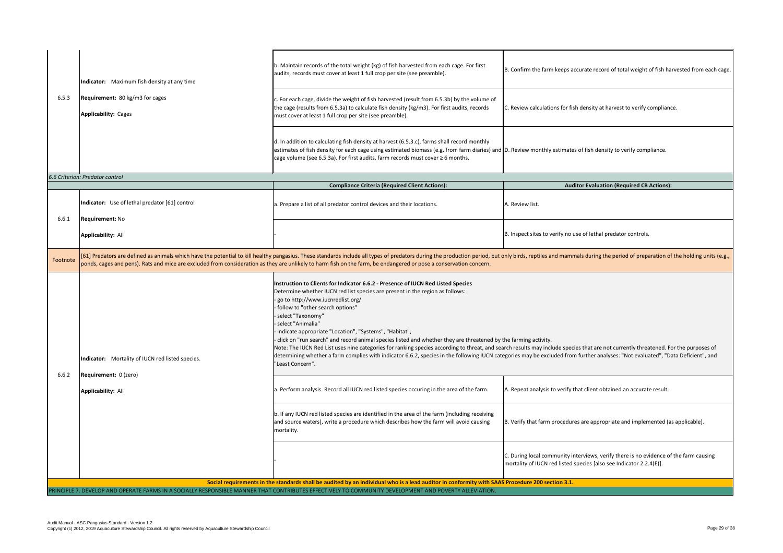| 6.5.3                                                                                                                                           | Indicator: Maximum fish density at any time<br><b>Requirement:</b> 80 kg/m3 for cages<br><b>Applicability: Cages</b>                                                                                                                                                                                                                                                                                | b. Maintain records of the total weight (kg) of fish harvested from each cage. For first<br>audits, records must cover at least 1 full crop per site (see preamble).                                                                                                                                                                                                                                                                                                                                                                                                                                                                                                                                                                                                                                                                                                   | B. Confirm the farm keeps accurate record of total weight of fish harvested from each cage.                                                                  |  |  |
|-------------------------------------------------------------------------------------------------------------------------------------------------|-----------------------------------------------------------------------------------------------------------------------------------------------------------------------------------------------------------------------------------------------------------------------------------------------------------------------------------------------------------------------------------------------------|------------------------------------------------------------------------------------------------------------------------------------------------------------------------------------------------------------------------------------------------------------------------------------------------------------------------------------------------------------------------------------------------------------------------------------------------------------------------------------------------------------------------------------------------------------------------------------------------------------------------------------------------------------------------------------------------------------------------------------------------------------------------------------------------------------------------------------------------------------------------|--------------------------------------------------------------------------------------------------------------------------------------------------------------|--|--|
|                                                                                                                                                 |                                                                                                                                                                                                                                                                                                                                                                                                     | . For each cage, divide the weight of fish harvested (result from 6.5.3b) by the volume of<br>the cage (results from 6.5.3a) to calculate fish density (kg/m3). For first audits, records<br>must cover at least 1 full crop per site (see preamble).                                                                                                                                                                                                                                                                                                                                                                                                                                                                                                                                                                                                                  | . Review calculations for fish density at harvest to verify compliance.                                                                                      |  |  |
|                                                                                                                                                 |                                                                                                                                                                                                                                                                                                                                                                                                     | $\vert$ d. In addition to calculating fish density at harvest (6.5.3.c), farms shall record monthly<br>estimates of fish density for each cage using estimated biomass (e.g. from farm diaries) and D. Review monthly estimates of fish density to verify compliance.<br>$\alpha$ cage volume (see 6.5.3a). For first audits, farm records must cover $\geq 6$ months.                                                                                                                                                                                                                                                                                                                                                                                                                                                                                                 |                                                                                                                                                              |  |  |
|                                                                                                                                                 | 6.6 Criterion: Predator control                                                                                                                                                                                                                                                                                                                                                                     |                                                                                                                                                                                                                                                                                                                                                                                                                                                                                                                                                                                                                                                                                                                                                                                                                                                                        |                                                                                                                                                              |  |  |
|                                                                                                                                                 |                                                                                                                                                                                                                                                                                                                                                                                                     | <b>Compliance Criteria (Required Client Actions):</b>                                                                                                                                                                                                                                                                                                                                                                                                                                                                                                                                                                                                                                                                                                                                                                                                                  | <b>Auditor Evaluation (Required CB Actions):</b>                                                                                                             |  |  |
|                                                                                                                                                 | Indicator: Use of lethal predator [61] control                                                                                                                                                                                                                                                                                                                                                      | a. Prepare a list of all predator control devices and their locations.                                                                                                                                                                                                                                                                                                                                                                                                                                                                                                                                                                                                                                                                                                                                                                                                 | A. Review list.                                                                                                                                              |  |  |
| 6.6.1                                                                                                                                           | <b>Requirement: No</b>                                                                                                                                                                                                                                                                                                                                                                              |                                                                                                                                                                                                                                                                                                                                                                                                                                                                                                                                                                                                                                                                                                                                                                                                                                                                        |                                                                                                                                                              |  |  |
|                                                                                                                                                 | <b>Applicability: All</b>                                                                                                                                                                                                                                                                                                                                                                           |                                                                                                                                                                                                                                                                                                                                                                                                                                                                                                                                                                                                                                                                                                                                                                                                                                                                        | B. Inspect sites to verify no use of lethal predator controls.                                                                                               |  |  |
| Footnote                                                                                                                                        | [61] Predators are defined as animals which have the potential to kill healthy pangasius. These standards include all types of predators during the production period, but only birds, reptiles and mammals during the period<br>ponds, cages and pens). Rats and mice are excluded from consideration as they are unlikely to harm fish on the farm, be endangered or pose a conservation concern. |                                                                                                                                                                                                                                                                                                                                                                                                                                                                                                                                                                                                                                                                                                                                                                                                                                                                        |                                                                                                                                                              |  |  |
| 6.6.2                                                                                                                                           | Indicator: Mortality of IUCN red listed species.<br>Requirement: 0 (zero)                                                                                                                                                                                                                                                                                                                           | Instruction to Clients for Indicator 6.6.2 - Presence of IUCN Red Listed Species<br>Determine whether IUCN red list species are present in the region as follows:<br>go to http://www.iucnredlist.org/<br>follow to "other search options"<br>· select "Taxonomy"<br>· select "Animalia"<br>· indicate appropriate "Location", "Systems", "Habitat",<br>click on "run search" and record animal species listed and whether they are threatened by the farming activity.<br>Note: The IUCN Red List uses nine categories for ranking species according to threat, and search results may include species that are not currently threatened. For the purposes of<br>determining whether a farm complies with indicator 6.6.2, species in the following IUCN categories may be excluded from further analyses: "Not evaluated", "Data Deficient", and<br>"Least Concern". |                                                                                                                                                              |  |  |
|                                                                                                                                                 | <b>Applicability: All</b>                                                                                                                                                                                                                                                                                                                                                                           | a. Perform analysis. Record all IUCN red listed species occuring in the area of the farm.                                                                                                                                                                                                                                                                                                                                                                                                                                                                                                                                                                                                                                                                                                                                                                              | A. Repeat analysis to verify that client obtained an accurate result.                                                                                        |  |  |
|                                                                                                                                                 |                                                                                                                                                                                                                                                                                                                                                                                                     | b. If any IUCN red listed species are identified in the area of the farm (including receiving<br>and source waters), write a procedure which describes how the farm will avoid causing<br>mortality.                                                                                                                                                                                                                                                                                                                                                                                                                                                                                                                                                                                                                                                                   | B. Verify that farm procedures are appropriate and implemented (as applicable).                                                                              |  |  |
|                                                                                                                                                 |                                                                                                                                                                                                                                                                                                                                                                                                     |                                                                                                                                                                                                                                                                                                                                                                                                                                                                                                                                                                                                                                                                                                                                                                                                                                                                        | C. During local community interviews, verify there is no evidence of the farm causing<br>mortality of IUCN red listed species [also see Indicator 2.2.4(E)]. |  |  |
| Social requirements in the standards shall be audited by an individual who is a lead auditor in conformity with SAAS Procedure 200 section 3.1. |                                                                                                                                                                                                                                                                                                                                                                                                     |                                                                                                                                                                                                                                                                                                                                                                                                                                                                                                                                                                                                                                                                                                                                                                                                                                                                        |                                                                                                                                                              |  |  |
|                                                                                                                                                 | PRINCIPLE 7. DEVELOP AND OPERATE FARMS IN A SOCIALLY RESPONSIBLE MANNER THAT CONTRIBUTES EFFECTIVELY TO COMMUNITY DEVELOPMENT AND POVERTY ALLEVIATION.                                                                                                                                                                                                                                              |                                                                                                                                                                                                                                                                                                                                                                                                                                                                                                                                                                                                                                                                                                                                                                                                                                                                        |                                                                                                                                                              |  |  |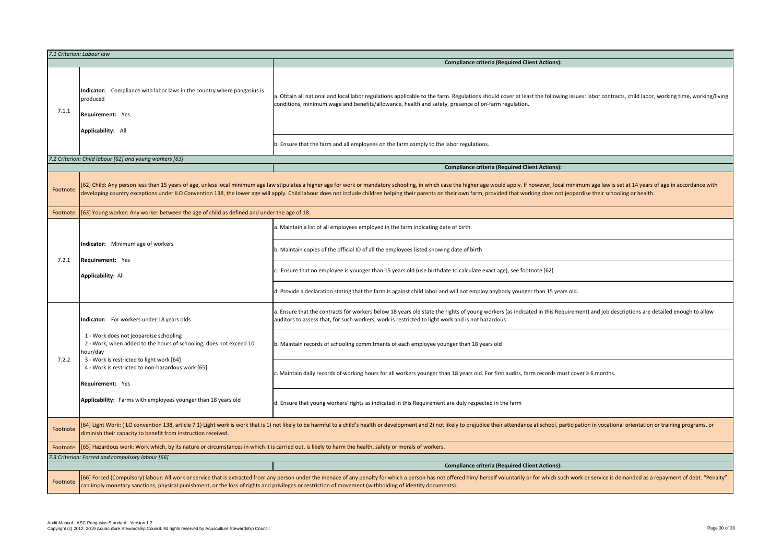|                                                            | 7.1 Criterion: Labour law                                                                                                                                                                                                                                                                           | <b>Compliance criteria (Required</b>                                                                                                                                                                                                                                                                                                                                  |
|------------------------------------------------------------|-----------------------------------------------------------------------------------------------------------------------------------------------------------------------------------------------------------------------------------------------------------------------------------------------------|-----------------------------------------------------------------------------------------------------------------------------------------------------------------------------------------------------------------------------------------------------------------------------------------------------------------------------------------------------------------------|
| Indicator:<br>produced<br>7.1.1<br><b>Requirement:</b> Yes | Compliance with labor laws in the country where pangasius is<br>Applicability: All                                                                                                                                                                                                                  | a. Obtain all national and local labor regulations applicable to the farm. Regulations should cover at<br>conditions, minimum wage and benefits/allowance, health and safety, presence of on-farm regulati                                                                                                                                                            |
|                                                            |                                                                                                                                                                                                                                                                                                     | b. Ensure that the farm and all employees on the farm comply to the labor regulations.                                                                                                                                                                                                                                                                                |
|                                                            | 7.2 Criterion: Child labour [62] and young workers [63]                                                                                                                                                                                                                                             |                                                                                                                                                                                                                                                                                                                                                                       |
|                                                            |                                                                                                                                                                                                                                                                                                     | <b>Compliance criteria (Required</b>                                                                                                                                                                                                                                                                                                                                  |
| Footnote                                                   |                                                                                                                                                                                                                                                                                                     | [62] Child: Any person less than 15 years of age, unless local minimum age law stipulates a higher age for work or mandatory schooling, in which case the higher age would apply<br>developing country exceptions under ILO Convention 138, the lower age will apply. Child labour does not include children helping their parents on their own farm, provided that v |
| Footnote                                                   | [63] Young worker: Any worker between the age of child as defined and under the age of 18.                                                                                                                                                                                                          |                                                                                                                                                                                                                                                                                                                                                                       |
|                                                            | Indicator: Minimum age of workers                                                                                                                                                                                                                                                                   | a. Maintain a list of all employees employed in the farm indicating date of birth                                                                                                                                                                                                                                                                                     |
| 7.2.1                                                      |                                                                                                                                                                                                                                                                                                     | b. Maintain copies of the official ID of all the employees listed showing date of birth                                                                                                                                                                                                                                                                               |
|                                                            | <b>Requirement:</b> Yes<br><b>Applicability: All</b>                                                                                                                                                                                                                                                | c. Ensure that no employee is younger than 15 years old (use birthdate to calculate exact age), see t                                                                                                                                                                                                                                                                 |
|                                                            |                                                                                                                                                                                                                                                                                                     | d. Provide a declaration stating that the farm is against child labor and will not employ anybody you                                                                                                                                                                                                                                                                 |
|                                                            | Indicator: For workers under 18 years olds<br>1 - Work does not jeopardise schooling<br>2 - Work, when added to the hours of schooling, does not exceed 10<br>hour/day<br>3 - Work is restricted to light work [64]<br>4 - Work is restricted to non-hazardous work [65]<br><b>Requirement:</b> Yes | a. Ensure that the contracts for workers below 18 years old state the rights of young workers (as inc<br>auditors to assess that, for such workers, work is restricted to light work and is not hazardous                                                                                                                                                             |
|                                                            |                                                                                                                                                                                                                                                                                                     | b. Maintain records of schooling commitments of each employee younger than 18 years old                                                                                                                                                                                                                                                                               |
| 7.2.2                                                      |                                                                                                                                                                                                                                                                                                     | c. Maintain daily records of working hours for all workers younger than 18 years old. For first audits                                                                                                                                                                                                                                                                |
|                                                            | Applicability: Farms with employees younger than 18 years old                                                                                                                                                                                                                                       | d. Ensure that young workers' rights as indicated in this Requirement are duly respected in the farm                                                                                                                                                                                                                                                                  |
| Footnote                                                   | [64] Light Work: (ILO convention 138, article 7.1) Light work is work that is 1) not likely to be harmful to a child's health or development and 2) not likely to prejudice their attend<br>diminish their capacity to benefit from instruction received.                                           |                                                                                                                                                                                                                                                                                                                                                                       |
| Footnote                                                   | [65] Hazardous work: Work which, by its nature or circumstances in which it is carried out, is likely to harm the health, safety or morals of workers.                                                                                                                                              |                                                                                                                                                                                                                                                                                                                                                                       |
|                                                            | 7.3 Criterion: Forced and compulsory labour [66]                                                                                                                                                                                                                                                    |                                                                                                                                                                                                                                                                                                                                                                       |
|                                                            |                                                                                                                                                                                                                                                                                                     | <b>Compliance criteria (Required</b>                                                                                                                                                                                                                                                                                                                                  |
| Footnote                                                   | can imply monetary sanctions, physical punishment, or the loss of rights and privileges or restriction of movement (withholding of identity documents).                                                                                                                                             | [66] Forced (Compulsory) labour: All work or service that is extracted from any person under the menace of any penalty for which a person has not offered him/ herself voluntari                                                                                                                                                                                      |

### **Equired Client Actions):**

cover at least the following issues: labor contracts, child labor, working time, working/living n regulation.

## **Combinance Client Actions):**

Ild apply. If however, local minimum age law is set at 14 years of age in accordance with led that working does not jeopardise their schooling or health.

ge), see footnote [62]

oody younger than 15 years old.

rs (as indicated in this Requirement) and job descriptions are detailed enough to allow

st audits, farm records must cover ≥ 6 months.

attendance at school, participation in vocational orientation or training programs, or

# **Equired Client Actions):**

oluntarily or for which such work or service is demanded as a repayment of debt. "Penalty"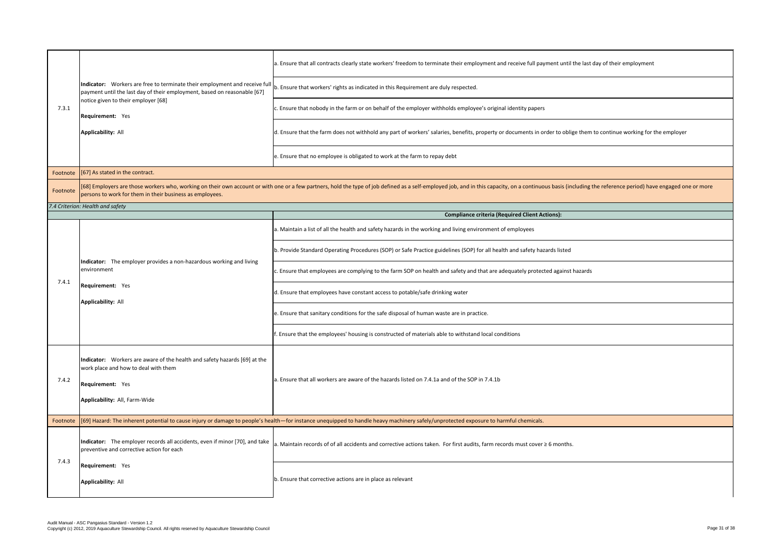|          | payment until the last day of their employment, based on reasonable [67]<br>notice given to their employer [68]<br><b>Requirement:</b> Yes<br><b>Applicability: All</b>              | a. Ensure that all contracts clearly state workers' freedom to terminate their employment and receive full payment until the last day of their employment                                                                      |
|----------|--------------------------------------------------------------------------------------------------------------------------------------------------------------------------------------|--------------------------------------------------------------------------------------------------------------------------------------------------------------------------------------------------------------------------------|
|          |                                                                                                                                                                                      | Indicator: Workers are free to terminate their employment and receive full $ _b$ . Ensure that workers' rights as indicated in this Requirement are duly respected.                                                            |
| 7.3.1    |                                                                                                                                                                                      | . Ensure that nobody in the farm or on behalf of the employer withholds employee's original identity papers                                                                                                                    |
|          |                                                                                                                                                                                      | d. Ensure that the farm does not withhold any part of workers' salaries, benefits, property or documents in order to oblige them to continue working for the employer                                                          |
|          |                                                                                                                                                                                      | e. Ensure that no employee is obligated to work at the farm to repay debt                                                                                                                                                      |
| Footnote | $[67]$ As stated in the contract.                                                                                                                                                    |                                                                                                                                                                                                                                |
| Footnote | persons to work for them in their business as employees.                                                                                                                             | [68] Employers are those workers who, working on their own account or with one or a few partners, hold the type of job defined as a self-employed job, and in this capacity, on a continuous basis (including the reference pe |
|          | 7.4 Criterion: Health and safety                                                                                                                                                     |                                                                                                                                                                                                                                |
|          |                                                                                                                                                                                      | <b>Compliance criteria (Required Client Actions):</b>                                                                                                                                                                          |
|          | Indicator: The employer provides a non-hazardous working and living<br>environment<br><b>Requirement:</b> Yes<br><b>Applicability: All</b>                                           | a. Maintain a list of all the health and safety hazards in the working and living environment of employees                                                                                                                     |
|          |                                                                                                                                                                                      | b. Provide Standard Operating Procedures (SOP) or Safe Practice guidelines (SOP) for all health and safety hazards listed                                                                                                      |
|          |                                                                                                                                                                                      | . Ensure that employees are complying to the farm SOP on health and safety and that are adequately protected against hazards                                                                                                   |
| 7.4.1    |                                                                                                                                                                                      | . Ensure that employees have constant access to potable/safe drinking water                                                                                                                                                    |
|          |                                                                                                                                                                                      | e. Ensure that sanitary conditions for the safe disposal of human waste are in practice.                                                                                                                                       |
|          |                                                                                                                                                                                      | . Ensure that the employees' housing is constructed of materials able to withstand local conditions                                                                                                                            |
|          | Indicator: Workers are aware of the health and safety hazards [69] at the<br>work place and how to deal with them                                                                    |                                                                                                                                                                                                                                |
| 7.4.2    | Requirement: Yes                                                                                                                                                                     | a. Ensure that all workers are aware of the hazards listed on 7.4.1a and of the SOP in 7.4.1b                                                                                                                                  |
|          | Applicability: All, Farm-Wide                                                                                                                                                        |                                                                                                                                                                                                                                |
| Footnote | [69] Hazard: The inherent potential to cause injury or damage to people's health—for instance unequipped to handle heavy machinery safely/unprotected exposure to harmful chemicals. |                                                                                                                                                                                                                                |
|          | Indicator: The employer records all accidents, even if minor [70], and take<br>preventive and corrective action for each                                                             | a. Maintain records of of all accidents and corrective actions taken. For first audits, farm records must cover $\geq 6$ months.                                                                                               |
| 7.4.3    | Requirement: Yes<br>Applicability: All                                                                                                                                               | b. Ensure that corrective actions are in place as relevant                                                                                                                                                                     |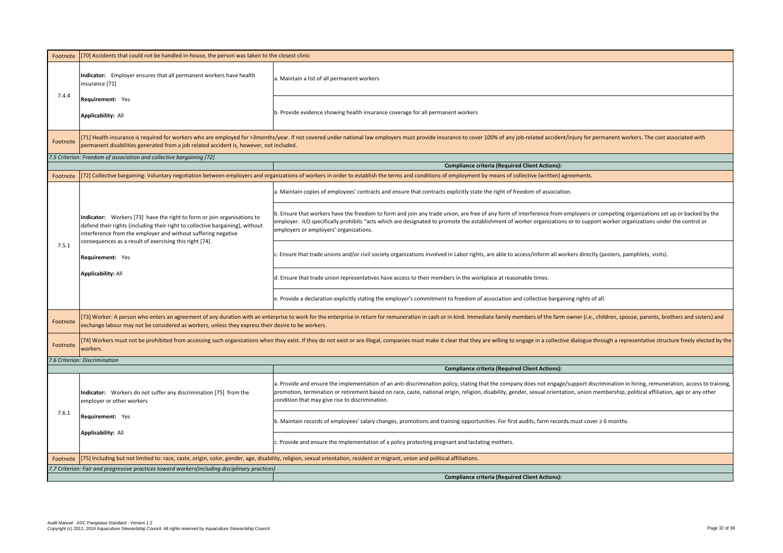| Footnote                                                                                       | [70] Accidents that could not be handled in-house, the person was taken to the closest clinic                                                                                                                                                                                        |                                                                                                                                                                                                                                                             |
|------------------------------------------------------------------------------------------------|--------------------------------------------------------------------------------------------------------------------------------------------------------------------------------------------------------------------------------------------------------------------------------------|-------------------------------------------------------------------------------------------------------------------------------------------------------------------------------------------------------------------------------------------------------------|
| 7.4.4                                                                                          | Indicator: Employer ensures that all permanent workers have health<br>insurance [71]                                                                                                                                                                                                 | a. Maintain a list of all permanent workers                                                                                                                                                                                                                 |
|                                                                                                | <b>Requirement:</b> Yes                                                                                                                                                                                                                                                              |                                                                                                                                                                                                                                                             |
|                                                                                                | <b>Applicability: All</b>                                                                                                                                                                                                                                                            | b. Provide evidence showing health insurance coverage for all permanent workers                                                                                                                                                                             |
| Footnote                                                                                       | permanent disabilities generated from a job related accident is, however, not included.                                                                                                                                                                                              | [71] Health insurance is required for workers who are employed for >3months/year. If not covered under national law employers must provide insurance to cover 100% of any                                                                                   |
|                                                                                                | 7.5 Criterion: Freedom of association and collective bargaining [72]                                                                                                                                                                                                                 |                                                                                                                                                                                                                                                             |
|                                                                                                |                                                                                                                                                                                                                                                                                      | <b>Compliance criteria (Require</b>                                                                                                                                                                                                                         |
| Footnote                                                                                       |                                                                                                                                                                                                                                                                                      | [72] Collective bargaining: Voluntary negotiation between employers and organizations of workers in order to establish the terms and conditions of employment by means of                                                                                   |
|                                                                                                |                                                                                                                                                                                                                                                                                      | a. Maintain copies of employees' contracts and ensure that contracts explicitly state the right of                                                                                                                                                          |
|                                                                                                | Indicator: Workers [73] have the right to form or join organisations to<br>defend their rights (including their right to collective bargaining), without<br>interference from the employer and without suffering negative<br>consequences as a result of exercising this right [74]. | b. Ensure that workers have the freedom to form and join any trade union, are free of any form of<br>employer. ILO specifically prohibits "acts which are designated to promote the establishment of<br>employers or employers' organizations.              |
| 7.5.1                                                                                          | <b>Requirement:</b> Yes                                                                                                                                                                                                                                                              | c. Ensure that trade unions and/or civil society organizations involved in Labor rights, are able to                                                                                                                                                        |
|                                                                                                | <b>Applicability: All</b>                                                                                                                                                                                                                                                            | d. Ensure that trade union representatives have access to their members in the workplace at rea                                                                                                                                                             |
|                                                                                                |                                                                                                                                                                                                                                                                                      | e. Provide a declaration explicitly stating the employer's commitment to freedom of association                                                                                                                                                             |
| Footnote                                                                                       | [73] Worker: A person who enters an agreement of any duration with an enterprise to work for the enterprise in return for remuneration in cash or in kind. Immediate family r<br>exchange labour may not be considered as workers, unless they express their desire to be workers.   |                                                                                                                                                                                                                                                             |
| Footnote                                                                                       | [74] Workers must not be prohibited from accessing such organizations when they exist. If they do not exist or are illegal, companies must make it clear that they are willing to<br>workers.                                                                                        |                                                                                                                                                                                                                                                             |
|                                                                                                | 7.6 Criterion: Discrimination                                                                                                                                                                                                                                                        |                                                                                                                                                                                                                                                             |
|                                                                                                |                                                                                                                                                                                                                                                                                      | <b>Compliance criteria (Requi</b>                                                                                                                                                                                                                           |
| 7.6.1                                                                                          | Indicator: Workers do not suffer any discrimination [75] from the<br>employer or other workers                                                                                                                                                                                       | a. Provide and ensure the implementation of an anti-discrimination policy, stating that the comp<br>promotion, termination or retirement based on race, caste, national origin, religion, disability, ge<br>condition that may give rise to discrimination. |
|                                                                                                | <b>Requirement:</b> Yes                                                                                                                                                                                                                                                              | b. Maintain records of employees' salary changes, promotions and training opportunities. For fir                                                                                                                                                            |
|                                                                                                | <b>Applicability: All</b>                                                                                                                                                                                                                                                            | c. Provide and ensure the implementation of a policy protecting pregnant and lactating mothers.                                                                                                                                                             |
| Footnote                                                                                       | [75] Including but not limited to: race, caste, origin, color, gender, age, disability, religion, sexual orientation, resident or migrant, union and political affiliations.                                                                                                         |                                                                                                                                                                                                                                                             |
| 7.7 Criterion: Fair and progressive practices toward workers(including disciplinary practices) |                                                                                                                                                                                                                                                                                      |                                                                                                                                                                                                                                                             |
|                                                                                                |                                                                                                                                                                                                                                                                                      | <b>Compliance criteria (Require</b>                                                                                                                                                                                                                         |

of any job-related accident/injury for permanent workers. The cost associated with

**Required Client Actions):** 

ns of collective (written) agreements.

ht of freedom of association.

form of interference from employers or competing organizations set up or backed by the ent of worker organizations or to support worker organizations under the control or

ble to access/inform all workers directly (posters, pamphlets, visits).

at reasonable times.

ation and collective bargaining rights of all.

imily members of the farm owner (i.e., children, spouse, parents, brothers and sisters) and

ing to engage in a collective dialogue through a representative structure freely elected by the

**Required Client Actions):** 

company does not engage/support discrimination in hiring, remuneration, access to training, ity, gender, sexual orientation, union membership, political affiliation, age or any other

For first audits, farm records must cover ≥ 6 months.

**Required Client Actions):**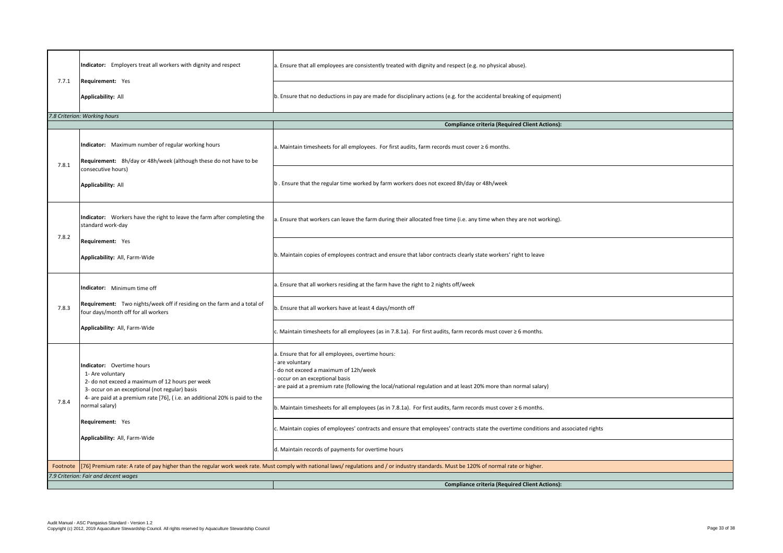| 7.7.1                                | Indicator: Employers treat all workers with dignity and respect<br><b>Requirement:</b> Yes                                                                                               | a. Ensure that all employees are consistently treated with dignity and respect (e.g. no physical abuse).                                                                                                                                                 |  |
|--------------------------------------|------------------------------------------------------------------------------------------------------------------------------------------------------------------------------------------|----------------------------------------------------------------------------------------------------------------------------------------------------------------------------------------------------------------------------------------------------------|--|
|                                      | <b>Applicability: All</b>                                                                                                                                                                | b. Ensure that no deductions in pay are made for disciplinary actions (e.g. for the accidental breaking of equipment)                                                                                                                                    |  |
|                                      | 7.8 Criterion: Working hours                                                                                                                                                             |                                                                                                                                                                                                                                                          |  |
|                                      |                                                                                                                                                                                          | <b>Compliance criteria (Required Client Actions):</b>                                                                                                                                                                                                    |  |
| 7.8.1                                | Indicator: Maximum number of regular working hours<br>Requirement: 8h/day or 48h/week (although these do not have to be                                                                  | a. Maintain timesheets for all employees. For first audits, farm records must cover $\geq 6$ months.                                                                                                                                                     |  |
|                                      | consecutive hours)<br><b>Applicability: All</b>                                                                                                                                          | b. Ensure that the regular time worked by farm workers does not exceed 8h/day or 48h/week                                                                                                                                                                |  |
| 7.8.2                                | Indicator: Workers have the right to leave the farm after completing the<br>standard work-day                                                                                            | a. Ensure that workers can leave the farm during their allocated free time (i.e. any time when they are not working).                                                                                                                                    |  |
|                                      | <b>Requirement: Yes</b><br>Applicability: All, Farm-Wide                                                                                                                                 | b. Maintain copies of employees contract and ensure that labor contracts clearly state workers' right to leave                                                                                                                                           |  |
|                                      | Indicator: Minimum time off                                                                                                                                                              | a. Ensure that all workers residing at the farm have the right to 2 nights off/week                                                                                                                                                                      |  |
| 7.8.3                                | Requirement: Two nights/week off if residing on the farm and a total of<br>four days/month off for all workers                                                                           | b. Ensure that all workers have at least 4 days/month off                                                                                                                                                                                                |  |
|                                      | Applicability: All, Farm-Wide                                                                                                                                                            | c. Maintain timesheets for all employees (as in 7.8.1a). For first audits, farm records must cover $\geq 6$ months.                                                                                                                                      |  |
| 7.8.4                                | Indicator: Overtime hours<br>1- Are voluntary<br>2- do not exceed a maximum of 12 hours per week<br>3- occur on an exceptional (not regular) basis                                       | Ensure that for all employees, overtime hours:<br>are voluntary<br>do not exceed a maximum of 12h/week<br>occur on an exceptional basis<br>are paid at a premium rate (following the local/national regulation and at least 20% more than normal salary) |  |
|                                      | 4- are paid at a premium rate [76], (i.e. an additional 20% is paid to the<br>normal salary)                                                                                             | b. Maintain timesheets for all employees (as in 7.8.1a). For first audits, farm records must cover $\geq 6$ months.                                                                                                                                      |  |
|                                      | <b>Requirement: Yes</b><br>Applicability: All, Farm-Wide                                                                                                                                 | c. Maintain copies of employees' contracts and ensure that employees' contracts state the overtime conditions and associated rights                                                                                                                      |  |
|                                      |                                                                                                                                                                                          | d. Maintain records of payments for overtime hours                                                                                                                                                                                                       |  |
| Footnote                             | [76] Premium rate: A rate of pay higher than the regular work week rate. Must comply with national laws/ regulations and / or industry standards. Must be 120% of normal rate or higher. |                                                                                                                                                                                                                                                          |  |
| 7.9 Criterion: Fair and decent wages |                                                                                                                                                                                          |                                                                                                                                                                                                                                                          |  |
|                                      |                                                                                                                                                                                          | <b>Compliance criteria (Required Client Actions):</b>                                                                                                                                                                                                    |  |

| f respect (e.g. no physical abuse).                               |
|-------------------------------------------------------------------|
| (e.g. for the accidental breaking of equipment)                   |
|                                                                   |
| <b>Compliance criteria (Required Client Actions):</b>             |
| ds must cover $\geq 6$ months.                                    |
| ceed 8h/day or 48h/week                                           |
| time (i.e. any time when they are not working).                   |
| racts clearly state workers' right to leave                       |
| nts off/week                                                      |
|                                                                   |
| ts, farm records must cover $\geq 6$ months.                      |
|                                                                   |
| and at least 20% more than normal salary)                         |
| ts, farm records must cover ≥ 6 months.                           |
| es' contracts state the overtime conditions and associated rights |
|                                                                   |
| Must be 120% of normal rate or higher.                            |
|                                                                   |
| <b>Compliance criteria (Required Client Actions):</b>             |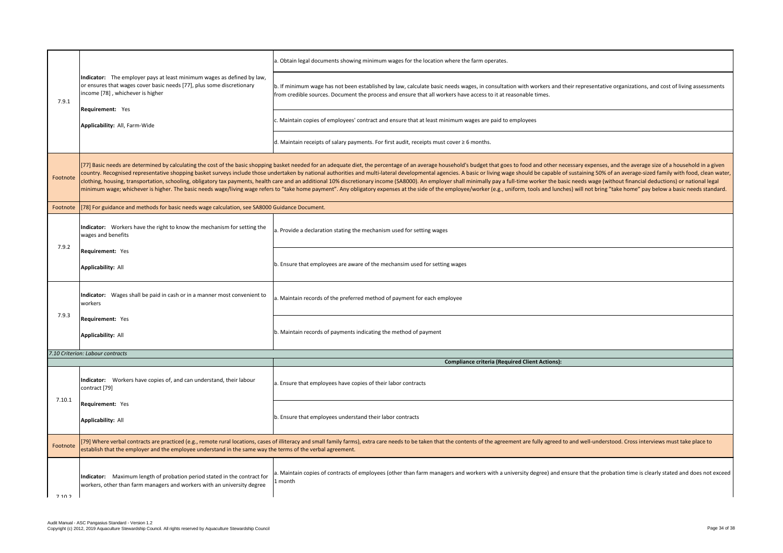| 7.9.1    |                                                                                                                                                                                                                                                                                                                                                                                                                                                                                                                                                                                                                                                                                                                  | a. Obtain legal documents showing minimum wages for the location where the farm operates.                                                                                                       |
|----------|------------------------------------------------------------------------------------------------------------------------------------------------------------------------------------------------------------------------------------------------------------------------------------------------------------------------------------------------------------------------------------------------------------------------------------------------------------------------------------------------------------------------------------------------------------------------------------------------------------------------------------------------------------------------------------------------------------------|-------------------------------------------------------------------------------------------------------------------------------------------------------------------------------------------------|
|          | Indicator: The employer pays at least minimum wages as defined by law,<br>or ensures that wages cover basic needs [77], plus some discretionary<br>income [78], whichever is higher<br><b>Requirement:</b> Yes<br>Applicability: All, Farm-Wide                                                                                                                                                                                                                                                                                                                                                                                                                                                                  | b. If minimum wage has not been established by law, calculate basic needs wages, in consultat<br>from credible sources. Document the process and ensure that all workers have access to it at r |
|          |                                                                                                                                                                                                                                                                                                                                                                                                                                                                                                                                                                                                                                                                                                                  | c. Maintain copies of employees' contract and ensure that at least minimum wages are paid to                                                                                                    |
|          |                                                                                                                                                                                                                                                                                                                                                                                                                                                                                                                                                                                                                                                                                                                  | d. Maintain receipts of salary payments. For first audit, receipts must cover $\geq 6$ months.                                                                                                  |
| Footnote | [77] Basic needs are determined by calculating the cost of the basic shopping basket needed for an adequate diet, the percentage of an average household's budget that go<br>country. Recognised representative shopping basket surveys include those undertaken by national authorities and multi-lateral developmental agencies. A basic or living wa<br>clothing, housing, transportation, schooling, obligatory tax payments, health care and an additional 10% discretionary income (SA8000). An employer shall minimally pay a t<br>minimum wage; whichever is higher. The basic needs wage/living wage refers to "take home payment". Any obligatory expenses at the side of the employee/worker (e.g., u |                                                                                                                                                                                                 |
| Footnote | [78] For guidance and methods for basic needs wage calculation, see SA8000 Guidance Document.                                                                                                                                                                                                                                                                                                                                                                                                                                                                                                                                                                                                                    |                                                                                                                                                                                                 |
|          | Indicator: Workers have the right to know the mechanism for setting the<br>wages and benefits                                                                                                                                                                                                                                                                                                                                                                                                                                                                                                                                                                                                                    | a. Provide a declaration stating the mechanism used for setting wages                                                                                                                           |
| 7.9.2    | <b>Requirement: Yes</b>                                                                                                                                                                                                                                                                                                                                                                                                                                                                                                                                                                                                                                                                                          |                                                                                                                                                                                                 |
|          | <b>Applicability: All</b>                                                                                                                                                                                                                                                                                                                                                                                                                                                                                                                                                                                                                                                                                        | b. Ensure that employees are aware of the mechansim used for setting wages                                                                                                                      |
|          | Indicator: Wages shall be paid in cash or in a manner most convenient to<br>workers                                                                                                                                                                                                                                                                                                                                                                                                                                                                                                                                                                                                                              | a. Maintain records of the preferred method of payment for each employee                                                                                                                        |
| 7.9.3    | <b>Requirement: Yes</b>                                                                                                                                                                                                                                                                                                                                                                                                                                                                                                                                                                                                                                                                                          |                                                                                                                                                                                                 |
|          | <b>Applicability: All</b>                                                                                                                                                                                                                                                                                                                                                                                                                                                                                                                                                                                                                                                                                        | b. Maintain records of payments indicating the method of payment                                                                                                                                |
|          | 7.10 Criterion: Labour contracts                                                                                                                                                                                                                                                                                                                                                                                                                                                                                                                                                                                                                                                                                 |                                                                                                                                                                                                 |
|          |                                                                                                                                                                                                                                                                                                                                                                                                                                                                                                                                                                                                                                                                                                                  | <b>Compliance criteria (Req</b>                                                                                                                                                                 |
| 7.10.1   | Indicator: Workers have copies of, and can understand, their labour<br>contract [79]                                                                                                                                                                                                                                                                                                                                                                                                                                                                                                                                                                                                                             | a. Ensure that employees have copies of their labor contracts                                                                                                                                   |
|          | <b>Requirement: Yes</b>                                                                                                                                                                                                                                                                                                                                                                                                                                                                                                                                                                                                                                                                                          |                                                                                                                                                                                                 |
|          | <b>Applicability: All</b>                                                                                                                                                                                                                                                                                                                                                                                                                                                                                                                                                                                                                                                                                        | b. Ensure that employees understand their labor contracts                                                                                                                                       |
| Footnote | [79] Where verbal contracts are practiced (e.g., remote rural locations, cases of illiteracy and small family farms), extra care needs to be taken that the contents of the agree<br>establish that the employer and the employee understand in the same way the terms of the verbal agreement.                                                                                                                                                                                                                                                                                                                                                                                                                  |                                                                                                                                                                                                 |
| 7102     | Maximum length of probation period stated in the contract for<br>Indicator:<br>workers, other than farm managers and workers with an university degree                                                                                                                                                                                                                                                                                                                                                                                                                                                                                                                                                           | a. Maintain copies of contracts of employees (other than farm managers and workers with a u<br>1 month                                                                                          |

lltation with workers and their representative organizations, and cost of living assessments at reasonable times.

d to employees

goes to food and other necessary expenses, and the average size of a household in a given wage should be capable of sustaining 50% of an average-sized family with food, clean water,  $\gamma$  a full-time worker the basic needs wage (without financial deductions) or national legal , uniform, tools and lunches) will not bring "take home" pay below a basic needs standard.

**Combinative Client Actions):** 

reement are fully agreed to and well-understood. Cross interviews must take place to

university degree) and ensure that the probation time is clearly stated and does not exceed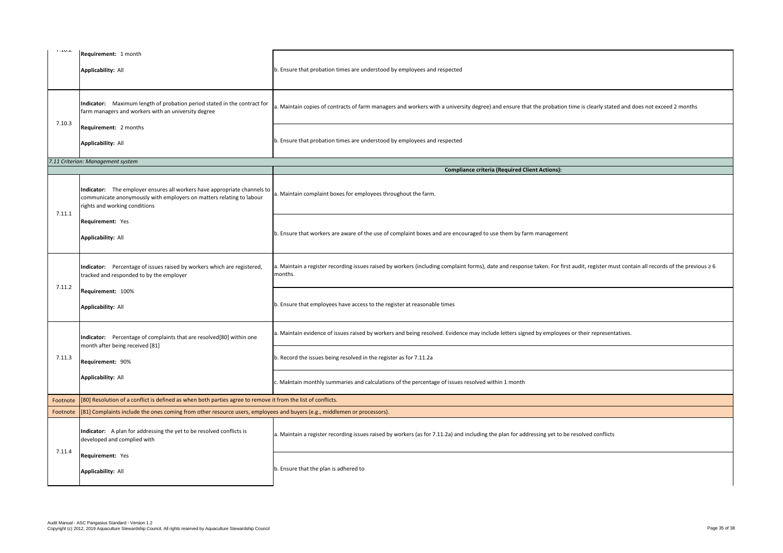| 1.10.4   | Requirement: 1 month                                                                                                                                                              |                                                                                                                  |
|----------|-----------------------------------------------------------------------------------------------------------------------------------------------------------------------------------|------------------------------------------------------------------------------------------------------------------|
|          | <b>Applicability: All</b>                                                                                                                                                         | b. Ensure that probation times are understood by employees and respected                                         |
| 7.10.3   | Indicator: Maximum length of probation period stated in the contract for<br>farm managers and workers with an university degree                                                   | a. Maintain copies of contracts of farm managers and workers with a university degree) and ensure t              |
|          | <b>Requirement: 2 months</b><br><b>Applicability: All</b>                                                                                                                         | b. Ensure that probation times are understood by employees and respected                                         |
|          | 7.11 Criterion: Management system                                                                                                                                                 |                                                                                                                  |
|          |                                                                                                                                                                                   | <b>Compliance criteria (Required 0</b>                                                                           |
| 7.11.1   | Indicator: The employer ensures all workers have appropriate channels to<br>communicate anonymously with employers on matters relating to labour<br>rights and working conditions | a. Maintain complaint boxes for employees throughout the farm.                                                   |
|          | <b>Requirement:</b> Yes<br><b>Applicability: All</b>                                                                                                                              | b. Ensure that workers are aware of the use of complaint boxes and are encouraged to use them by fa              |
| 7.11.2   | Indicator: Percentage of issues raised by workers which are registered,<br>tracked and responded to by the employer                                                               | a. Maintain a register recording issues raised by workers (including complaint forms), date and respo<br>months. |
|          | Requirement: 100%<br><b>Applicability: All</b>                                                                                                                                    | b. Ensure that employees have access to the register at reasonable times                                         |
| 7.11.3   | Indicator: Percentage of complaints that are resolved[80] within one<br>month after being received [81]                                                                           | a. Maintain evidence of issues raised by workers and being resolved. Evidence may include letters sig            |
|          | <b>Requirement: 90%</b>                                                                                                                                                           | b. Record the issues being resolved in the register as for 7.11.2a                                               |
|          | <b>Applicability: All</b>                                                                                                                                                         | c. Maintain monthly summaries and calculations of the percentage of issues resolved within 1 month               |
| Footnote | [80] Resolution of a conflict is defined as when both parties agree to remove it from the list of conflicts.                                                                      |                                                                                                                  |
| Footnote | [81] Complaints include the ones coming from other resource users, employees and buyers (e.g., middlemen or processors).                                                          |                                                                                                                  |
|          | Indicator: A plan for addressing the yet to be resolved conflicts is<br>developed and complied with                                                                               | a. Maintain a register recording issues raised by workers (as for 7.11.2a) and including the plan for ac         |
| 7.11.4   | <b>Requirement: Yes</b><br><b>Applicability: All</b>                                                                                                                              | b. Ensure that the plan is adhered to                                                                            |

d ensure that the probation time is clearly stated and does not exceed 2 months

**Combinance Client Actions):** 

them by farm management

and response taken. For first audit, register must contain all records of the previous ≥ 6

letters signed by employees or their representatives.

plan for addressing yet to be resolved conflicts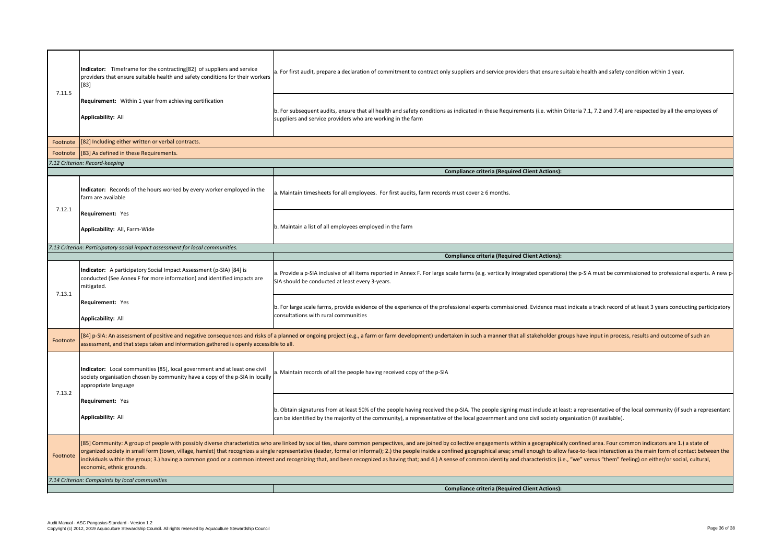| 7.11.5                                          | Indicator: Timeframe for the contracting[82] of suppliers and service<br>providers that ensure suitable health and safety conditions for their workers<br>$[83]$                                                                                                                                                                                                                                                                                                                                                                                                         | a. For first audit, prepare a declaration of commitment to contract only suppliers and service pr                                                                                                  |  |
|-------------------------------------------------|--------------------------------------------------------------------------------------------------------------------------------------------------------------------------------------------------------------------------------------------------------------------------------------------------------------------------------------------------------------------------------------------------------------------------------------------------------------------------------------------------------------------------------------------------------------------------|----------------------------------------------------------------------------------------------------------------------------------------------------------------------------------------------------|--|
|                                                 | Requirement: Within 1 year from achieving certification<br><b>Applicability: All</b>                                                                                                                                                                                                                                                                                                                                                                                                                                                                                     | b. For subsequent audits, ensure that all health and safety conditions as indicated in these Requ<br>suppliers and service providers who are working in the farm                                   |  |
| Footnote                                        | [82] Including either written or verbal contracts.                                                                                                                                                                                                                                                                                                                                                                                                                                                                                                                       |                                                                                                                                                                                                    |  |
| Footnote                                        | [83] As defined in these Requirements.                                                                                                                                                                                                                                                                                                                                                                                                                                                                                                                                   |                                                                                                                                                                                                    |  |
|                                                 | 7.12 Criterion: Record-keeping                                                                                                                                                                                                                                                                                                                                                                                                                                                                                                                                           |                                                                                                                                                                                                    |  |
|                                                 |                                                                                                                                                                                                                                                                                                                                                                                                                                                                                                                                                                          | <b>Compliance criteria (Requ</b>                                                                                                                                                                   |  |
| 7.12.1                                          | Indicator: Records of the hours worked by every worker employed in the<br>farm are available                                                                                                                                                                                                                                                                                                                                                                                                                                                                             | a. Maintain timesheets for all employees. For first audits, farm records must cover ≥ 6 months.                                                                                                    |  |
|                                                 | Requirement: Yes<br>Applicability: All, Farm-Wide                                                                                                                                                                                                                                                                                                                                                                                                                                                                                                                        | b. Maintain a list of all employees employed in the farm                                                                                                                                           |  |
|                                                 | 7.13 Criterion: Participatory social impact assessment for local communities.                                                                                                                                                                                                                                                                                                                                                                                                                                                                                            |                                                                                                                                                                                                    |  |
|                                                 |                                                                                                                                                                                                                                                                                                                                                                                                                                                                                                                                                                          | <b>Compliance criteria (Requ</b>                                                                                                                                                                   |  |
| 7.13.1                                          | Indicator: A participatory Social Impact Assessment (p-SIA) [84] is<br>conducted (See Annex F for more information) and identified impacts are<br>mitigated.                                                                                                                                                                                                                                                                                                                                                                                                             | a. Provide a p-SIA inclusive of all items reported in Annex F. For large scale farms (e.g. vertically<br>SIA should be conducted at least every 3-years.                                           |  |
|                                                 | Requirement: Yes<br><b>Applicability: All</b>                                                                                                                                                                                                                                                                                                                                                                                                                                                                                                                            | b. For large scale farms, provide evidence of the experience of the professional experts commis<br>consultations with rural communities                                                            |  |
| Footnote                                        | [84] p-SIA: An assessment of positive and negative consequences and risks of a planned or ongoing project (e.g., a farm or farm development) undertaken in such a manner t<br>assessment, and that steps taken and information gathered is openly accessible to all.                                                                                                                                                                                                                                                                                                     |                                                                                                                                                                                                    |  |
| 7.13.2                                          | Indicator: Local communities [85], local government and at least one civil<br>society organisation chosen by community have a copy of the p-SIA in locally<br>appropriate language                                                                                                                                                                                                                                                                                                                                                                                       | a. Maintain records of all the people having received copy of the p-SIA                                                                                                                            |  |
|                                                 | Requirement: Yes<br><b>Applicability: All</b>                                                                                                                                                                                                                                                                                                                                                                                                                                                                                                                            | b. Obtain signatures from at least 50% of the people having received the p-SIA. The people sign<br>can be identified by the majority of the community), a representative of the local government a |  |
| Footnote                                        | [85] Community: A group of people with possibly diverse characteristics who are linked by social ties, share common perspectives, and are joined by collective engagements<br>organized society in small form (town, village, hamlet) that recognizes a single representative (leader, formal or informal); 2.) the people inside a confined geographical area;<br>individuals within the group; 3.) having a common good or a common interest and recognizing that, and been recognized as having that; and 4.) A sense of common identity<br>economic, ethnic grounds. |                                                                                                                                                                                                    |  |
| 7.14 Criterion: Complaints by local communities |                                                                                                                                                                                                                                                                                                                                                                                                                                                                                                                                                                          |                                                                                                                                                                                                    |  |
|                                                 |                                                                                                                                                                                                                                                                                                                                                                                                                                                                                                                                                                          | <b>Compliance criteria (Requ</b>                                                                                                                                                                   |  |

ce providers that ensure suitable health and safety condition within 1 year.

Requirements (i.e. within Criteria 7.1, 7.2 and 7.4) are respected by all the employees of

**Compliance Client Actions):** 

**Equired Client Actions):** 

cally integrated operations) the p-SIA must be commissioned to professional experts. A new p

imissioned. Evidence must indicate a track record of at least 3 years conducting participatory

ner that all stakeholder groups have input in process, results and outcome of such an

signing must include at least: a representative of the local community (if such a representant ent and one civil society organization (if available).

ents within a geographically confined area. Four common indicators are 1.) a state of rea; small enough to allow face-to-face interaction as the main form of contact between the tity and characteristics (i.e., "we" versus "them" feeling) on either/or social, cultural,

**Combinance Client Actions):**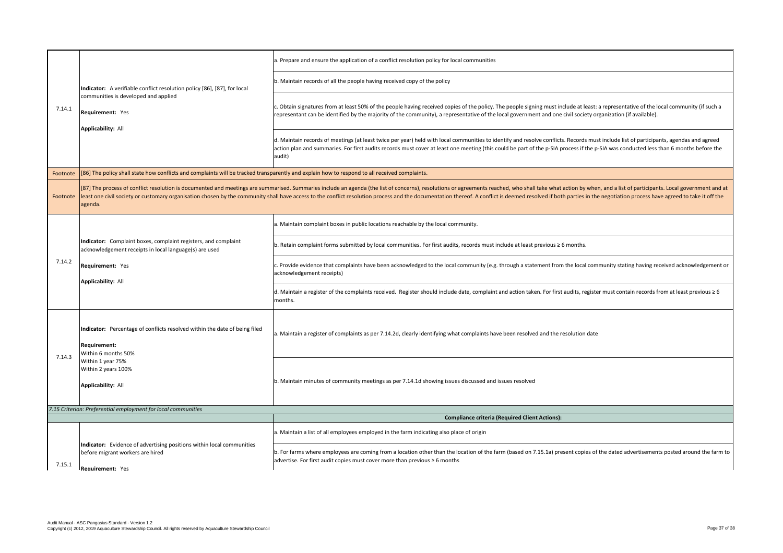| 7.14.1                                                                | Indicator: A verifiable conflict resolution policy [86], [87], for local<br>communities is developed and applied<br>Requirement: Yes<br><b>Applicability: All</b>                                                                                                                                                                                                | a. Prepare and ensure the application of a conflict resolution policy for local communities                                                                                                              |
|-----------------------------------------------------------------------|------------------------------------------------------------------------------------------------------------------------------------------------------------------------------------------------------------------------------------------------------------------------------------------------------------------------------------------------------------------|----------------------------------------------------------------------------------------------------------------------------------------------------------------------------------------------------------|
|                                                                       |                                                                                                                                                                                                                                                                                                                                                                  | b. Maintain records of all the people having received copy of the policy                                                                                                                                 |
|                                                                       |                                                                                                                                                                                                                                                                                                                                                                  | c. Obtain signatures from at least 50% of the people having received copies of the policy. The<br>representant can be identified by the majority of the community), a representative of the loo          |
|                                                                       |                                                                                                                                                                                                                                                                                                                                                                  | d. Maintain records of meetings (at least twice per year) held with local communities to ider<br>action plan and summaries. For first audits records must cover at least one meeting (this cou<br>audit) |
| Footnote                                                              | [86] The policy shall state how conflicts and complaints will be tracked transparently and explain how to respond to all received complaints.                                                                                                                                                                                                                    |                                                                                                                                                                                                          |
| Footnote                                                              | [87] The process of conflict resolution is documented and meetings are summarised. Summaries include an agenda (the list of concerns), resolutions or agreements reach<br>least one civil society or customary organisation chosen by the community shall have access to the conflict resolution process and the documentation thereof. A conflict is<br>agenda. |                                                                                                                                                                                                          |
|                                                                       |                                                                                                                                                                                                                                                                                                                                                                  | a. Maintain complaint boxes in public locations reachable by the local community.                                                                                                                        |
|                                                                       | Indicator: Complaint boxes, complaint registers, and complaint<br>acknowledgement receipts in local language(s) are used<br><b>Requirement: Yes</b><br><b>Applicability: All</b>                                                                                                                                                                                 | b. Retain complaint forms submitted by local communities. For first audits, records must inc                                                                                                             |
| 7.14.2                                                                |                                                                                                                                                                                                                                                                                                                                                                  | c. Provide evidence that complaints have been acknowledged to the local community (e.g. tl<br>acknowledgement receipts)                                                                                  |
|                                                                       |                                                                                                                                                                                                                                                                                                                                                                  | d. Maintain a register of the complaints received. Register should include date, complaint a<br>months.                                                                                                  |
| 7.14.3                                                                | Indicator: Percentage of conflicts resolved within the date of being filed<br><b>Requirement:</b><br>Within 6 months 50%<br>Within 1 year 75%<br>Within 2 years 100%<br><b>Applicability: All</b>                                                                                                                                                                | a. Maintain a register of complaints as per 7.14.2d, clearly identifying what complaints have                                                                                                            |
|                                                                       |                                                                                                                                                                                                                                                                                                                                                                  | b. Maintain minutes of community meetings as per 7.14.1d showing issues discussed and iss                                                                                                                |
|                                                                       | 7.15 Criterion: Preferential employment for local communities                                                                                                                                                                                                                                                                                                    |                                                                                                                                                                                                          |
|                                                                       |                                                                                                                                                                                                                                                                                                                                                                  | Compliance criteria (Re                                                                                                                                                                                  |
| before migrant workers are hired<br>7.15.1<br><b>Requirement: Yes</b> |                                                                                                                                                                                                                                                                                                                                                                  | a. Maintain a list of all employees employed in the farm indicating also place of origin                                                                                                                 |
|                                                                       | Indicator: Evidence of advertising positions within local communities                                                                                                                                                                                                                                                                                            | b. For farms where employees are coming from a location other than the location of the farr<br>advertise. For first audit copies must cover more than previous $\geq 6$ months                           |

he people signing must include at least: a representative of the local community (if such a ocal government and one civil society organization (if available).

ntify and resolve conflicts. Records must include list of participants, agendas and agreed buld be part of the p-SIA process if the p-SIA was conducted less than 6 months before the

ed, who shall take what action by when, and a list of participants. Local government and at s deemed resolved if both parties in the negotiation process have agreed to take it off the

clude at least previous ≥ 6 months.

through a statement from the local community stating having received acknowledgement or

nd action taken. For first audits, register must contain records from at least previous ≥ 6

a been resolved and the resolution date

sues resolved

**Equired Client Actions):** 

rm (based on 7.15.1a) present copies of the dated advertisements posted around the farm to